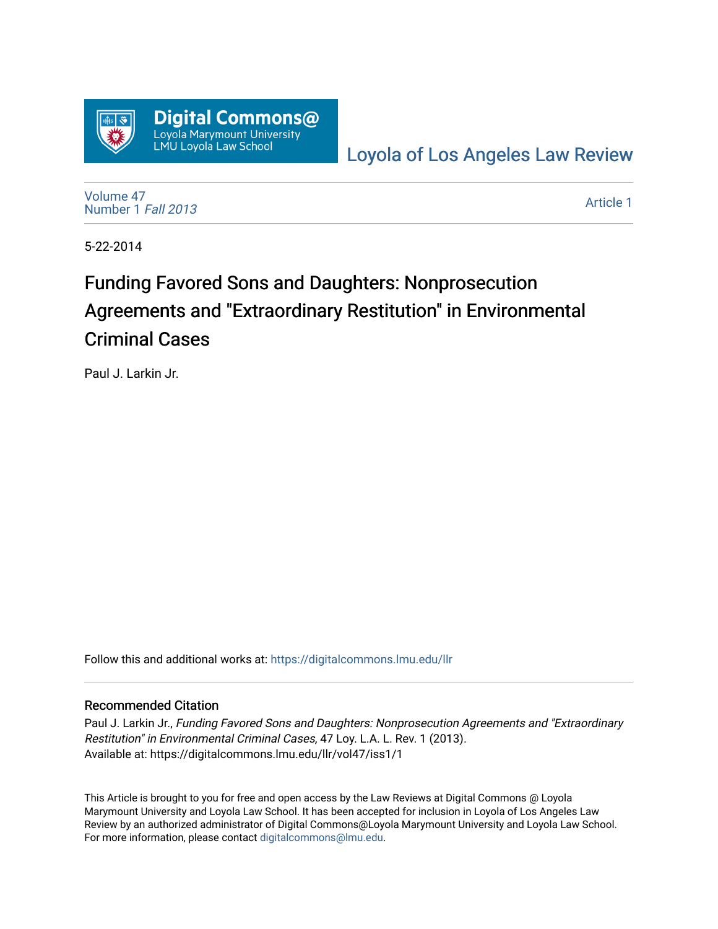

[Loyola of Los Angeles Law Review](https://digitalcommons.lmu.edu/llr) 

[Volume 47](https://digitalcommons.lmu.edu/llr/vol47) [Number 1](https://digitalcommons.lmu.edu/llr/vol47/iss1) Fall 2013

[Article 1](https://digitalcommons.lmu.edu/llr/vol47/iss1/1) 

5-22-2014

# Funding Favored Sons and Daughters: Nonprosecution Agreements and "Extraordinary Restitution" in Environmental Criminal Cases

Paul J. Larkin Jr.

Follow this and additional works at: [https://digitalcommons.lmu.edu/llr](https://digitalcommons.lmu.edu/llr?utm_source=digitalcommons.lmu.edu%2Fllr%2Fvol47%2Fiss1%2F1&utm_medium=PDF&utm_campaign=PDFCoverPages) 

#### Recommended Citation

Paul J. Larkin Jr., Funding Favored Sons and Daughters: Nonprosecution Agreements and "Extraordinary Restitution" in Environmental Criminal Cases, 47 Loy. L.A. L. Rev. 1 (2013). Available at: https://digitalcommons.lmu.edu/llr/vol47/iss1/1

This Article is brought to you for free and open access by the Law Reviews at Digital Commons @ Loyola Marymount University and Loyola Law School. It has been accepted for inclusion in Loyola of Los Angeles Law Review by an authorized administrator of Digital Commons@Loyola Marymount University and Loyola Law School. For more information, please contact [digitalcommons@lmu.edu.](mailto:digitalcommons@lmu.edu)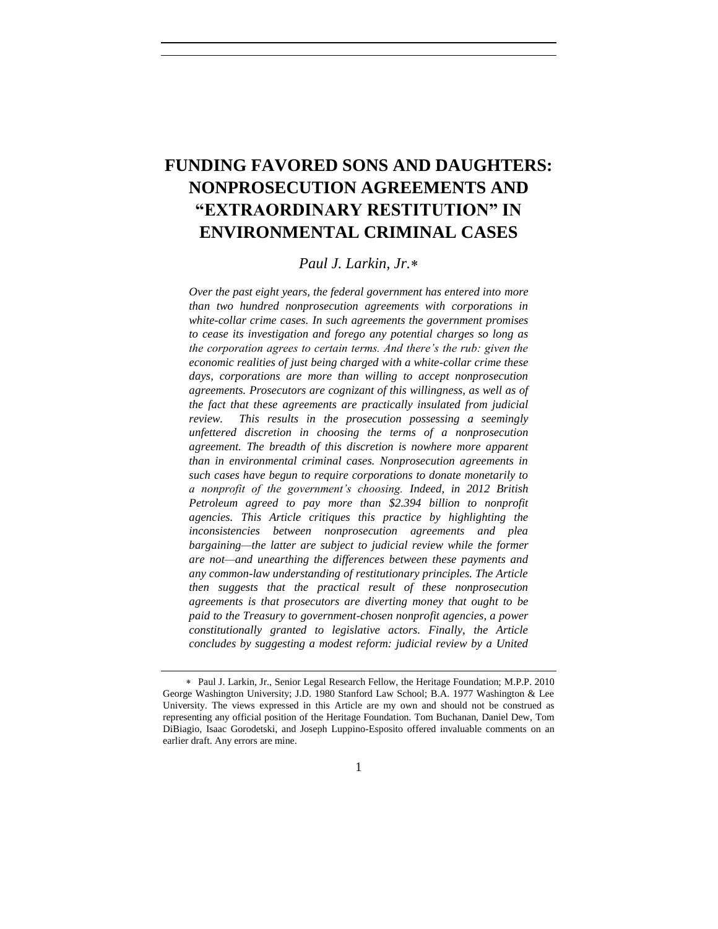# **FUNDING FAVORED SONS AND DAUGHTERS: NONPROSECUTION AGREEMENTS AND "EXTRAORDINARY RESTITUTION" IN ENVIRONMENTAL CRIMINAL CASES**

#### *Paul J. Larkin, Jr.*

*Over the past eight years, the federal government has entered into more than two hundred nonprosecution agreements with corporations in white-collar crime cases. In such agreements the government promises to cease its investigation and forego any potential charges so long as the corporation agrees to certain terms. And there's the rub: given the economic realities of just being charged with a white-collar crime these*  days, corporations are more than willing to accept nonprosecution *agreements. Prosecutors are cognizant of this willingness, as well as of the fact that these agreements are practically insulated from judicial review. This results in the prosecution possessing a seemingly unfettered discretion in choosing the terms of a nonprosecution agreement. The breadth of this discretion is nowhere more apparent than in environmental criminal cases. Nonprosecution agreements in such cases have begun to require corporations to donate monetarily to a nonprofit of the government's choosing. Indeed, in 2012 British Petroleum agreed to pay more than \$2.394 billion to nonprofit agencies. This Article critiques this practice by highlighting the inconsistencies between nonprosecution agreements and plea bargaining—the latter are subject to judicial review while the former are not—and unearthing the differences between these payments and any common-law understanding of restitutionary principles. The Article then suggests that the practical result of these nonprosecution agreements is that prosecutors are diverting money that ought to be paid to the Treasury to government-chosen nonprofit agencies, a power constitutionally granted to legislative actors. Finally, the Article concludes by suggesting a modest reform: judicial review by a United* 

Paul J. Larkin, Jr., Senior Legal Research Fellow, the Heritage Foundation; M.P.P. 2010 George Washington University; J.D. 1980 Stanford Law School; B.A. 1977 Washington & Lee University. The views expressed in this Article are my own and should not be construed as representing any official position of the Heritage Foundation. Tom Buchanan, Daniel Dew, Tom DiBiagio, Isaac Gorodetski, and Joseph Luppino-Esposito offered invaluable comments on an earlier draft. Any errors are mine.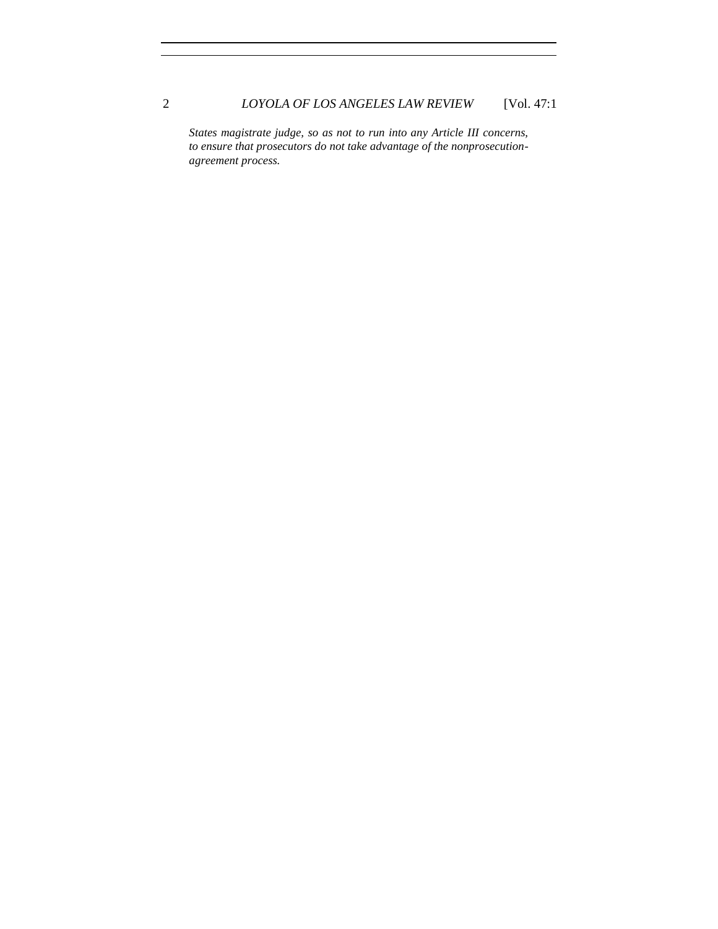*States magistrate judge, so as not to run into any Article III concerns, to ensure that prosecutors do not take advantage of the nonprosecutionagreement process.*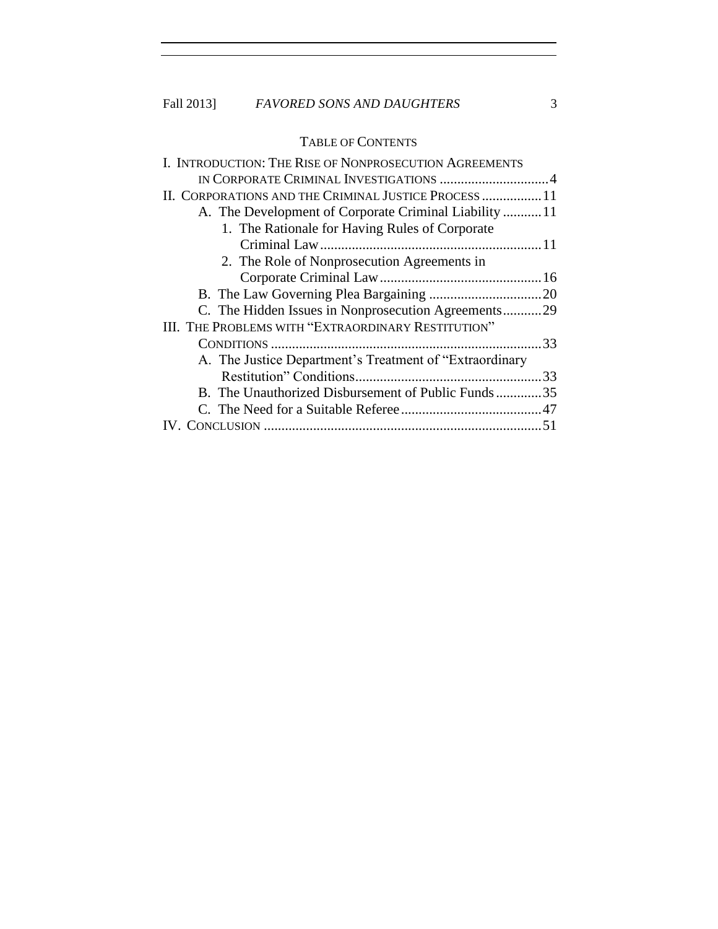## Fall 2013] *FAVORED SONS AND DAUGHTERS* 3

### TABLE OF CONTENTS

| I. INTRODUCTION: THE RISE OF NONPROSECUTION AGREEMENTS   |    |
|----------------------------------------------------------|----|
|                                                          |    |
| II. CORPORATIONS AND THE CRIMINAL JUSTICE PROCESS  11    |    |
| A. The Development of Corporate Criminal Liability 11    |    |
| 1. The Rationale for Having Rules of Corporate           |    |
|                                                          |    |
| 2. The Role of Nonprosecution Agreements in              |    |
|                                                          |    |
|                                                          |    |
| C. The Hidden Issues in Nonprosecution Agreements29      |    |
| III. THE PROBLEMS WITH "EXTRAORDINARY RESTITUTION"       |    |
|                                                          | 33 |
| A. The Justice Department's Treatment of "Extraordinary" |    |
|                                                          |    |
| B. The Unauthorized Disbursement of Public Funds35       |    |
|                                                          |    |
|                                                          |    |
|                                                          |    |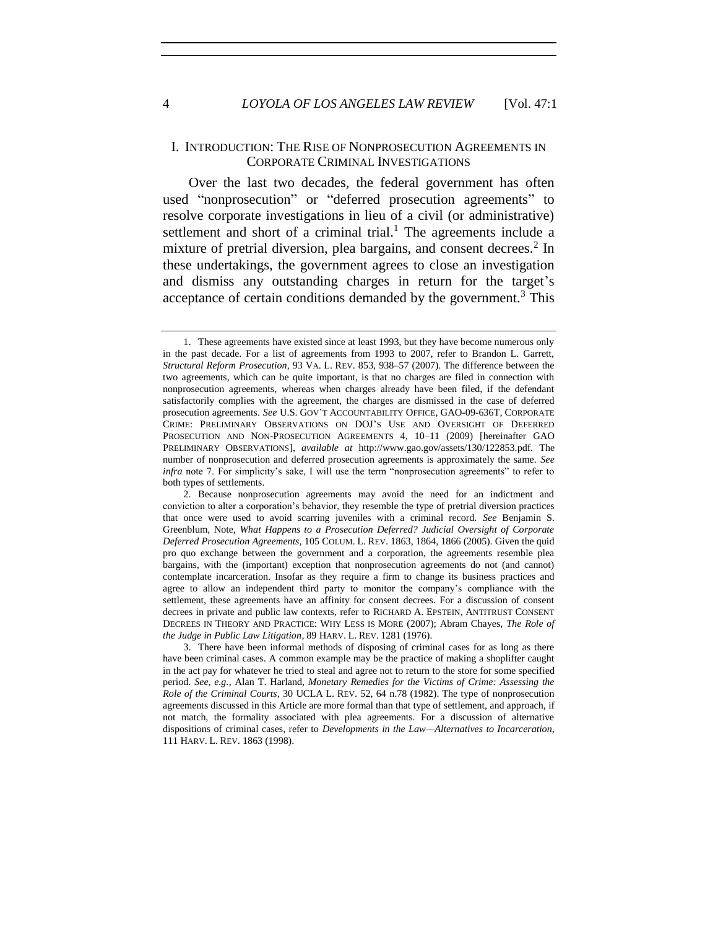#### I. INTRODUCTION: THE RISE OF NONPROSECUTION AGREEMENTS IN CORPORATE CRIMINAL INVESTIGATIONS

Over the last two decades, the federal government has often used "nonprosecution" or "deferred prosecution agreements" to resolve corporate investigations in lieu of a civil (or administrative) settlement and short of a criminal trial.<sup>1</sup> The agreements include a mixture of pretrial diversion, plea bargains, and consent decrees.<sup>2</sup> In these undertakings, the government agrees to close an investigation and dismiss any outstanding charges in return for the target's acceptance of certain conditions demanded by the government.<sup>3</sup> This

<sup>1.</sup> These agreements have existed since at least 1993, but they have become numerous only in the past decade. For a list of agreements from 1993 to 2007, refer to Brandon L. Garrett, *Structural Reform Prosecution*, 93 VA. L. REV. 853, 938–57 (2007). The difference between the two agreements, which can be quite important, is that no charges are filed in connection with nonprosecution agreements, whereas when charges already have been filed, if the defendant satisfactorily complies with the agreement, the charges are dismissed in the case of deferred prosecution agreements. *See* U.S. GOV'T ACCOUNTABILITY OFFICE, GAO-09-636T, CORPORATE CRIME: PRELIMINARY OBSERVATIONS ON DOJ'S USE AND OVERSIGHT OF DEFERRED PROSECUTION AND NON-PROSECUTION AGREEMENTS 4, 10–11 (2009) [hereinafter GAO PRELIMINARY OBSERVATIONS], *available at* http://www.gao.gov/assets/130/122853.pdf. The number of nonprosecution and deferred prosecution agreements is approximately the same. *See infra* note 7. For simplicity's sake, I will use the term "nonprosecution agreements" to refer to both types of settlements.

<sup>2.</sup> Because nonprosecution agreements may avoid the need for an indictment and conviction to alter a corporation's behavior, they resemble the type of pretrial diversion practices that once were used to avoid scarring juveniles with a criminal record. *See* Benjamin S. Greenblum, Note, *What Happens to a Prosecution Deferred? Judicial Oversight of Corporate Deferred Prosecution Agreements*, 105 COLUM. L. REV. 1863, 1864, 1866 (2005). Given the quid pro quo exchange between the government and a corporation, the agreements resemble plea bargains, with the (important) exception that nonprosecution agreements do not (and cannot) contemplate incarceration. Insofar as they require a firm to change its business practices and agree to allow an independent third party to monitor the company's compliance with the settlement, these agreements have an affinity for consent decrees. For a discussion of consent decrees in private and public law contexts, refer to RICHARD A. EPSTEIN, ANTITRUST CONSENT DECREES IN THEORY AND PRACTICE: WHY LESS IS MORE (2007); Abram Chayes, *The Role of the Judge in Public Law Litigation*, 89 HARV. L. REV. 1281 (1976).

<sup>3.</sup> There have been informal methods of disposing of criminal cases for as long as there have been criminal cases. A common example may be the practice of making a shoplifter caught in the act pay for whatever he tried to steal and agree not to return to the store for some specified period. *See, e.g.*, Alan T. Harland, *Monetary Remedies for the Victims of Crime: Assessing the Role of the Criminal Courts*, 30 UCLA L. REV. 52, 64 n.78 (1982). The type of nonprosecution agreements discussed in this Article are more formal than that type of settlement, and approach, if not match, the formality associated with plea agreements. For a discussion of alternative dispositions of criminal cases, refer to *Developments in the Law—Alternatives to Incarceration*, 111 HARV. L. REV. 1863 (1998).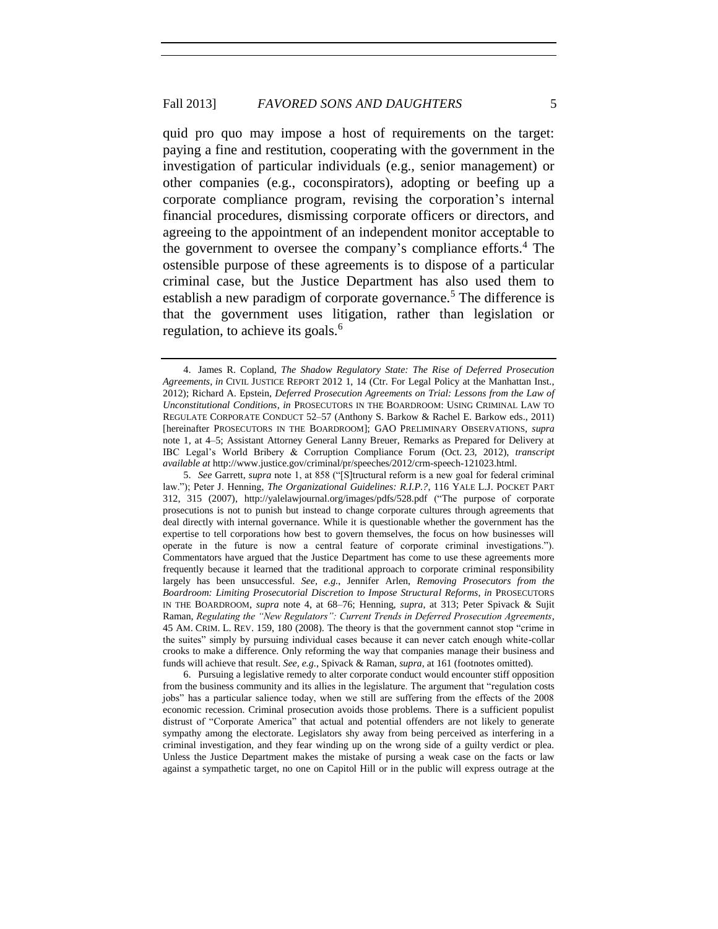quid pro quo may impose a host of requirements on the target: paying a fine and restitution, cooperating with the government in the investigation of particular individuals (e.g., senior management) or other companies (e.g., coconspirators), adopting or beefing up a corporate compliance program, revising the corporation's internal financial procedures, dismissing corporate officers or directors, and agreeing to the appointment of an independent monitor acceptable to the government to oversee the company's compliance efforts.<sup>4</sup> The ostensible purpose of these agreements is to dispose of a particular criminal case, but the Justice Department has also used them to establish a new paradigm of corporate governance.<sup>5</sup> The difference is that the government uses litigation, rather than legislation or regulation, to achieve its goals.<sup>6</sup>

6. Pursuing a legislative remedy to alter corporate conduct would encounter stiff opposition from the business community and its allies in the legislature. The argument that "regulation costs jobs" has a particular salience today, when we still are suffering from the effects of the 2008 economic recession. Criminal prosecution avoids those problems. There is a sufficient populist distrust of "Corporate America" that actual and potential offenders are not likely to generate sympathy among the electorate. Legislators shy away from being perceived as interfering in a criminal investigation, and they fear winding up on the wrong side of a guilty verdict or plea. Unless the Justice Department makes the mistake of pursing a weak case on the facts or law against a sympathetic target, no one on Capitol Hill or in the public will express outrage at the

<sup>4.</sup> James R. Copland, *The Shadow Regulatory State: The Rise of Deferred Prosecution Agreements*, *in* CIVIL JUSTICE REPORT 2012 1, 14 (Ctr. For Legal Policy at the Manhattan Inst., 2012); Richard A. Epstein, *Deferred Prosecution Agreements on Trial: Lessons from the Law of Unconstitutional Conditions*, *in* PROSECUTORS IN THE BOARDROOM: USING CRIMINAL LAW TO REGULATE CORPORATE CONDUCT 52–57 (Anthony S. Barkow & Rachel E. Barkow eds., 2011) [hereinafter PROSECUTORS IN THE BOARDROOM]; GAO PRELIMINARY OBSERVATIONS, *supra* note 1, at 4–5; Assistant Attorney General Lanny Breuer, Remarks as Prepared for Delivery at IBC Legal's World Bribery & Corruption Compliance Forum (Oct. 23, 2012), *transcript available at* http://www.justice.gov/criminal/pr/speeches/2012/crm-speech-121023.html.

<sup>5.</sup> *See* Garrett, *supra* note 1, at 858 ("[S]tructural reform is a new goal for federal criminal law."); Peter J. Henning, *The Organizational Guidelines: R.I.P.?*, 116 YALE L.J. POCKET PART 312, 315 (2007), http://yalelawjournal.org/images/pdfs/528.pdf ("The purpose of corporate prosecutions is not to punish but instead to change corporate cultures through agreements that deal directly with internal governance. While it is questionable whether the government has the expertise to tell corporations how best to govern themselves, the focus on how businesses will operate in the future is now a central feature of corporate criminal investigations."). Commentators have argued that the Justice Department has come to use these agreements more frequently because it learned that the traditional approach to corporate criminal responsibility largely has been unsuccessful. *See, e.g.*, Jennifer Arlen, *Removing Prosecutors from the Boardroom: Limiting Prosecutorial Discretion to Impose Structural Reforms*, *in* PROSECUTORS IN THE BOARDROOM, *supra* note 4, at 68–76; Henning, *supra*, at 313; Peter Spivack & Sujit Raman, *Regulating the "New Regulators": Current Trends in Deferred Prosecution Agreements*, 45 AM. CRIM. L. REV. 159, 180 (2008). The theory is that the government cannot stop "crime in the suites" simply by pursuing individual cases because it can never catch enough white-collar crooks to make a difference. Only reforming the way that companies manage their business and funds will achieve that result. *See, e.g.*, Spivack & Raman, *supra*, at 161 (footnotes omitted).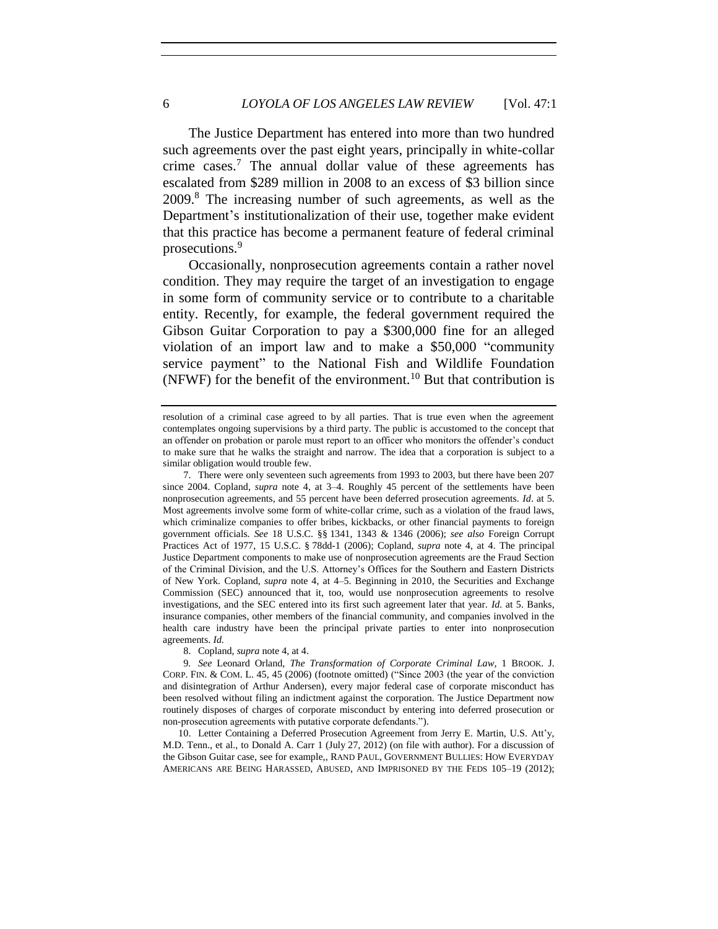The Justice Department has entered into more than two hundred such agreements over the past eight years, principally in white-collar crime cases.<sup>7</sup> The annual dollar value of these agreements has escalated from \$289 million in 2008 to an excess of \$3 billion since 2009.<sup>8</sup> The increasing number of such agreements, as well as the Department's institutionalization of their use, together make evident that this practice has become a permanent feature of federal criminal prosecutions.<sup>9</sup>

Occasionally, nonprosecution agreements contain a rather novel condition. They may require the target of an investigation to engage in some form of community service or to contribute to a charitable entity. Recently, for example, the federal government required the Gibson Guitar Corporation to pay a \$300,000 fine for an alleged violation of an import law and to make a \$50,000 "community service payment" to the National Fish and Wildlife Foundation (NFWF) for the benefit of the environment.<sup>10</sup> But that contribution is

8. Copland, *supra* note 4, at 4.

9*. See* Leonard Orland, *The Transformation of Corporate Criminal Law*, 1 BROOK. J. CORP. FIN. & COM. L. 45, 45 (2006) (footnote omitted) ("Since 2003 (the year of the conviction and disintegration of Arthur Andersen), every major federal case of corporate misconduct has been resolved without filing an indictment against the corporation. The Justice Department now routinely disposes of charges of corporate misconduct by entering into deferred prosecution or non-prosecution agreements with putative corporate defendants.").

10. Letter Containing a Deferred Prosecution Agreement from Jerry E. Martin, U.S. Att'y, M.D. Tenn., et al., to Donald A. Carr 1 (July 27, 2012) (on file with author). For a discussion of the Gibson Guitar case, see for example,, RAND PAUL, GOVERNMENT BULLIES: HOW EVERYDAY AMERICANS ARE BEING HARASSED, ABUSED, AND IMPRISONED BY THE FEDS 105–19 (2012);

resolution of a criminal case agreed to by all parties. That is true even when the agreement contemplates ongoing supervisions by a third party. The public is accustomed to the concept that an offender on probation or parole must report to an officer who monitors the offender's conduct to make sure that he walks the straight and narrow. The idea that a corporation is subject to a similar obligation would trouble few.

<sup>7.</sup> There were only seventeen such agreements from 1993 to 2003, but there have been 207 since 2004. Copland, *supra* note 4, at 3–4. Roughly 45 percent of the settlements have been nonprosecution agreements, and 55 percent have been deferred prosecution agreements. *Id*. at 5. Most agreements involve some form of white-collar crime, such as a violation of the fraud laws, which criminalize companies to offer bribes, kickbacks, or other financial payments to foreign government officials. *See* 18 U.S.C. §§ 1341, 1343 & 1346 (2006); *see also* Foreign Corrupt Practices Act of 1977, 15 U.S.C. § 78dd-1 (2006); Copland, *supra* note 4, at 4. The principal Justice Department components to make use of nonprosecution agreements are the Fraud Section of the Criminal Division, and the U.S. Attorney's Offices for the Southern and Eastern Districts of New York. Copland, *supra* note 4, at 4–5. Beginning in 2010, the Securities and Exchange Commission (SEC) announced that it, too, would use nonprosecution agreements to resolve investigations, and the SEC entered into its first such agreement later that year. *Id.* at 5. Banks, insurance companies, other members of the financial community, and companies involved in the health care industry have been the principal private parties to enter into nonprosecution agreements. *Id.*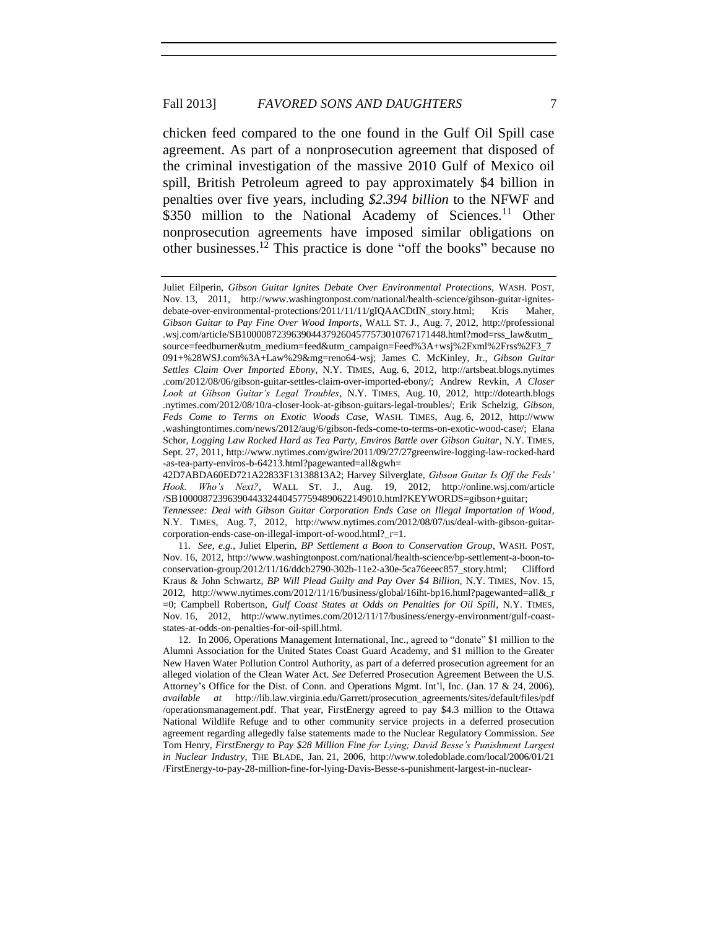chicken feed compared to the one found in the Gulf Oil Spill case agreement. As part of a nonprosecution agreement that disposed of the criminal investigation of the massive 2010 Gulf of Mexico oil spill, British Petroleum agreed to pay approximately \$4 billion in penalties over five years, including *\$2.394 billion* to the NFWF and \$350 million to the National Academy of Sciences.<sup>11</sup> Other nonprosecution agreements have imposed similar obligations on other businesses. <sup>12</sup> This practice is done "off the books" because no

Juliet Eilperin, *Gibson Guitar Ignites Debate Over Environmental Protections,* WASH. POST, Nov. 13, 2011, http://www.washingtonpost.com/national/health-science/gibson-guitar-ignitesdebate-over-environmental-protections/2011/11/11/gIQAACDtIN\_story.html; Kris Maher, *Gibson Guitar to Pay Fine Over Wood Imports*, WALL ST. J., Aug. 7, 2012, http://professional .wsj.com/article/SB10000872396390443792604577573010767171448.html?mod=rss\_law&utm\_ source=feedburner&utm\_medium=feed&utm\_campaign=Feed%3A+wsj%2Fxml%2Frss%2F3\_7 091+%28WSJ.com%3A+Law%29&mg=reno64-wsj; James C. McKinley, Jr., *Gibson Guitar Settles Claim Over Imported Ebony*, N.Y. TIMES, Aug. 6, 2012, http://artsbeat.blogs.nytimes .com/2012/08/06/gibson-guitar-settles-claim-over-imported-ebony/; Andrew Revkin, *A Closer Look at Gibson Guitar's Legal Troubles*, N.Y. TIMES, Aug. 10, 2012, http://dotearth.blogs .nytimes.com/2012/08/10/a-closer-look-at-gibson-guitars-legal-troubles/; Erik Schelzig, *Gibson, Feds Come to Terms on Exotic Woods Case*, WASH. TIMES, Aug. 6, 2012, http://www .washingtontimes.com/news/2012/aug/6/gibson-feds-come-to-terms-on-exotic-wood-case/; Elana Schor, *Logging Law Rocked Hard as Tea Party, Enviros Battle over Gibson Guitar*, N.Y. TIMES, Sept. 27, 2011, http://www.nytimes.com/gwire/2011/09/27/27greenwire-logging-law-rocked-hard -as-tea-party-enviros-b-64213.html?pagewanted=all&gwh=

<sup>42</sup>D7ABDA60ED721A22833F13138813A2; Harvey Silverglate, *Gibson Guitar Is Off the Feds' Hook. Who's Next?*, WALL ST. J., Aug. 19, 2012, http://online.wsj.com/article /SB10000872396390443324404577594890622149010.html?KEYWORDS=gibson+guitar;

*Tennessee: Deal with Gibson Guitar Corporation Ends Case on Illegal Importation of Wood*, N.Y. TIMES, Aug. 7, 2012, http://www.nytimes.com/2012/08/07/us/deal-with-gibson-guitarcorporation-ends-case-on-illegal-import-of-wood.html?\_r=1.

<sup>11</sup>*. See, e.g.*, Juliet Elperin, *BP Settlement a Boon to Conservation Group*, WASH. POST, Nov. 16, 2012, http://www.washingtonpost.com/national/health-science/bp-settlement-a-boon-toconservation-group/2012/11/16/ddcb2790-302b-11e2-a30e-5ca76eeec857\_story.html; Clifford Kraus & John Schwartz, *BP Will Plead Guilty and Pay Over \$4 Billion,* N.Y. TIMES, Nov. 15, 2012, http://www.nytimes.com/2012/11/16/business/global/16iht-bp16.html?pagewanted=all&\_r =0; Campbell Robertson, *Gulf Coast States at Odds on Penalties for Oil Spill*, N.Y. TIMES, Nov. 16, 2012, http://www.nytimes.com/2012/11/17/business/energy-environment/gulf-coaststates-at-odds-on-penalties-for-oil-spill.html.

<sup>12.</sup> In 2006, Operations Management International, Inc., agreed to "donate" \$1 million to the Alumni Association for the United States Coast Guard Academy, and \$1 million to the Greater New Haven Water Pollution Control Authority, as part of a deferred prosecution agreement for an alleged violation of the Clean Water Act. *See* Deferred Prosecution Agreement Between the U.S. Attorney's Office for the Dist. of Conn. and Operations Mgmt. Int'l, Inc. (Jan. 17 & 24, 2006), *available at* http://lib.law.virginia.edu/Garrett/prosecution\_agreements/sites/default/files/pdf /operationsmanagement.pdf. That year, FirstEnergy agreed to pay \$4.3 million to the Ottawa National Wildlife Refuge and to other community service projects in a deferred prosecution agreement regarding allegedly false statements made to the Nuclear Regulatory Commission. *See* Tom Henry, *FirstEnergy to Pay \$28 Million Fine for Lying; David Besse's Punishment Largest in Nuclear Industry,* THE BLADE, Jan. 21, 2006, http://www.toledoblade.com/local/2006/01/21 /FirstEnergy-to-pay-28-million-fine-for-lying-Davis-Besse-s-punishment-largest-in-nuclear-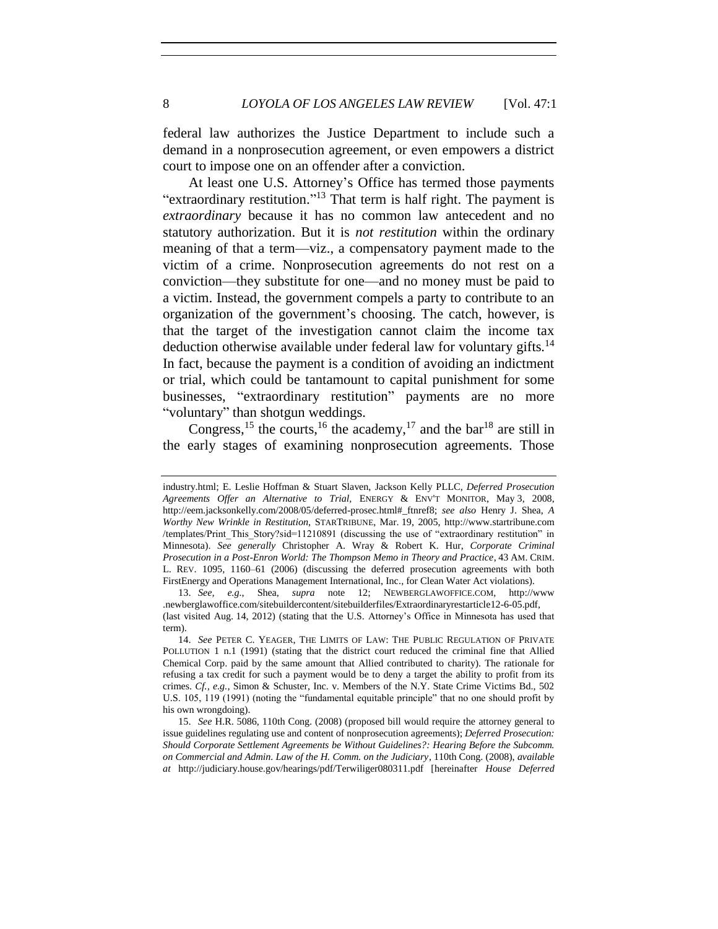federal law authorizes the Justice Department to include such a demand in a nonprosecution agreement, or even empowers a district court to impose one on an offender after a conviction.

At least one U.S. Attorney's Office has termed those payments "extraordinary restitution."<sup>13</sup> That term is half right. The payment is *extraordinary* because it has no common law antecedent and no statutory authorization. But it is *not restitution* within the ordinary meaning of that a term—viz., a compensatory payment made to the victim of a crime. Nonprosecution agreements do not rest on a conviction—they substitute for one—and no money must be paid to a victim. Instead, the government compels a party to contribute to an organization of the government's choosing. The catch, however, is that the target of the investigation cannot claim the income tax deduction otherwise available under federal law for voluntary gifts.<sup>14</sup> In fact, because the payment is a condition of avoiding an indictment or trial, which could be tantamount to capital punishment for some businesses, "extraordinary restitution" payments are no more "voluntary" than shotgun weddings.

Congress,<sup>15</sup> the courts,<sup>16</sup> the academy,<sup>17</sup> and the bar<sup>18</sup> are still in the early stages of examining nonprosecution agreements. Those

industry.html; E. Leslie Hoffman & Stuart Slaven, Jackson Kelly PLLC, *Deferred Prosecution Agreements Offer an Alternative to Trial,* ENERGY & ENV'T MONITOR, May 3, 2008, http://eem.jacksonkelly.com/2008/05/deferred-prosec.html#\_ftnref8; *see also* Henry J. Shea, *A Worthy New Wrinkle in Restitution,* STARTRIBUNE, Mar. 19, 2005, http://www.startribune.com /templates/Print\_This\_Story?sid=11210891 (discussing the use of "extraordinary restitution" in Minnesota). *See generally* Christopher A. Wray & Robert K. Hur, *Corporate Criminal Prosecution in a Post-Enron World: The Thompson Memo in Theory and Practice*, 43 AM. CRIM. L. REV. 1095, 1160–61 (2006) (discussing the deferred prosecution agreements with both FirstEnergy and Operations Management International, Inc., for Clean Water Act violations).

<sup>13.</sup> *See, e.g.*, Shea, *supra* note 12; NEWBERGLAWOFFICE.COM, http://www .newberglawoffice.com/sitebuildercontent/sitebuilderfiles/Extraordinaryrestarticle12-6-05.pdf, (last visited Aug. 14, 2012) (stating that the U.S. Attorney's Office in Minnesota has used that term).

<sup>14.</sup> *See* PETER C. YEAGER, THE LIMITS OF LAW: THE PUBLIC REGULATION OF PRIVATE POLLUTION 1 n.1 (1991) (stating that the district court reduced the criminal fine that Allied Chemical Corp. paid by the same amount that Allied contributed to charity). The rationale for refusing a tax credit for such a payment would be to deny a target the ability to profit from its crimes. *Cf., e.g.*, Simon & Schuster, Inc. v. Members of the N.Y. State Crime Victims Bd., 502 U.S. 105, 119 (1991) (noting the "fundamental equitable principle" that no one should profit by his own wrongdoing).

<sup>15.</sup> *See* H.R. 5086, 110th Cong. (2008) (proposed bill would require the attorney general to issue guidelines regulating use and content of nonprosecution agreements); *Deferred Prosecution: Should Corporate Settlement Agreements be Without Guidelines?: Hearing Before the Subcomm. on Commercial and Admin. Law of the H. Comm. on the Judiciary*, 110th Cong. (2008), *available at* http://judiciary.house.gov/hearings/pdf/Terwiliger080311.pdf [hereinafter *House Deferred*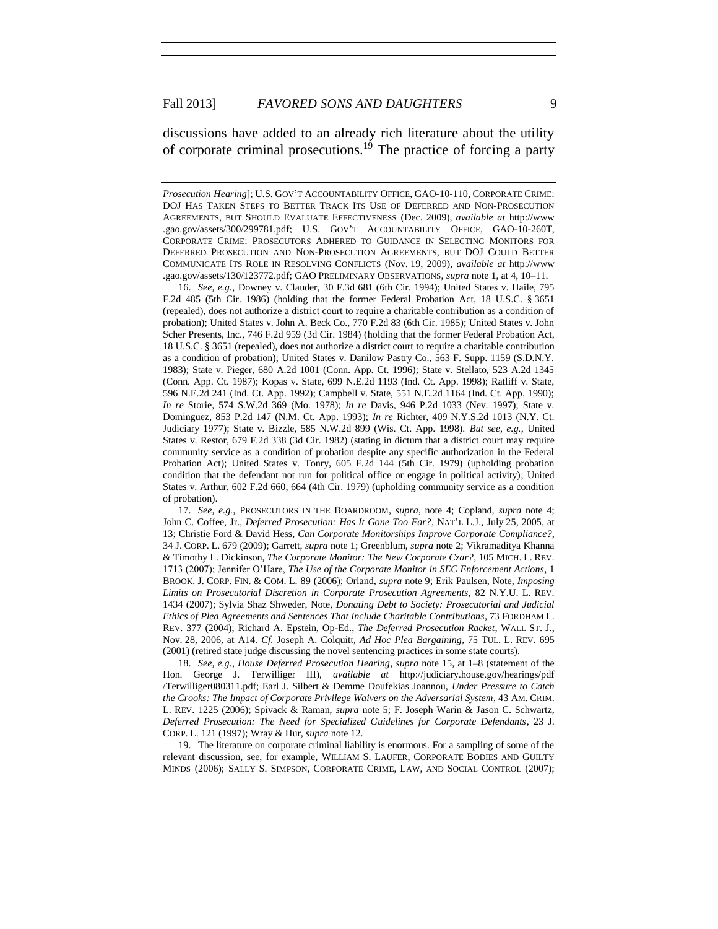discussions have added to an already rich literature about the utility of corporate criminal prosecutions. <sup>19</sup> The practice of forcing a party

16. *See, e.g.*, Downey v. Clauder, 30 F.3d 681 (6th Cir. 1994); United States v. Haile, 795 F.2d 485 (5th Cir. 1986) (holding that the former Federal Probation Act, 18 U.S.C. § 3651 (repealed), does not authorize a district court to require a charitable contribution as a condition of probation); United States v. John A. Beck Co., 770 F.2d 83 (6th Cir. 1985); United States v. John Scher Presents, Inc., 746 F.2d 959 (3d Cir. 1984) (holding that the former Federal Probation Act, 18 U.S.C. § 3651 (repealed), does not authorize a district court to require a charitable contribution as a condition of probation); United States v. Danilow Pastry Co., 563 F. Supp. 1159 (S.D.N.Y. 1983); State v. Pieger, 680 A.2d 1001 (Conn. App. Ct. 1996); State v. Stellato, 523 A.2d 1345 (Conn. App. Ct. 1987); Kopas v. State, 699 N.E.2d 1193 (Ind. Ct. App. 1998); Ratliff v. State, 596 N.E.2d 241 (Ind. Ct. App. 1992); Campbell v. State, 551 N.E.2d 1164 (Ind. Ct. App. 1990); *In re* Storie, 574 S.W.2d 369 (Mo. 1978); *In re* Davis, 946 P.2d 1033 (Nev. 1997); State v. Dominguez, 853 P.2d 147 (N.M. Ct. App. 1993); *In re* Richter, 409 N.Y.S.2d 1013 (N.Y. Ct. Judiciary 1977); State v. Bizzle, 585 N.W.2d 899 (Wis. Ct. App. 1998). *But see, e.g.*, United States v. Restor, 679 F.2d 338 (3d Cir. 1982) (stating in dictum that a district court may require community service as a condition of probation despite any specific authorization in the Federal Probation Act); United States v. Tonry, 605 F.2d 144 (5th Cir. 1979) (upholding probation condition that the defendant not run for political office or engage in political activity); United States v. Arthur, 602 F.2d 660, 664 (4th Cir. 1979) (upholding community service as a condition of probation).

17. *See, e.g.*, PROSECUTORS IN THE BOARDROOM, *supra*, note 4; Copland, *supra* note 4; John C. Coffee, Jr., *Deferred Prosecution: Has It Gone Too Far?*, NAT'L L.J., July 25, 2005, at 13; Christie Ford & David Hess, *Can Corporate Monitorships Improve Corporate Compliance?*, 34 J. CORP. L. 679 (2009); Garrett, *supra* note 1; Greenblum, *supra* note 2; Vikramaditya Khanna & Timothy L. Dickinson, *The Corporate Monitor: The New Corporate Czar?*, 105 MICH. L. REV. 1713 (2007); Jennifer O'Hare, *The Use of the Corporate Monitor in SEC Enforcement Actions*, 1 BROOK. J. CORP. FIN. & COM. L. 89 (2006); Orland, *supra* note 9; Erik Paulsen, Note, *Imposing Limits on Prosecutorial Discretion in Corporate Prosecution Agreements*, 82 N.Y.U. L. REV. 1434 (2007); Sylvia Shaz Shweder, Note, *Donating Debt to Society: Prosecutorial and Judicial Ethics of Plea Agreements and Sentences That Include Charitable Contributions*, 73 FORDHAM L. REV. 377 (2004); Richard A. Epstein, Op-Ed., *The Deferred Prosecution Racket*, WALL ST. J., Nov. 28, 2006, at A14. *Cf.* Joseph A. Colquitt, *Ad Hoc Plea Bargaining*, 75 TUL. L. REV. 695 (2001) (retired state judge discussing the novel sentencing practices in some state courts).

18. *See, e.g.*, *House Deferred Prosecution Hearing*, *supra* note 15, at 1–8 (statement of the Hon. George J. Terwilliger III), *available at* http://judiciary.house.gov/hearings/pdf /Terwilliger080311.pdf; Earl J. Silbert & Demme Doufekias Joannou, *Under Pressure to Catch the Crooks: The Impact of Corporate Privilege Waivers on the Adversarial System*, 43 AM. CRIM. L. REV. 1225 (2006); Spivack & Raman, *supra* note 5; F. Joseph Warin & Jason C. Schwartz, *[Deferred Prosecution: The Need for Specialized Guidelines for Corporate Defendants](http://web2.westlaw.com/find/default.wl?mt=Westlaw&db=1172&tc=-1&rp=%2ffind%2fdefault.wl&findtype=Y&ordoc=0305997221&serialnum=0108636518&vr=2.0&fn=_top&sv=Split&tf=-1&referencepositiontype=S&pbc=17B59725&referenceposition=133&rs=WLW12.07)*[,](http://web2.westlaw.com/find/default.wl?mt=Westlaw&db=1172&tc=-1&rp=%2ffind%2fdefault.wl&findtype=Y&ordoc=0305997221&serialnum=0108636518&vr=2.0&fn=_top&sv=Split&tf=-1&referencepositiontype=S&pbc=17B59725&referenceposition=133&rs=WLW12.07) [23 J.](http://web2.westlaw.com/find/default.wl?mt=Westlaw&db=1172&tc=-1&rp=%2ffind%2fdefault.wl&findtype=Y&ordoc=0305997221&serialnum=0108636518&vr=2.0&fn=_top&sv=Split&tf=-1&referencepositiontype=S&pbc=17B59725&referenceposition=133&rs=WLW12.07) CORP. L. [121 \(1997\);](http://web2.westlaw.com/find/default.wl?mt=Westlaw&db=1172&tc=-1&rp=%2ffind%2fdefault.wl&findtype=Y&ordoc=0305997221&serialnum=0108636518&vr=2.0&fn=_top&sv=Split&tf=-1&referencepositiontype=S&pbc=17B59725&referenceposition=133&rs=WLW12.07) Wray & Hur, *supra* note 12.

19. The literature on corporate criminal liability is enormous. For a sampling of some of the relevant discussion, see, for example, WILLIAM S. LAUFER, CORPORATE BODIES AND GUILTY MINDS (2006); SALLY S. SIMPSON, CORPORATE CRIME, LAW, AND SOCIAL CONTROL (2007);

*Prosecution Hearing*]; U.S. GOV'T ACCOUNTABILITY OFFICE, GAO-10-110, CORPORATE CRIME: DOJ HAS TAKEN STEPS TO BETTER TRACK ITS USE OF DEFERRED AND NON-PROSECUTION AGREEMENTS, BUT SHOULD EVALUATE EFFECTIVENESS (Dec. 2009), *available at* http://www .gao.gov/assets/300/299781.pdf; U.S. GOV'T ACCOUNTABILITY OFFICE, GAO-10-260T, CORPORATE CRIME: PROSECUTORS ADHERED TO GUIDANCE IN SELECTING MONITORS FOR DEFERRED PROSECUTION AND NON-PROSECUTION AGREEMENTS, BUT DOJ COULD BETTER COMMUNICATE ITS ROLE IN RESOLVING CONFLICTS (Nov. 19, 2009), *available at* http://www .gao.gov/assets/130/123772.pdf; GAO PRELIMINARY OBSERVATIONS, *supra* note 1, at 4, 10–11.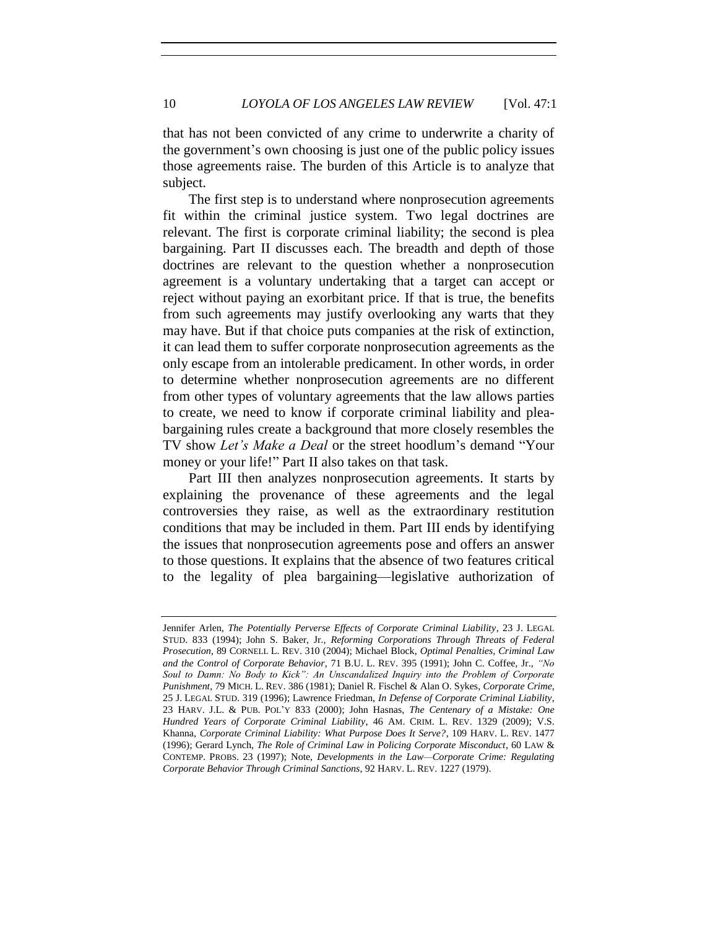that has not been convicted of any crime to underwrite a charity of the government's own choosing is just one of the public policy issues those agreements raise. The burden of this Article is to analyze that subject.

The first step is to understand where nonprosecution agreements fit within the criminal justice system. Two legal doctrines are relevant. The first is corporate criminal liability; the second is plea bargaining. Part II discusses each. The breadth and depth of those doctrines are relevant to the question whether a nonprosecution agreement is a voluntary undertaking that a target can accept or reject without paying an exorbitant price. If that is true, the benefits from such agreements may justify overlooking any warts that they may have. But if that choice puts companies at the risk of extinction, it can lead them to suffer corporate nonprosecution agreements as the only escape from an intolerable predicament. In other words, in order to determine whether nonprosecution agreements are no different from other types of voluntary agreements that the law allows parties to create, we need to know if corporate criminal liability and pleabargaining rules create a background that more closely resembles the TV show *Let's Make a Deal* or the street hoodlum's demand "Your money or your life!" Part II also takes on that task.

Part III then analyzes nonprosecution agreements. It starts by explaining the provenance of these agreements and the legal controversies they raise, as well as the extraordinary restitution conditions that may be included in them. Part III ends by identifying the issues that nonprosecution agreements pose and offers an answer to those questions. It explains that the absence of two features critical to the legality of plea bargaining—legislative authorization of

Jennifer Arlen, *The Potentially Perverse Effects of Corporate Criminal Liability*, 23 J. LEGAL STUD. 833 (1994); John S. Baker, Jr., *Reforming Corporations Through Threats of Federal Prosecution*, 89 CORNELL L. REV. 310 (2004); Michael Block, *Optimal Penalties, Criminal Law and the Control of Corporate Behavior*, 71 B.U. L. REV. 395 (1991); John C. Coffee, Jr., *"No Soul to Damn: No Body to Kick": An Unscandalized Inquiry into the Problem of Corporate Punishment*, 79 MICH. L. REV. 386 (1981); Daniel R. Fischel & Alan O. Sykes, *Corporate Crime*, 25 J. LEGAL STUD. 319 (1996); Lawrence Friedman, *In Defense of Corporate Criminal Liability*, 23 HARV. J.L. & PUB. POL'Y 833 (2000); John Hasnas, *The Centenary of a Mistake: One Hundred Years of Corporate Criminal Liability*, 46 AM. CRIM. L. REV. 1329 (2009); V.S. Khanna, *Corporate Criminal Liability: What Purpose Does It Serve?*, 109 HARV. L. REV. 1477 (1996); Gerard Lynch, *The Role of Criminal Law in Policing Corporate Misconduct*, 60 LAW & CONTEMP. PROBS. 23 (1997); Note, *Developments in the Law—Corporate Crime: Regulating Corporate Behavior Through Criminal Sanctions*, 92 HARV. L. REV. 1227 (1979).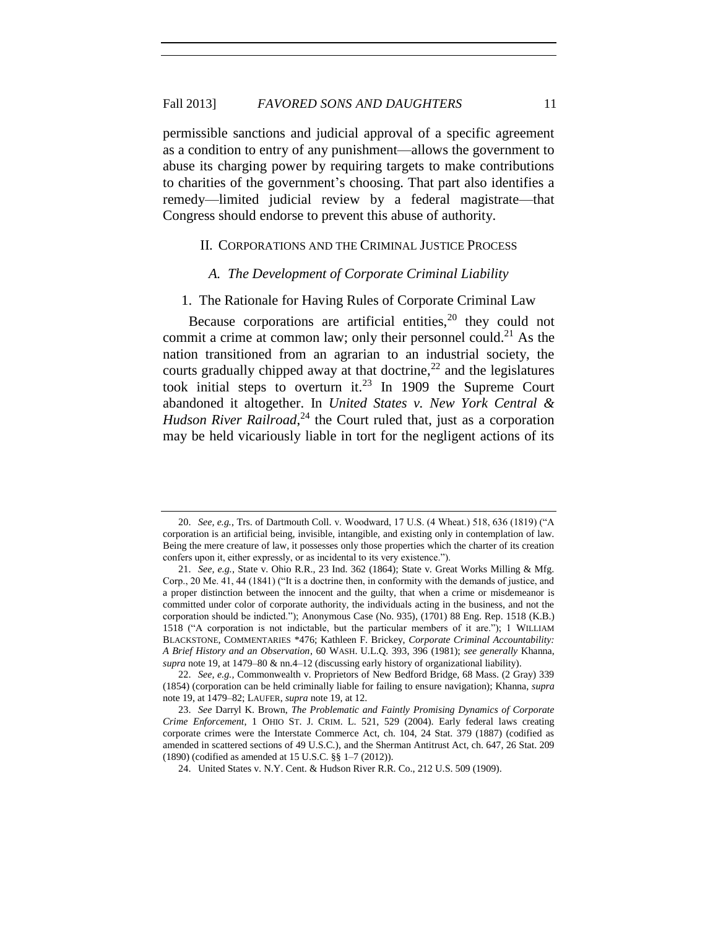permissible sanctions and judicial approval of a specific agreement as a condition to entry of any punishment—allows the government to abuse its charging power by requiring targets to make contributions to charities of the government's choosing. That part also identifies a remedy—limited judicial review by a federal magistrate—that Congress should endorse to prevent this abuse of authority.

#### II. CORPORATIONS AND THE CRIMINAL JUSTICE PROCESS

#### *A. The Development of Corporate Criminal Liability*

1. The Rationale for Having Rules of Corporate Criminal Law

Because corporations are artificial entities,  $20$  they could not commit a crime at common law; only their personnel could.<sup>21</sup> As the nation transitioned from an agrarian to an industrial society, the courts gradually chipped away at that doctrine,  $^{22}$  and the legislatures took initial steps to overturn it.<sup>23</sup> In 1909 the Supreme Court abandoned it altogether. In *United States v. New York Central & Hudson River Railroad*, <sup>24</sup> the Court ruled that, just as a corporation may be held vicariously liable in tort for the negligent actions of its

<sup>20.</sup> *See, e.g.*, Trs. of Dartmouth Coll. v. Woodward, 17 U.S. (4 Wheat.) 518, 636 (1819) ("A corporation is an artificial being, invisible, intangible, and existing only in contemplation of law. Being the mere creature of law, it possesses only those properties which the charter of its creation confers upon it, either expressly, or as incidental to its very existence.").

<sup>21.</sup> *See, e.g.*, State v. Ohio R.R., 23 Ind. 362 (1864); State v. Great Works Milling & Mfg. Corp., 20 Me. 41, 44 (1841) ("It is a doctrine then, in conformity with the demands of justice, and a proper distinction between the innocent and the guilty, that when a crime or misdemeanor is committed under color of corporate authority, the individuals acting in the business, and not the corporation should be indicted."); Anonymous Case (No. 935), (1701) 88 Eng. Rep. 1518 (K.B.) 1518 ("A corporation is not indictable, but the particular members of it are."); 1 WILLIAM BLACKSTONE, COMMENTARIES \*476; Kathleen F. Brickey, *Corporate Criminal Accountability: A Brief History and an Observation*, 60 WASH. U.L.Q. 393, 396 (1981); *see generally* Khanna, *supra* note 19, at 1479–80 & nn.4–12 (discussing early history of organizational liability).

<sup>22.</sup> *See, e.g.,* Commonwealth v. Proprietors of New Bedford Bridge, 68 Mass. (2 Gray) 339 (1854) (corporation can be held criminally liable for failing to ensure navigation); Khanna, *supra* note 19, at 1479–82; LAUFER, *supra* note 19, at 12.

<sup>23.</sup> *See* Darryl K. Brown, *The Problematic and Faintly Promising Dynamics of Corporate Crime Enforcement*, 1 OHIO ST. J. CRIM. L. 521, 529 (2004). Early federal laws creating corporate crimes were the Interstate Commerce Act, ch. 104, 24 Stat. 379 (1887) (codified as amended in scattered sections of 49 U.S.C.), and the Sherman Antitrust Act, ch. 647, 26 Stat. 209 (1890) (codified as amended at 15 U.S.C. §§ 1–7 (2012)).

<sup>24.</sup> United States v. N.Y. Cent. & Hudson River R.R. Co., 212 U.S. 509 (1909).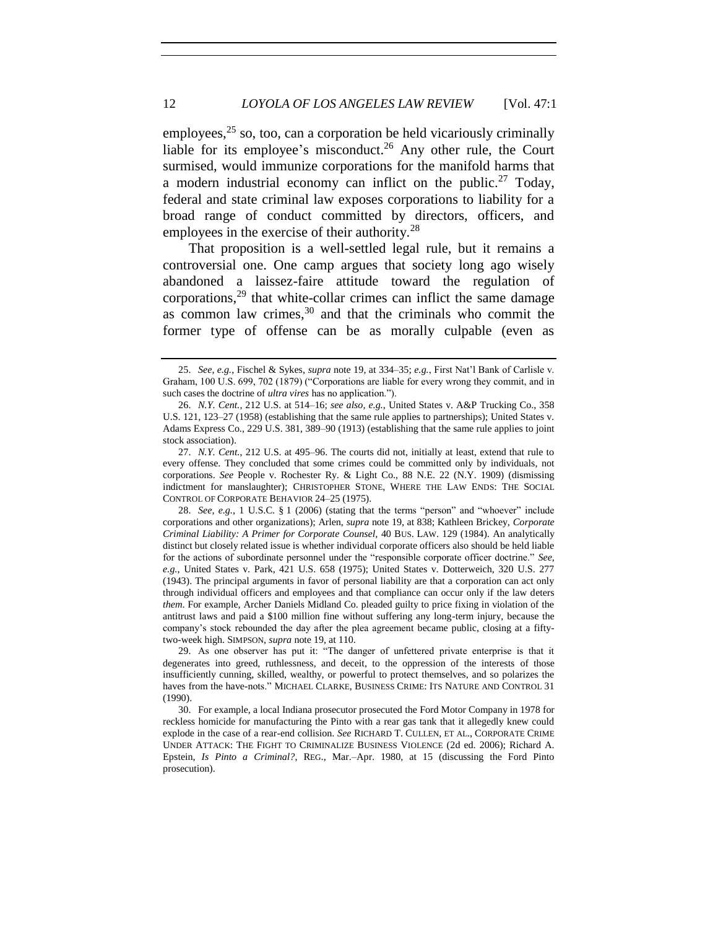employees,  $25$  so, too, can a corporation be held vicariously criminally liable for its employee's misconduct.<sup>26</sup> Any other rule, the Court surmised, would immunize corporations for the manifold harms that a modern industrial economy can inflict on the public.<sup>27</sup> Today, federal and state criminal law exposes corporations to liability for a broad range of conduct committed by directors, officers, and employees in the exercise of their authority.<sup>28</sup>

That proposition is a well-settled legal rule, but it remains a controversial one. One camp argues that society long ago wisely abandoned a laissez-faire attitude toward the regulation of corporations,<sup>29</sup> that white-collar crimes can inflict the same damage as common law crimes, $30$  and that the criminals who commit the former type of offense can be as morally culpable (even as

<sup>25.</sup> *See, e.g.*, Fischel & Sykes, *supra* note 19, at 334–35; *e.g.*, First Nat'l Bank of Carlisle v. Graham, 100 U.S. 699, 702 (1879) ("Corporations are liable for every wrong they commit, and in such cases the doctrine of *ultra vires* has no application.").

<sup>26.</sup> *N.Y. Cent.*, 212 U.S. at 514–16; *see also, e.g.*, United States v. A&P Trucking Co., 358 U.S. 121, 123–27 (1958) (establishing that the same rule applies to partnerships); United States v. Adams Express Co., 229 U.S. 381, 389–90 (1913) (establishing that the same rule applies to joint stock association).

<sup>27.</sup> *N.Y. Cent.*, 212 U.S. at 495–96. The courts did not, initially at least, extend that rule to every offense. They concluded that some crimes could be committed only by individuals, not corporations. *See* People v. Rochester Ry. & Light Co., 88 N.E. 22 (N.Y. 1909) (dismissing indictment for manslaughter); CHRISTOPHER STONE, WHERE THE LAW ENDS: THE SOCIAL CONTROL OF CORPORATE BEHAVIOR 24–25 (1975).

<sup>28.</sup> *See, e.g.*, 1 U.S.C. § 1 (2006) (stating that the terms "person" and "whoever" include corporations and other organizations); Arlen, *supra* note 19, at 838; Kathleen Brickey, *Corporate Criminal Liability: A Primer for Corporate Counsel,* 40 BUS. LAW. 129 (1984). An analytically distinct but closely related issue is whether individual corporate officers also should be held liable for the actions of subordinate personnel under the "responsible corporate officer doctrine." *See, e.g.*, United States v. Park, 421 U.S. 658 (1975); United States v. Dotterweich, 320 U.S. 277 (1943). The principal arguments in favor of personal liability are that a corporation can act only through individual officers and employees and that compliance can occur only if the law deters *them*. For example, Archer Daniels Midland Co. pleaded guilty to price fixing in violation of the antitrust laws and paid a \$100 million fine without suffering any long-term injury, because the company's stock rebounded the day after the plea agreement became public, closing at a fiftytwo-week high. SIMPSON, *supra* note 19, at 110.

<sup>29.</sup> As one observer has put it: "The danger of unfettered private enterprise is that it degenerates into greed, ruthlessness, and deceit, to the oppression of the interests of those insufficiently cunning, skilled, wealthy, or powerful to protect themselves, and so polarizes the haves from the have-nots." MICHAEL CLARKE, BUSINESS CRIME: ITS NATURE AND CONTROL 31 (1990).

<sup>30.</sup> For example, a local Indiana prosecutor prosecuted the Ford Motor Company in 1978 for reckless homicide for manufacturing the Pinto with a rear gas tank that it allegedly knew could explode in the case of a rear-end collision. *See* RICHARD T. CULLEN, ET AL., CORPORATE CRIME UNDER ATTACK: THE FIGHT TO CRIMINALIZE BUSINESS VIOLENCE (2d ed. 2006); Richard A. Epstein, *Is Pinto a Criminal?*, REG., Mar.–Apr. 1980, at 15 (discussing the Ford Pinto prosecution).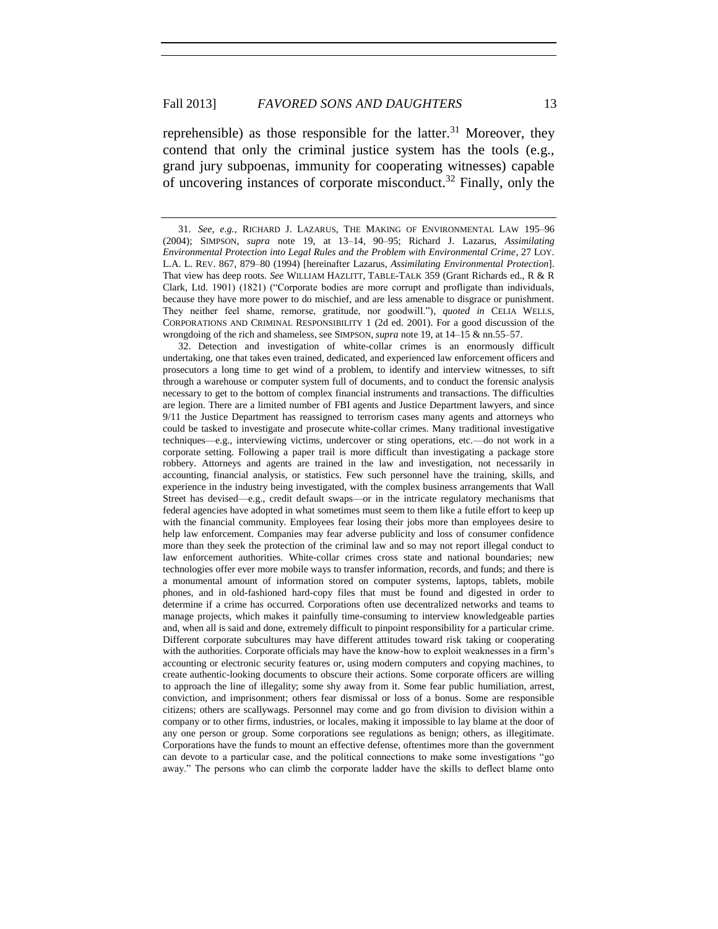reprehensible) as those responsible for the latter.<sup>31</sup> Moreover, they contend that only the criminal justice system has the tools (e.g., grand jury subpoenas, immunity for cooperating witnesses) capable of uncovering instances of corporate misconduct.<sup>32</sup> Finally, only the

32. Detection and investigation of white-collar crimes is an enormously difficult undertaking, one that takes even trained, dedicated, and experienced law enforcement officers and prosecutors a long time to get wind of a problem, to identify and interview witnesses, to sift through a warehouse or computer system full of documents, and to conduct the forensic analysis necessary to get to the bottom of complex financial instruments and transactions. The difficulties are legion. There are a limited number of FBI agents and Justice Department lawyers, and since 9/11 the Justice Department has reassigned to terrorism cases many agents and attorneys who could be tasked to investigate and prosecute white-collar crimes. Many traditional investigative techniques—e.g., interviewing victims, undercover or sting operations, etc.—do not work in a corporate setting. Following a paper trail is more difficult than investigating a package store robbery. Attorneys and agents are trained in the law and investigation, not necessarily in accounting, financial analysis, or statistics. Few such personnel have the training, skills, and experience in the industry being investigated, with the complex business arrangements that Wall Street has devised—e.g., credit default swaps—or in the intricate regulatory mechanisms that federal agencies have adopted in what sometimes must seem to them like a futile effort to keep up with the financial community. Employees fear losing their jobs more than employees desire to help law enforcement. Companies may fear adverse publicity and loss of consumer confidence more than they seek the protection of the criminal law and so may not report illegal conduct to law enforcement authorities. White-collar crimes cross state and national boundaries; new technologies offer ever more mobile ways to transfer information, records, and funds; and there is a monumental amount of information stored on computer systems, laptops, tablets, mobile phones, and in old-fashioned hard-copy files that must be found and digested in order to determine if a crime has occurred. Corporations often use decentralized networks and teams to manage projects, which makes it painfully time-consuming to interview knowledgeable parties and, when all is said and done, extremely difficult to pinpoint responsibility for a particular crime. Different corporate subcultures may have different attitudes toward risk taking or cooperating with the authorities. Corporate officials may have the know-how to exploit weaknesses in a firm's accounting or electronic security features or, using modern computers and copying machines, to create authentic-looking documents to obscure their actions. Some corporate officers are willing to approach the line of illegality; some shy away from it. Some fear public humiliation, arrest, conviction, and imprisonment; others fear dismissal or loss of a bonus. Some are responsible citizens; others are scallywags. Personnel may come and go from division to division within a company or to other firms, industries, or locales, making it impossible to lay blame at the door of any one person or group. Some corporations see regulations as benign; others, as illegitimate. Corporations have the funds to mount an effective defense, oftentimes more than the government can devote to a particular case, and the political connections to make some investigations "go away." The persons who can climb the corporate ladder have the skills to deflect blame onto

<sup>31.</sup> *See, e.g.*, RICHARD J. LAZARUS, THE MAKING OF ENVIRONMENTAL LAW 195–96 (2004); SIMPSON, *supra* note 19, at 13–14, 90–95; Richard J. Lazarus, *Assimilating Environmental Protection into Legal Rules and the Problem with Environmental Crime*, 27 LOY. L.A. L. REV. 867, 879–80 (1994) [hereinafter Lazarus, *Assimilating Environmental Protection*]. That view has deep roots. *See* WILLIAM HAZLITT, TABLE-TALK 359 (Grant Richards ed., R & R Clark, Ltd. 1901) (1821) ("Corporate bodies are more corrupt and profligate than individuals, because they have more power to do mischief, and are less amenable to disgrace or punishment. They neither feel shame, remorse, gratitude, nor goodwill."), *quoted in* CELIA WELLS, CORPORATIONS AND CRIMINAL RESPONSIBILITY 1 (2d ed. 2001). For a good discussion of the wrongdoing of the rich and shameless, see SIMPSON, *supra* note 19, at 14–15 & nn.55–57.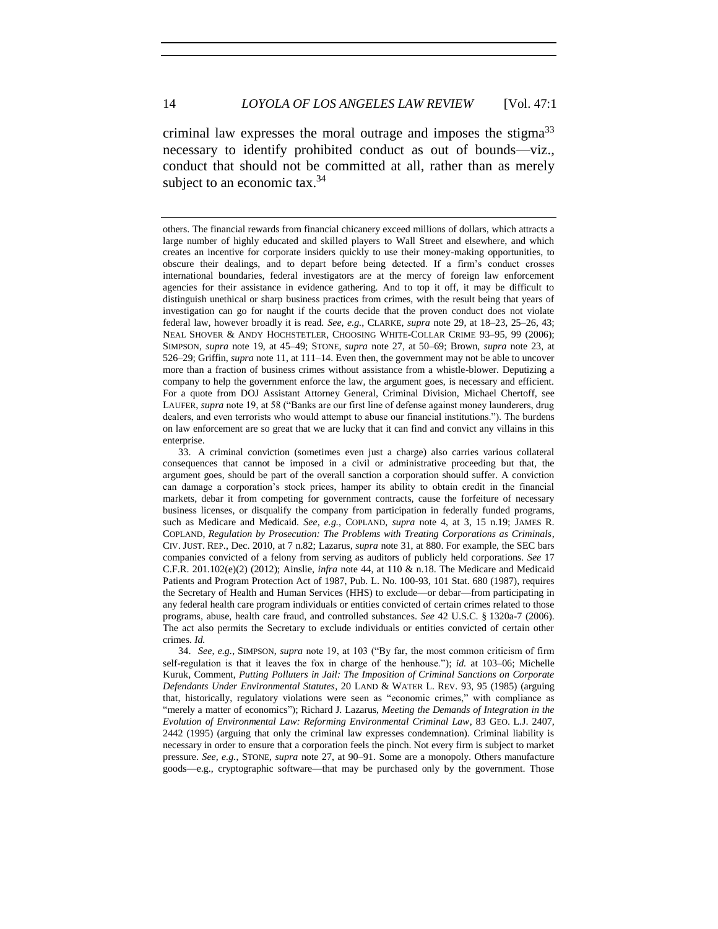criminal law expresses the moral outrage and imposes the stigma<sup>33</sup> necessary to identify prohibited conduct as out of bounds—viz., conduct that should not be committed at all, rather than as merely subject to an economic tax.  $34$ 

others. The financial rewards from financial chicanery exceed millions of dollars, which attracts a large number of highly educated and skilled players to Wall Street and elsewhere, and which creates an incentive for corporate insiders quickly to use their money-making opportunities, to obscure their dealings, and to depart before being detected. If a firm's conduct crosses international boundaries, federal investigators are at the mercy of foreign law enforcement agencies for their assistance in evidence gathering. And to top it off, it may be difficult to distinguish unethical or sharp business practices from crimes, with the result being that years of investigation can go for naught if the courts decide that the proven conduct does not violate federal law, however broadly it is read. *See, e.g.*, CLARKE, *supra* note 29, at 18–23, 25–26, 43; NEAL SHOVER & ANDY HOCHSTETLER, CHOOSING WHITE-COLLAR CRIME 93–95, 99 (2006); SIMPSON, *supra* note 19, at 45–49; STONE, *supra* note 27, at 50–69; Brown, *supra* note 23, at 526–29; Griffin, *supra* note 11, at 111–14. Even then, the government may not be able to uncover more than a fraction of business crimes without assistance from a whistle-blower. Deputizing a company to help the government enforce the law, the argument goes, is necessary and efficient. For a quote from DOJ Assistant Attorney General, Criminal Division, Michael Chertoff, see LAUFER, *supra* note 19, at 58 ("Banks are our first line of defense against money launderers, drug dealers, and even terrorists who would attempt to abuse our financial institutions."). The burdens on law enforcement are so great that we are lucky that it can find and convict any villains in this enterprise.

<sup>33.</sup> A criminal conviction (sometimes even just a charge) also carries various collateral consequences that cannot be imposed in a civil or administrative proceeding but that, the argument goes, should be part of the overall sanction a corporation should suffer. A conviction can damage a corporation's stock prices, hamper its ability to obtain credit in the financial markets, debar it from competing for government contracts, cause the forfeiture of necessary business licenses, or disqualify the company from participation in federally funded programs, such as Medicare and Medicaid. *See, e.g.*, COPLAND, *supra* note 4, at 3, 15 n.19; JAMES R. COPLAND, *Regulation by Prosecution: The Problems with Treating Corporations as Criminals*, CIV. JUST. REP., Dec. 2010, at 7 n.82; Lazarus, *supra* note 31, at 880. For example, the SEC bars companies convicted of a felony from serving as auditors of publicly held corporations. *See* 17 C.F.R. 201.102(e)(2) (2012); Ainslie, *infra* note 44, at 110 & n.18. The Medicare and Medicaid Patients and Program Protection Act of 1987, Pub. L. No. 100-93, 101 Stat. 680 (1987), requires the Secretary of Health and Human Services (HHS) to exclude—or debar—from participating in any federal health care program individuals or entities convicted of certain crimes related to those programs, abuse, health care fraud, and controlled substances. *See* 42 U.S.C. § 1320a-7 (2006). The act also permits the Secretary to exclude individuals or entities convicted of certain other crimes. *Id.*

<sup>34.</sup> *See, e.g.*, SIMPSON, *supra* note 19, at 103 ("By far, the most common criticism of firm self-regulation is that it leaves the fox in charge of the henhouse."); *id.* at 103–06; Michelle Kuruk, Comment, *Putting Polluters in Jail: The Imposition of Criminal Sanctions on Corporate Defendants Under Environmental Statutes*, 20 LAND & WATER L. REV. 93, 95 (1985) (arguing that, historically, regulatory violations were seen as "economic crimes," with compliance as "merely a matter of economics"); Richard J. Lazarus, *Meeting the Demands of Integration in the Evolution of Environmental Law: Reforming Environmental Criminal Law*, 83 GEO. L.J. 2407, 2442 (1995) (arguing that only the criminal law expresses condemnation). Criminal liability is necessary in order to ensure that a corporation feels the pinch. Not every firm is subject to market pressure. *See, e.g.*, STONE, *supra* note 27, at 90–91. Some are a monopoly. Others manufacture goods—e.g., cryptographic software—that may be purchased only by the government. Those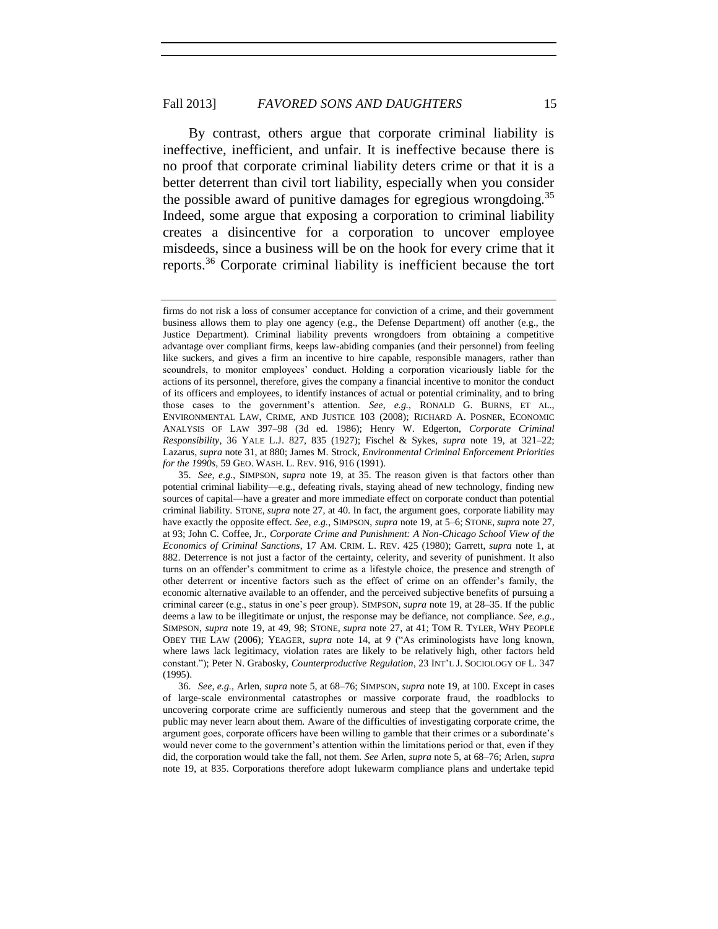By contrast, others argue that corporate criminal liability is ineffective, inefficient, and unfair. It is ineffective because there is no proof that corporate criminal liability deters crime or that it is a better deterrent than civil tort liability, especially when you consider the possible award of punitive damages for egregious wrongdoing.<sup>35</sup> Indeed, some argue that exposing a corporation to criminal liability creates a disincentive for a corporation to uncover employee misdeeds, since a business will be on the hook for every crime that it reports.<sup>36</sup> Corporate criminal liability is inefficient because the tort

firms do not risk a loss of consumer acceptance for conviction of a crime, and their government business allows them to play one agency (e.g., the Defense Department) off another (e.g., the Justice Department). Criminal liability prevents wrongdoers from obtaining a competitive advantage over compliant firms, keeps law-abiding companies (and their personnel) from feeling like suckers, and gives a firm an incentive to hire capable, responsible managers, rather than scoundrels, to monitor employees' conduct. Holding a corporation vicariously liable for the actions of its personnel, therefore, gives the company a financial incentive to monitor the conduct of its officers and employees, to identify instances of actual or potential criminality, and to bring those cases to the government's attention. *See, e.g.*, RONALD G. BURNS, ET AL., ENVIRONMENTAL LAW, CRIME, AND JUSTICE 103 (2008); RICHARD A. POSNER, ECONOMIC ANALYSIS OF LAW 397–98 (3d ed. 1986); Henry W. Edgerton, *Corporate Criminal Responsibility*, 36 YALE L.J. 827, 835 (1927); Fischel & Sykes, *supra* note 19, at 321–22; Lazarus, *supra* note 31, at 880; James M. Strock, *Environmental Criminal Enforcement Priorities for the 1990s*, 59 GEO. WASH. L. REV. 916, 916 (1991).

<sup>35.</sup> *See, e.g.*, SIMPSON, *supra* note 19, at 35. The reason given is that factors other than potential criminal liability—e.g., defeating rivals, staying ahead of new technology, finding new sources of capital—have a greater and more immediate effect on corporate conduct than potential criminal liability. STONE, *supra* note 27, at 40. In fact, the argument goes, corporate liability may have exactly the opposite effect. *See, e.g.*, SIMPSON, *supra* note 19, at 5–6; STONE, *supra* note 27, at 93; John C. Coffee, Jr., *Corporate Crime and Punishment: A Non-Chicago School View of the Economics of Criminal Sanctions*, 17 AM. CRIM. L. REV. 425 (1980); Garrett, *supra* note 1, at 882. Deterrence is not just a factor of the certainty, celerity, and severity of punishment. It also turns on an offender's commitment to crime as a lifestyle choice, the presence and strength of other deterrent or incentive factors such as the effect of crime on an offender's family, the economic alternative available to an offender, and the perceived subjective benefits of pursuing a criminal career (e.g., status in one's peer group). SIMPSON, *supra* note 19, at 28–35. If the public deems a law to be illegitimate or unjust, the response may be defiance, not compliance. *See, e.g.*, SIMPSON, *supra* note 19, at 49, 98; STONE, *supra* note 27, at 41; TOM R. TYLER, WHY PEOPLE OBEY THE LAW (2006); YEAGER, *supra* note 14, at 9 ("As criminologists have long known, where laws lack legitimacy, violation rates are likely to be relatively high, other factors held constant."); Peter N. Grabosky, *Counterproductive Regulation*, 23 INT'L J. SOCIOLOGY OF L. 347 (1995).

<sup>36.</sup> *See, e.g.*, Arlen, *supra* note 5, at 68–76; SIMPSON, *supra* note 19, at 100. Except in cases of large-scale environmental catastrophes or massive corporate fraud, the roadblocks to uncovering corporate crime are sufficiently numerous and steep that the government and the public may never learn about them. Aware of the difficulties of investigating corporate crime, the argument goes, corporate officers have been willing to gamble that their crimes or a subordinate's would never come to the government's attention within the limitations period or that, even if they did, the corporation would take the fall, not them. *See* Arlen, *supra* note 5, at 68–76; Arlen, *supra* note 19, at 835. Corporations therefore adopt lukewarm compliance plans and undertake tepid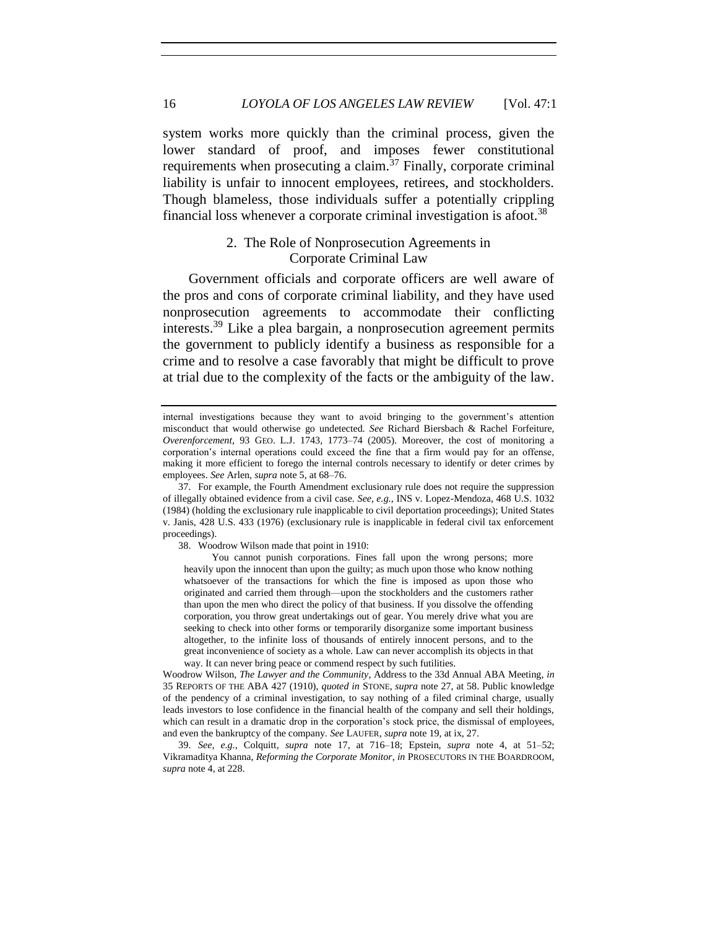system works more quickly than the criminal process, given the lower standard of proof, and imposes fewer constitutional requirements when prosecuting a claim.<sup>37</sup> Finally, corporate criminal liability is unfair to innocent employees, retirees, and stockholders. Though blameless, those individuals suffer a potentially crippling financial loss whenever a corporate criminal investigation is afoot.<sup>38</sup>

#### 2. The Role of Nonprosecution Agreements in Corporate Criminal Law

Government officials and corporate officers are well aware of the pros and cons of corporate criminal liability, and they have used nonprosecution agreements to accommodate their conflicting interests.<sup>39</sup> Like a plea bargain, a nonprosecution agreement permits the government to publicly identify a business as responsible for a crime and to resolve a case favorably that might be difficult to prove at trial due to the complexity of the facts or the ambiguity of the law.

38. Woodrow Wilson made that point in 1910:

You cannot punish corporations. Fines fall upon the wrong persons; more heavily upon the innocent than upon the guilty; as much upon those who know nothing whatsoever of the transactions for which the fine is imposed as upon those who originated and carried them through—upon the stockholders and the customers rather than upon the men who direct the policy of that business. If you dissolve the offending corporation, you throw great undertakings out of gear. You merely drive what you are seeking to check into other forms or temporarily disorganize some important business altogether, to the infinite loss of thousands of entirely innocent persons, and to the great inconvenience of society as a whole. Law can never accomplish its objects in that way. It can never bring peace or commend respect by such futilities.

Woodrow Wilson, *The Lawyer and the Community*, Address to the 33d Annual ABA Meeting, *in*  35 REPORTS OF THE ABA 427 (1910), *quoted in* STONE, *supra* note 27, at 58. Public knowledge of the pendency of a criminal investigation, to say nothing of a filed criminal charge, usually leads investors to lose confidence in the financial health of the company and sell their holdings, which can result in a dramatic drop in the corporation's stock price, the dismissal of employees, and even the bankruptcy of the company. *See* LAUFER, *supra* note 19, at ix, 27.

39. *See, e.g.*, Colquitt, *supra* note 17, at 716–18; Epstein, *supra* note 4, at 51–52; Vikramaditya Khanna, *Reforming the Corporate Monitor*, *in* PROSECUTORS IN THE BOARDROOM, *supra* note 4, at 228.

internal investigations because they want to avoid bringing to the government's attention misconduct that would otherwise go undetected. *See* Richard Biersbach & Rachel Forfeiture, *Overenforcement*, 93 GEO. L.J. 1743, 1773–74 (2005). Moreover, the cost of monitoring a corporation's internal operations could exceed the fine that a firm would pay for an offense, making it more efficient to forego the internal controls necessary to identify or deter crimes by employees. *See* Arlen, *supra* note 5, at 68–76.

<sup>37.</sup> For example, the Fourth Amendment exclusionary rule does not require the suppression of illegally obtained evidence from a civil case. *See, e.g.*, INS v. Lopez-Mendoza, 468 U.S. 1032 (1984) (holding the exclusionary rule inapplicable to civil deportation proceedings); United States v. Janis, 428 U.S. 433 (1976) (exclusionary rule is inapplicable in federal civil tax enforcement proceedings).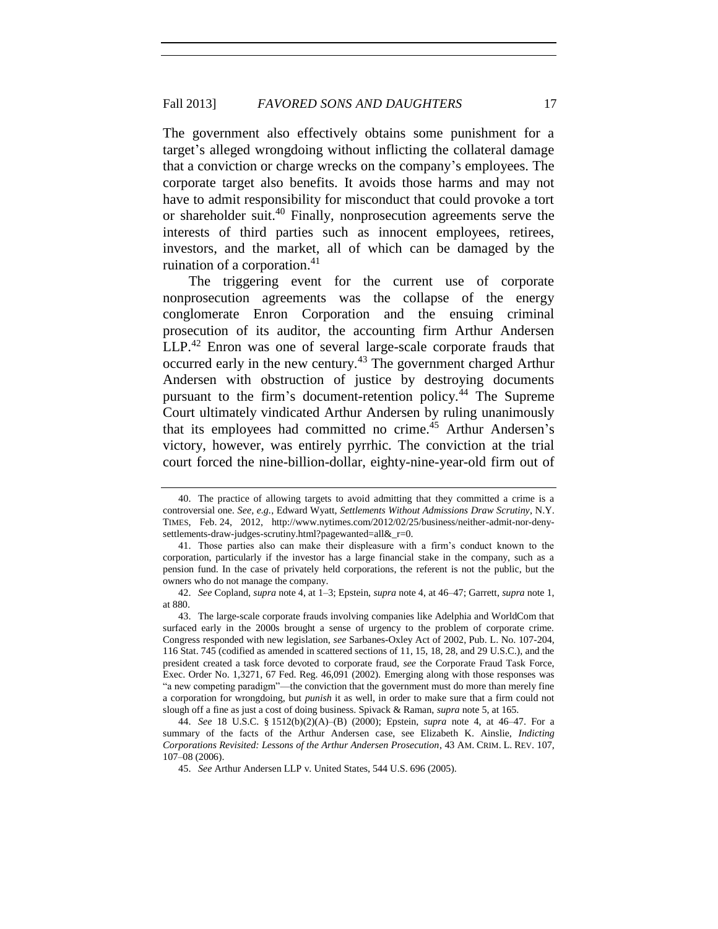The government also effectively obtains some punishment for a target's alleged wrongdoing without inflicting the collateral damage that a conviction or charge wrecks on the company's employees. The corporate target also benefits. It avoids those harms and may not have to admit responsibility for misconduct that could provoke a tort or shareholder suit.<sup>40</sup> Finally, nonprosecution agreements serve the interests of third parties such as innocent employees, retirees, investors, and the market, all of which can be damaged by the ruination of a corporation. $41$ 

The triggering event for the current use of corporate nonprosecution agreements was the collapse of the energy conglomerate Enron Corporation and the ensuing criminal prosecution of its auditor, the accounting firm Arthur Andersen LLP.<sup>42</sup> Enron was one of several large-scale corporate frauds that occurred early in the new century.<sup>43</sup> The government charged Arthur Andersen with obstruction of justice by destroying documents pursuant to the firm's document-retention policy.<sup>44</sup> The Supreme Court ultimately vindicated Arthur Andersen by ruling unanimously that its employees had committed no crime.<sup>45</sup> Arthur Andersen's victory, however, was entirely pyrrhic. The conviction at the trial court forced the nine-billion-dollar, eighty-nine-year-old firm out of

<sup>40.</sup> The practice of allowing targets to avoid admitting that they committed a crime is a controversial one. *See, e.g.*, Edward Wyatt, *Settlements Without Admissions Draw Scrutiny*, N.Y. TIMES, Feb. 24, 2012, http://www.nytimes.com/2012/02/25/business/neither-admit-nor-denysettlements-draw-judges-scrutiny.html?pagewanted=all&\_r=0.

<sup>41.</sup> Those parties also can make their displeasure with a firm's conduct known to the corporation, particularly if the investor has a large financial stake in the company, such as a pension fund. In the case of privately held corporations, the referent is not the public, but the owners who do not manage the company.

<sup>42.</sup> *See* Copland, *supra* note 4, at 1–3; Epstein, *supra* note 4, at 46–47; Garrett, *supra* note 1, at 880.

<sup>43.</sup> The large-scale corporate frauds involving companies like Adelphia and WorldCom that surfaced early in the 2000s brought a sense of urgency to the problem of corporate crime. Congress responded with new legislation, *see* Sarbanes-Oxley Act of 2002, Pub. L. No. 107-204, 116 Stat. 745 (codified as amended in scattered sections of 11, 15, 18, 28, and 29 U.S.C.), and the president created a task force devoted to corporate fraud, *see* the Corporate Fraud Task Force, Exec. Order No. 1,3271, 67 Fed. Reg. 46,091 (2002). Emerging along with those responses was "a new competing paradigm"—the conviction that the government must do more than merely fine a corporation for wrongdoing, but *punish* it as well, in order to make sure that a firm could not slough off a fine as just a cost of doing business. Spivack & Raman, *supra* note 5, at 165.

<sup>44.</sup> *See* 18 U.S.C. § 1512(b)(2)(A)–(B) (2000); Epstein, *supra* note 4, at 46–47. For a summary of the facts of the Arthur Andersen case, see Elizabeth K. Ainslie, *Indicting Corporations Revisited: Lessons of the Arthur Andersen Prosecution*, 43 AM. CRIM. L. REV. 107, 107–08 (2006).

<sup>45.</sup> *See* Arthur Andersen LLP v. United States, 544 U.S. 696 (2005).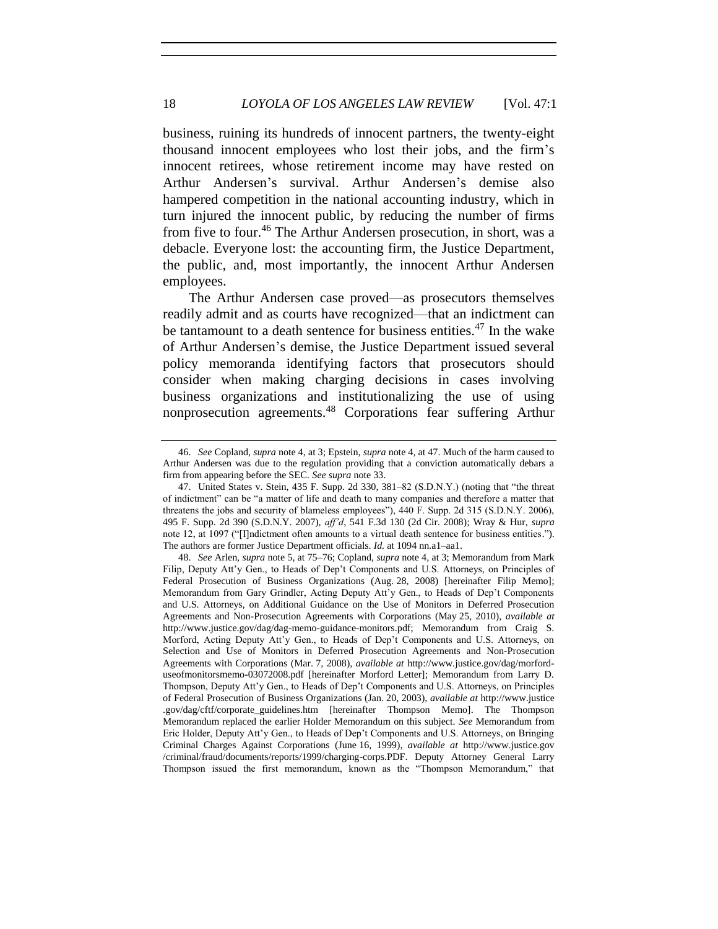business, ruining its hundreds of innocent partners, the twenty-eight thousand innocent employees who lost their jobs, and the firm's innocent retirees, whose retirement income may have rested on Arthur Andersen's survival. Arthur Andersen's demise also hampered competition in the national accounting industry, which in turn injured the innocent public, by reducing the number of firms from five to four.<sup>46</sup> The Arthur Andersen prosecution, in short, was a debacle. Everyone lost: the accounting firm, the Justice Department, the public, and, most importantly, the innocent Arthur Andersen employees.

The Arthur Andersen case proved—as prosecutors themselves readily admit and as courts have recognized—that an indictment can be tantamount to a death sentence for business entities.<sup>47</sup> In the wake of Arthur Andersen's demise, the Justice Department issued several policy memoranda identifying factors that prosecutors should consider when making charging decisions in cases involving business organizations and institutionalizing the use of using nonprosecution agreements.<sup>48</sup> Corporations fear suffering Arthur

<sup>46.</sup> *See* Copland, *supra* note 4, at 3; Epstein, *supra* note 4, at 47. Much of the harm caused to Arthur Andersen was due to the regulation providing that a conviction automatically debars a firm from appearing before the SEC. *See supra* note 33.

<sup>47.</sup> United States v. Stein, 435 F. Supp. 2d 330, 381–82 (S.D.N.Y.) (noting that "the threat of indictment" can be "a matter of life and death to many companies and therefore a matter that threatens the jobs and security of blameless employees"), 440 F. Supp. 2d 315 (S.D.N.Y. 2006), 495 F. Supp. 2d 390 (S.D.N.Y. 2007), *aff'd*, 541 F.3d 130 (2d Cir. 2008); Wray & Hur, *supra* note 12, at 1097 ("[I]ndictment often amounts to a virtual death sentence for business entities."). The authors are former Justice Department officials. *Id.* at 1094 nn.a1–aa1.

<sup>48.</sup> *See* Arlen, *supra* note 5, at 75–76; Copland, *supra* note 4, at 3; Memorandum from Mark Filip, Deputy Att'y Gen., to Heads of Dep't Components and U.S. Attorneys, on Principles of Federal Prosecution of Business Organizations (Aug. 28, 2008) [hereinafter Filip Memo]; Memorandum from Gary Grindler, Acting Deputy Att'y Gen., to Heads of Dep't Components and U.S. Attorneys, on Additional Guidance on the Use of Monitors in Deferred Prosecution Agreements and Non-Prosecution Agreements with Corporations (May 25, 2010), *available at* http://www.justice.gov/dag/dag-memo-guidance-monitors.pdf; Memorandum from Craig S. Morford, Acting Deputy Att'y Gen., to Heads of Dep't Components and U.S. Attorneys, on Selection and Use of Monitors in Deferred Prosecution Agreements and Non-Prosecution Agreements with Corporations (Mar. 7, 2008), *available at* http://www.justice.gov/dag/morforduseofmonitorsmemo-03072008.pdf [hereinafter Morford Letter]; Memorandum from Larry D. Thompson, Deputy Att'y Gen., to Heads of Dep't Components and U.S. Attorneys, on Principles of Federal Prosecution of Business Organizations (Jan. 20, 2003), *available at* http://www.justice .gov/dag/cftf/corporate\_guidelines.htm [hereinafter Thompson Memo]. The Thompson Memorandum replaced the earlier Holder Memorandum on this subject. *See* Memorandum from Eric Holder, Deputy Att'y Gen., to Heads of Dep't Components and U.S. Attorneys, on Bringing Criminal Charges Against Corporations (June 16, 1999), *available at* http://www.justice.gov /criminal/fraud/documents/reports/1999/charging-corps.PDF. Deputy Attorney General Larry Thompson issued the first memorandum, known as the "Thompson Memorandum," that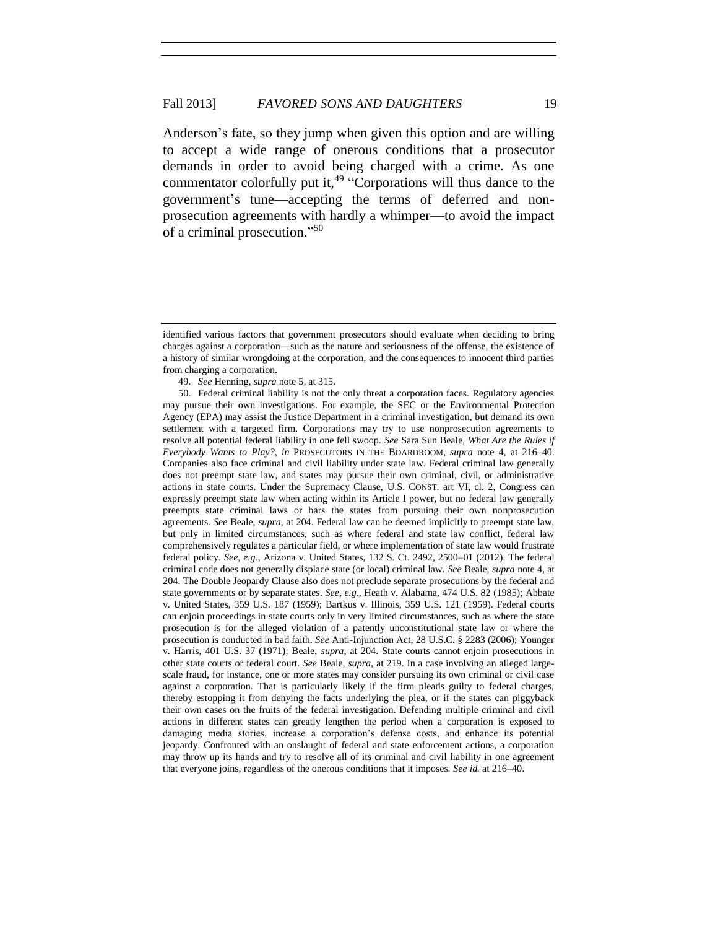Anderson's fate, so they jump when given this option and are willing to accept a wide range of onerous conditions that a prosecutor demands in order to avoid being charged with a crime. As one commentator colorfully put it, $49$  "Corporations will thus dance to the government's tune—accepting the terms of deferred and nonprosecution agreements with hardly a whimper—to avoid the impact of a criminal prosecution." 50

identified various factors that government prosecutors should evaluate when deciding to bring charges against a corporation—such as the nature and seriousness of the offense, the existence of a history of similar wrongdoing at the corporation, and the consequences to innocent third parties from charging a corporation.

<sup>49.</sup> *See* Henning, *supra* note 5, at 315.

<sup>50.</sup> Federal criminal liability is not the only threat a corporation faces. Regulatory agencies may pursue their own investigations. For example, the SEC or the Environmental Protection Agency (EPA) may assist the Justice Department in a criminal investigation, but demand its own settlement with a targeted firm. Corporations may try to use nonprosecution agreements to resolve all potential federal liability in one fell swoop. *See* Sara Sun Beale, *What Are the Rules if Everybody Wants to Play?*, *in* PROSECUTORS IN THE BOARDROOM, *supra* note 4, at 216–40. Companies also face criminal and civil liability under state law. Federal criminal law generally does not preempt state law, and states may pursue their own criminal, civil, or administrative actions in state courts. Under the Supremacy Clause, U.S. CONST. art VI, cl. 2, Congress can expressly preempt state law when acting within its Article I power, but no federal law generally preempts state criminal laws or bars the states from pursuing their own nonprosecution agreements. *See* Beale, *supra*, at 204. Federal law can be deemed implicitly to preempt state law, but only in limited circumstances, such as where federal and state law conflict, federal law comprehensively regulates a particular field, or where implementation of state law would frustrate federal policy. *See, e.g.*, Arizona v. United States, 132 S. Ct. 2492, 2500–01 (2012). The federal criminal code does not generally displace state (or local) criminal law. *See* Beale, *supra* note 4, at 204. The Double Jeopardy Clause also does not preclude separate prosecutions by the federal and state governments or by separate states. *See, e.g.*, Heath v. Alabama, 474 U.S. 82 (1985); Abbate v. United States, 359 U.S. 187 (1959); Bartkus v. Illinois, 359 U.S. 121 (1959). Federal courts can enjoin proceedings in state courts only in very limited circumstances, such as where the state prosecution is for the alleged violation of a patently unconstitutional state law or where the prosecution is conducted in bad faith. *See* Anti-Injunction Act, 28 U.S.C. § 2283 (2006); Younger v. Harris, 401 U.S. 37 (1971); Beale, *supra*, at 204. State courts cannot enjoin prosecutions in other state courts or federal court. *See* Beale, *supra*, at 219. In a case involving an alleged largescale fraud, for instance, one or more states may consider pursuing its own criminal or civil case against a corporation. That is particularly likely if the firm pleads guilty to federal charges, thereby estopping it from denying the facts underlying the plea, or if the states can piggyback their own cases on the fruits of the federal investigation. Defending multiple criminal and civil actions in different states can greatly lengthen the period when a corporation is exposed to damaging media stories, increase a corporation's defense costs, and enhance its potential jeopardy. Confronted with an onslaught of federal and state enforcement actions, a corporation may throw up its hands and try to resolve all of its criminal and civil liability in one agreement that everyone joins, regardless of the onerous conditions that it imposes. *See id.* at 216–40.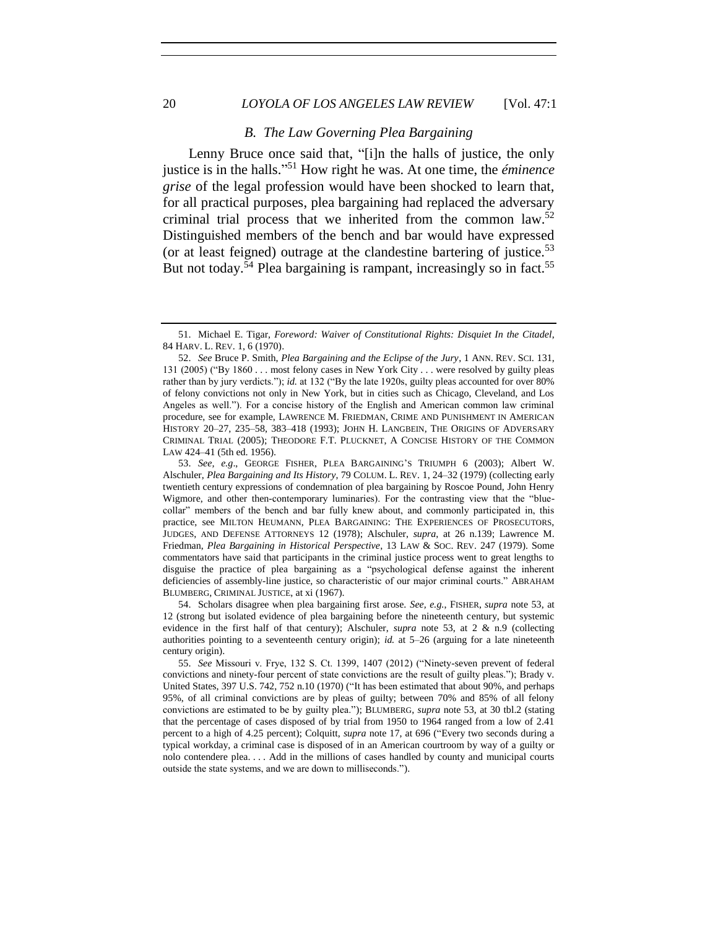#### 20 *LOYOLA OF LOS ANGELES LAW REVIEW* [Vol. 47:1

#### *B. The Law Governing Plea Bargaining*

Lenny Bruce once said that, "[i]n the halls of justice, the only justice is in the halls." <sup>51</sup> How right he was. At one time, the *éminence grise* of the legal profession would have been shocked to learn that, for all practical purposes, plea bargaining had replaced the adversary criminal trial process that we inherited from the common law.<sup>52</sup> Distinguished members of the bench and bar would have expressed (or at least feigned) outrage at the clandestine bartering of justice.<sup>53</sup> But not today.<sup>54</sup> Plea bargaining is rampant, increasingly so in fact.<sup>55</sup>

54. Scholars disagree when plea bargaining first arose. *See, e.g.*, FISHER, *supra* note 53, at 12 (strong but isolated evidence of plea bargaining before the nineteenth century, but systemic evidence in the first half of that century); Alschuler, *supra* note 53, at 2 & n.9 (collecting authorities pointing to a seventeenth century origin); *id.* at 5–26 (arguing for a late nineteenth century origin).

<sup>51.</sup> Michael E. Tigar, *Foreword: Waiver of Constitutional Rights: Disquiet In the Citadel*, 84 HARV. L. REV. 1, 6 (1970).

<sup>52.</sup> *See* Bruce P. Smith, *Plea Bargaining and the Eclipse of the Jury*, 1 ANN. REV. SCI. 131, 131 (2005) ("By 1860 . . . most felony cases in New York City . . . were resolved by guilty pleas rather than by jury verdicts."); *id.* at 132 ("By the late 1920s, guilty pleas accounted for over 80% of felony convictions not only in New York, but in cities such as Chicago, Cleveland, and Los Angeles as well."). For a concise history of the English and American common law criminal procedure, see for example, LAWRENCE M. FRIEDMAN, CRIME AND PUNISHMENT IN AMERICAN HISTORY 20–27, 235–58, 383–418 (1993); JOHN H. LANGBEIN, THE ORIGINS OF ADVERSARY CRIMINAL TRIAL (2005); THEODORE F.T. PLUCKNET, A CONCISE HISTORY OF THE COMMON LAW 424–41 (5th ed. 1956).

<sup>53.</sup> *See, e.g*., GEORGE FISHER, PLEA BARGAINING'S TRIUMPH 6 (2003); Albert W. Alschuler, *Plea Bargaining and Its History*, 79 COLUM. L. REV. 1, 24–32 (1979) (collecting early twentieth century expressions of condemnation of plea bargaining by Roscoe Pound, John Henry Wigmore, and other then-contemporary luminaries). For the contrasting view that the "bluecollar" members of the bench and bar fully knew about, and commonly participated in, this practice, see MILTON HEUMANN, PLEA BARGAINING: THE EXPERIENCES OF PROSECUTORS, JUDGES, AND DEFENSE ATTORNEYS 12 (1978); Alschuler, *supra*, at 26 n.139; Lawrence M. Friedman, *Plea Bargaining in Historical Perspective*, 13 LAW & SOC. REV. 247 (1979). Some commentators have said that participants in the criminal justice process went to great lengths to disguise the practice of plea bargaining as a "psychological defense against the inherent deficiencies of assembly-line justice, so characteristic of our major criminal courts." ABRAHAM BLUMBERG, CRIMINAL JUSTICE, at xi (1967).

<sup>55.</sup> *See* Missouri v. Frye, 132 S. Ct. 1399, 1407 (2012) ("Ninety-seven prevent of federal convictions and ninety-four percent of state convictions are the result of guilty pleas."); Brady v. United States, 397 U.S. 742, 752 n.10 (1970) ("It has been estimated that about 90%, and perhaps 95%, of all criminal convictions are by pleas of guilty; between 70% and 85% of all felony convictions are estimated to be by guilty plea."); BLUMBERG, *supra* note 53, at 30 tbl.2 (stating that the percentage of cases disposed of by trial from 1950 to 1964 ranged from a low of 2.41 percent to a high of 4.25 percent); Colquitt, *supra* note 17, at 696 ("Every two seconds during a typical workday, a criminal case is disposed of in an American courtroom by way of a guilty or nolo contendere plea. . . . Add in the millions of cases handled by county and municipal courts outside the state systems, and we are down to milliseconds.").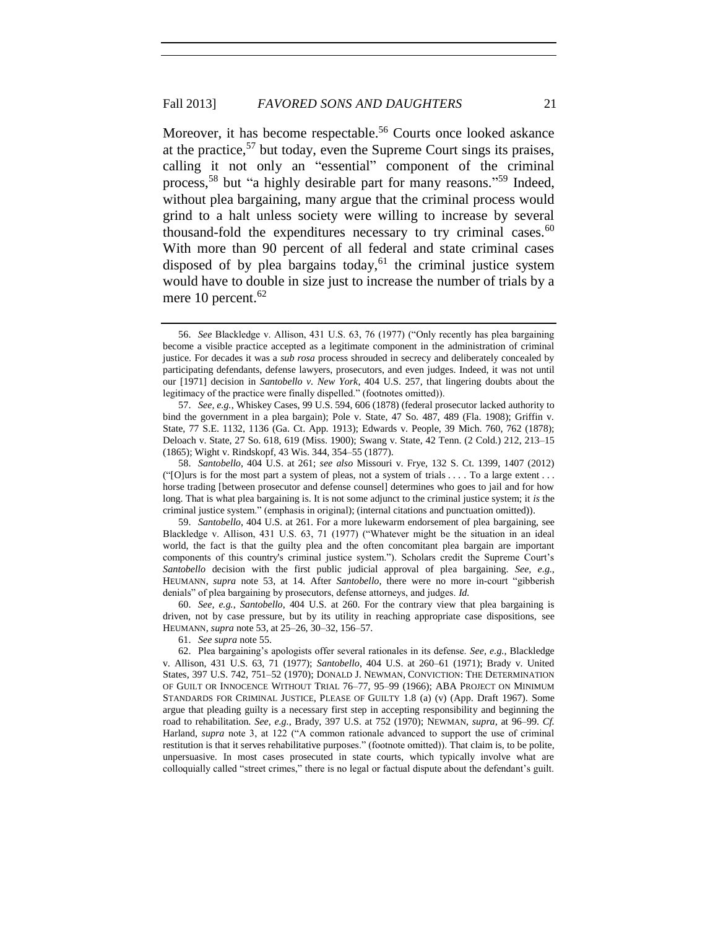Moreover, it has become respectable.<sup>56</sup> Courts once looked askance at the practice,  $57$  but today, even the Supreme Court sings its praises, calling it not only an "essential" component of the criminal process,<sup>58</sup> but "a highly desirable part for many reasons."<sup>59</sup> Indeed, without plea bargaining, many argue that the criminal process would grind to a halt unless society were willing to increase by several thousand-fold the expenditures necessary to try criminal cases. $60$ With more than 90 percent of all federal and state criminal cases disposed of by plea bargains today,  $61$  the criminal justice system would have to double in size just to increase the number of trials by a mere 10 percent. $62$ 

61. *See supra* note 55.

<sup>56.</sup> *See* Blackledge v. Allison, 431 U.S. 63, 76 (1977) ("Only recently has plea bargaining become a visible practice accepted as a legitimate component in the administration of criminal justice. For decades it was a *sub rosa* process shrouded in secrecy and deliberately concealed by participating defendants, defense lawyers, prosecutors, and even judges. Indeed, it was not until our [1971] decision in *Santobello v. New York*, 404 U.S. 257, that lingering doubts about the legitimacy of the practice were finally dispelled." (footnotes omitted)).

<sup>57.</sup> *See, e.g.*, Whiskey Cases, 99 U.S. 594, 606 (1878) (federal prosecutor lacked authority to bind the government in a plea bargain); Pole v. State, 47 So. 487, 489 (Fla. 1908); Griffin v. State, 77 S.E. 1132, 1136 (Ga. Ct. App. 1913); Edwards v. People, 39 Mich. 760, 762 (1878); Deloach v. State, 27 So. 618, 619 (Miss. 1900); Swang v. State, 42 Tenn. (2 Cold.) 212, 213–15 (1865); Wight v. Rindskopf, 43 Wis. 344, 354–55 (1877).

<sup>58.</sup> *Santobello*, 404 U.S. at 261; *see also* Missouri v. Frye, 132 S. Ct. 1399, 1407 (2012) ("[O]urs is for the most part a system of pleas, not a system of trials . . . . To a large extent . . . horse trading [between prosecutor and defense counsel] determines who goes to jail and for how long. That is what plea bargaining is. It is not some adjunct to the criminal justice system; it *is* the criminal justice system." (emphasis in original); (internal citations and punctuation omitted)).

<sup>59.</sup> *Santobello*, 404 U.S. at 261. For a more lukewarm endorsement of plea bargaining, see Blackledge v. Allison, 431 U.S. 63, 71 (1977) ("Whatever might be the situation in an ideal world, the fact is that the guilty plea and the often concomitant plea bargain are important components of this country's criminal justice system."). Scholars credit the Supreme Court's *Santobello* decision with the first public judicial approval of plea bargaining. *See, e.g.*, HEUMANN, *supra* note 53, at 14. After *Santobello*, there were no more in-court "gibberish denials" of plea bargaining by prosecutors, defense attorneys, and judges. *Id.*

<sup>60.</sup> *See, e.g.*, *Santobello*, 404 U.S. at 260. For the contrary view that plea bargaining is driven, not by case pressure, but by its utility in reaching appropriate case dispositions, see HEUMANN, *supra* note 53, at 25–26, 30–32, 156–57.

<sup>62.</sup> Plea bargaining's apologists offer several rationales in its defense. *See, e.g.*, Blackledge v. Allison, 431 U.S. 63, 71 (1977); *Santobello*, 404 U.S. at 260–61 (1971); Brady v. United States, 397 U.S. 742, 751–52 (1970); DONALD J. NEWMAN, CONVICTION: THE DETERMINATION OF GUILT OR INNOCENCE WITHOUT TRIAL 76–77, 95–99 (1966); ABA PROJECT ON MINIMUM STANDARDS FOR CRIMINAL JUSTICE, PLEASE OF GUILTY 1.8 (a) (v) (App. Draft 1967). Some argue that pleading guilty is a necessary first step in accepting responsibility and beginning the road to rehabilitation. *See, e.g.*, Brady, 397 U.S. at 752 (1970); NEWMAN, *supra*, at 96–99. *Cf.* Harland, *supra* note 3, at 122 ("A common rationale advanced to support the use of criminal restitution is that it serves rehabilitative purposes." (footnote omitted)). That claim is, to be polite, unpersuasive. In most cases prosecuted in state courts, which typically involve what are colloquially called "street crimes," there is no legal or factual dispute about the defendant's guilt.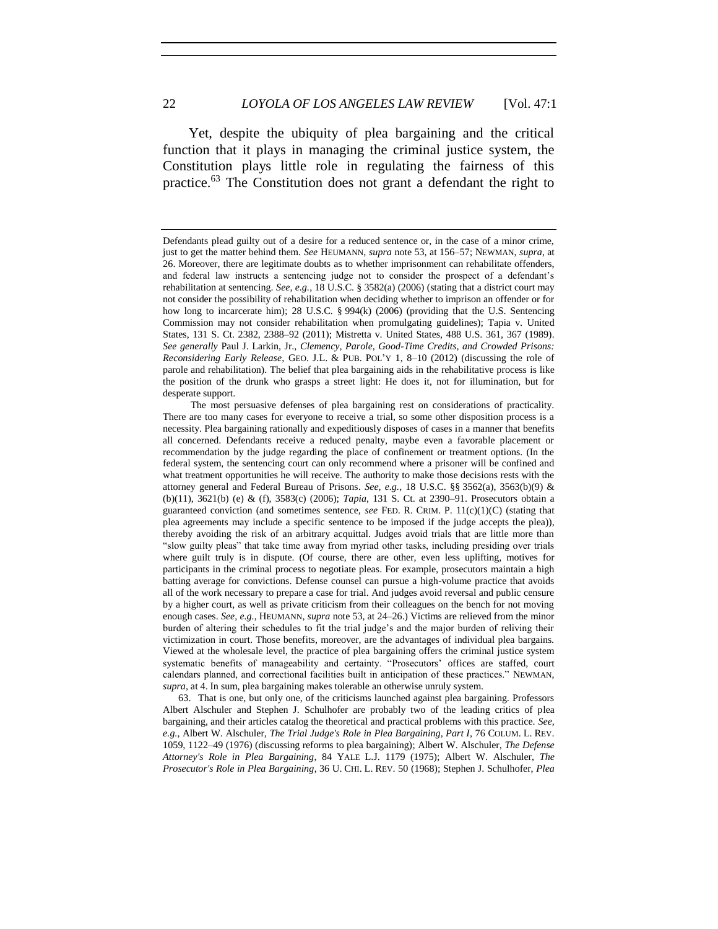Yet, despite the ubiquity of plea bargaining and the critical function that it plays in managing the criminal justice system, the Constitution plays little role in regulating the fairness of this practice.<sup>63</sup> The Constitution does not grant a defendant the right to

Defendants plead guilty out of a desire for a reduced sentence or, in the case of a minor crime, just to get the matter behind them. *See* HEUMANN, *supra* note 53, at 156–57; NEWMAN, *supra*, at 26. Moreover, there are legitimate doubts as to whether imprisonment can rehabilitate offenders, and federal law instructs a sentencing judge not to consider the prospect of a defendant's rehabilitation at sentencing. *See, e.g.*, 18 U.S.C. § 3582(a) (2006) (stating that a district court may not consider the possibility of rehabilitation when deciding whether to imprison an offender or for how long to incarcerate him); 28 U.S.C. § 994(k) (2006) (providing that the U.S. Sentencing Commission may not consider rehabilitation when promulgating guidelines); Tapia v. United States, 131 S. Ct. 2382, 2388–92 (2011); Mistretta v. United States, 488 U.S. 361, 367 (1989). *See generally* Paul J. Larkin, Jr., *Clemency, Parole, Good-Time Credits, and Crowded Prisons: Reconsidering Early Release*, GEO. J.L. & PUB. POL'Y 1, 8–10 (2012) (discussing the role of parole and rehabilitation). The belief that plea bargaining aids in the rehabilitative process is like the position of the drunk who grasps a street light: He does it, not for illumination, but for desperate support.

The most persuasive defenses of plea bargaining rest on considerations of practicality. There are too many cases for everyone to receive a trial, so some other disposition process is a necessity. Plea bargaining rationally and expeditiously disposes of cases in a manner that benefits all concerned. Defendants receive a reduced penalty, maybe even a favorable placement or recommendation by the judge regarding the place of confinement or treatment options. (In the federal system, the sentencing court can only recommend where a prisoner will be confined and what treatment opportunities he will receive. The authority to make those decisions rests with the attorney general and Federal Bureau of Prisons. *See, e.g.*, 18 U.S.C. §§ 3562(a), 3563(b)(9) & (b)(11), 3621(b) (e) & (f), 3583(c) (2006); *Tapia*, 131 S. Ct. at 2390–91. Prosecutors obtain a guaranteed conviction (and sometimes sentence, *see* FED. R. CRIM. P. 11(c)(1)(C) (stating that plea agreements may include a specific sentence to be imposed if the judge accepts the plea)), thereby avoiding the risk of an arbitrary acquittal. Judges avoid trials that are little more than "slow guilty pleas" that take time away from myriad other tasks, including presiding over trials where guilt truly is in dispute. (Of course, there are other, even less uplifting, motives for participants in the criminal process to negotiate pleas. For example, prosecutors maintain a high batting average for convictions. Defense counsel can pursue a high-volume practice that avoids all of the work necessary to prepare a case for trial. And judges avoid reversal and public censure by a higher court, as well as private criticism from their colleagues on the bench for not moving enough cases. *See, e.g.*, HEUMANN, *supra* note 53, at 24–26.) Victims are relieved from the minor burden of altering their schedules to fit the trial judge's and the major burden of reliving their victimization in court. Those benefits, moreover, are the advantages of individual plea bargains. Viewed at the wholesale level, the practice of plea bargaining offers the criminal justice system systematic benefits of manageability and certainty. "Prosecutors' offices are staffed, court calendars planned, and correctional facilities built in anticipation of these practices." NEWMAN, *supra*, at 4. In sum, plea bargaining makes tolerable an otherwise unruly system.

<sup>63.</sup> That is one, but only one, of the criticisms launched against plea bargaining. Professors Albert Alschuler and Stephen J. Schulhofer are probably two of the leading critics of plea bargaining, and their articles catalog the theoretical and practical problems with this practice. *See, e.g.*, Albert W. Alschuler, *The Trial Judge's Role in Plea Bargaining, Part I*, 76 COLUM. L. REV. 1059, 1122–49 (1976) (discussing reforms to plea bargaining); Albert W. Alschuler, *The Defense Attorney's Role in Plea Bargaining*, 84 YALE L.J. 1179 (1975); Albert W. Alschuler, *The Prosecutor's Role in Plea Bargaining*, 36 U. CHI. L. REV. 50 (1968); Stephen J. Schulhofer, *Plea*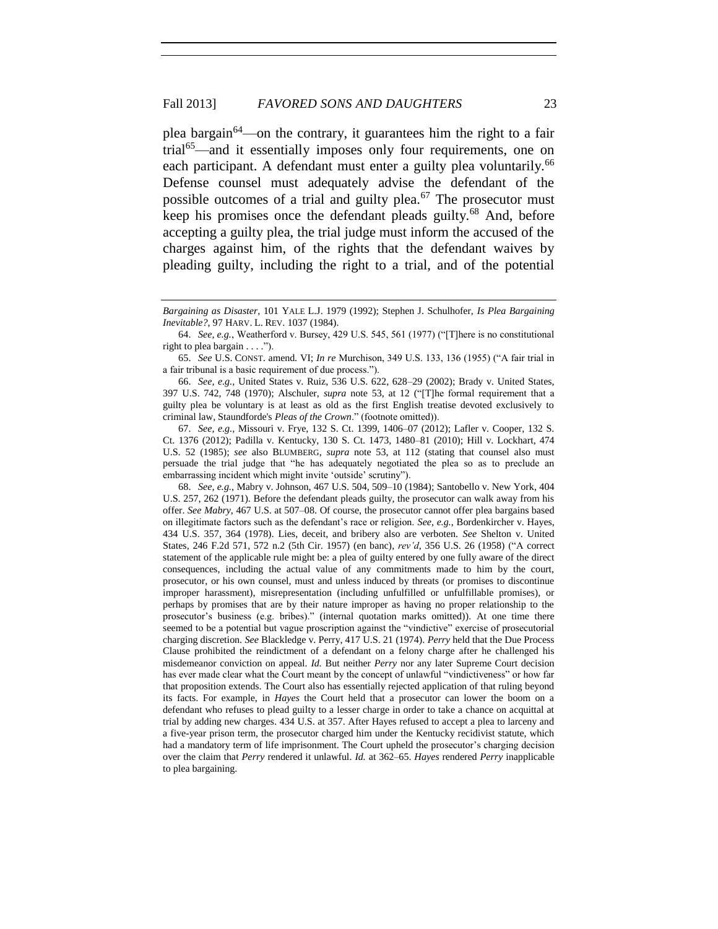plea bargain<sup>64</sup>—on the contrary, it guarantees him the right to a fair trial<sup>65</sup>—and it essentially imposes only four requirements, one on each participant. A defendant must enter a guilty plea voluntarily.<sup>66</sup> Defense counsel must adequately advise the defendant of the possible outcomes of a trial and guilty plea. $67$  The prosecutor must keep his promises once the defendant pleads guilty.<sup>68</sup> And, before accepting a guilty plea, the trial judge must inform the accused of the charges against him, of the rights that the defendant waives by pleading guilty, including the right to a trial, and of the potential

67. *See, e.g.*, Missouri v. Frye, 132 S. Ct. 1399, 1406–07 (2012); Lafler v. Cooper, 132 S. Ct. 1376 (2012); Padilla v. Kentucky, 130 S. Ct. 1473, 1480–81 (2010); Hill v. Lockhart, 474 U.S. 52 (1985); *see* also BLUMBERG, *supra* note 53, at 112 (stating that counsel also must persuade the trial judge that "he has adequately negotiated the plea so as to preclude an embarrassing incident which might invite 'outside' scrutiny").

68. *See, e.g.*, Mabry v. Johnson, 467 U.S. 504, 509–10 (1984); Santobello v. New York, 404 U.S. 257, 262 (1971). Before the defendant pleads guilty, the prosecutor can walk away from his offer. *See Mabry*, 467 U.S. at 507–08. Of course, the prosecutor cannot offer plea bargains based on illegitimate factors such as the defendant's race or religion. *See, e.g.*, Bordenkircher v. Hayes, 434 U.S. 357, 364 (1978). Lies, deceit, and bribery also are verboten. *See* Shelton v. United States, 246 F.2d 571, 572 n.2 (5th Cir. 1957) (en banc), *rev'd*, 356 U.S. 26 (1958) ("A correct statement of the applicable rule might be: a plea of guilty entered by one fully aware of the direct consequences, including the actual value of any commitments made to him by the court, prosecutor, or his own counsel, must and unless induced by threats (or promises to discontinue improper harassment), misrepresentation (including unfulfilled or unfulfillable promises), or perhaps by promises that are by their nature improper as having no proper relationship to the prosecutor's business (e.g. bribes)." (internal quotation marks omitted)). At one time there seemed to be a potential but vague proscription against the "vindictive" exercise of prosecutorial charging discretion. *See* Blackledge v. Perry, 417 U.S. 21 (1974). *Perry* held that the Due Process Clause prohibited the reindictment of a defendant on a felony charge after he challenged his misdemeanor conviction on appeal. *Id.* But neither *Perry* nor any later Supreme Court decision has ever made clear what the Court meant by the concept of unlawful "vindictiveness" or how far that proposition extends. The Court also has essentially rejected application of that ruling beyond its facts. For example, in *Hayes* the Court held that a prosecutor can lower the boom on a defendant who refuses to plead guilty to a lesser charge in order to take a chance on acquittal at trial by adding new charges. 434 U.S. at 357. After Hayes refused to accept a plea to larceny and a five-year prison term, the prosecutor charged him under the Kentucky recidivist statute, which had a mandatory term of life imprisonment. The Court upheld the prosecutor's charging decision over the claim that *Perry* rendered it unlawful. *Id.* at 362–65. *Hayes* rendered *Perry* inapplicable to plea bargaining.

*Bargaining as Disaster*, 101 YALE L.J. 1979 (1992); Stephen J. Schulhofer, *Is Plea Bargaining Inevitable?*, 97 HARV. L. REV. 1037 (1984).

<sup>64.</sup> *See, e.g.*, Weatherford v. Bursey, 429 U.S. 545, 561 (1977) ("[T]here is no constitutional right to plea bargain . . . .").

<sup>65.</sup> *See* U.S. CONST. amend. VI; *In re* Murchison, 349 U.S. 133, 136 (1955) ("A fair trial in a fair tribunal is a basic requirement of due process.").

<sup>66.</sup> *See, e.g.*, United States v. Ruiz, 536 U.S. 622, 628–29 (2002); Brady v. United States, 397 U.S. 742, 748 (1970); Alschuler, *supra* note 53, at 12 ("[T]he formal requirement that a guilty plea be voluntary is at least as old as the first English treatise devoted exclusively to criminal law, Staundforde's *Pleas of the Crown*." (footnote omitted)).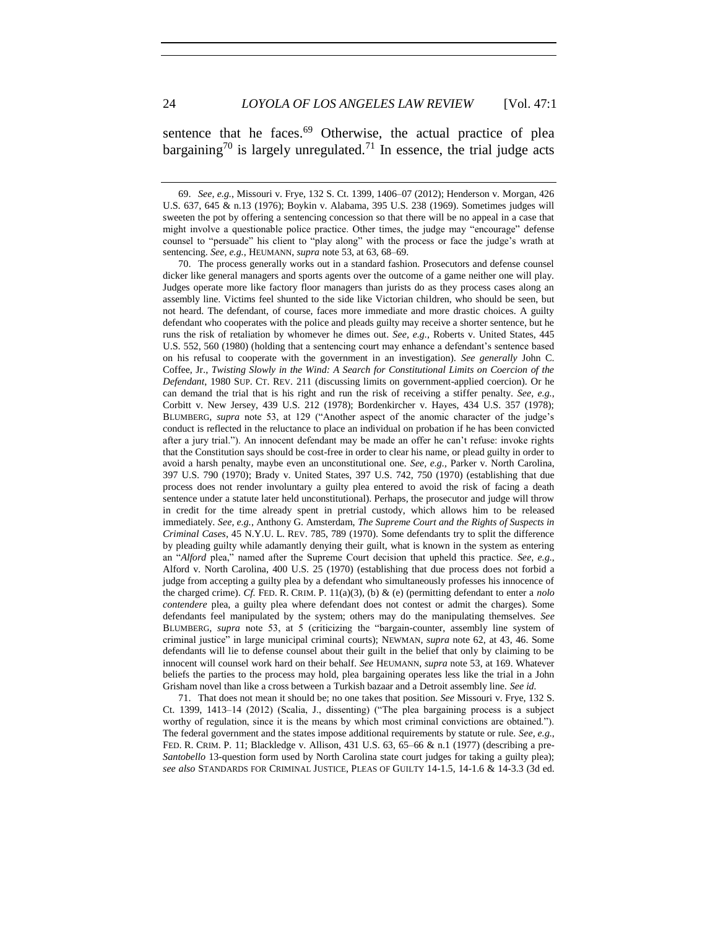sentence that he faces.<sup>69</sup> Otherwise, the actual practice of plea bargaining<sup>70</sup> is largely unregulated.<sup>71</sup> In essence, the trial judge acts

70. The process generally works out in a standard fashion. Prosecutors and defense counsel dicker like general managers and sports agents over the outcome of a game neither one will play. Judges operate more like factory floor managers than jurists do as they process cases along an assembly line. Victims feel shunted to the side like Victorian children, who should be seen, but not heard. The defendant, of course, faces more immediate and more drastic choices. A guilty defendant who cooperates with the police and pleads guilty may receive a shorter sentence, but he runs the risk of retaliation by whomever he dimes out. *See, e.g.*, Roberts v. United States, 445 U.S. 552, 560 (1980) (holding that a sentencing court may enhance a defendant's sentence based on his refusal to cooperate with the government in an investigation). *See generally* John C. Coffee, Jr., *Twisting Slowly in the Wind: A Search for Constitutional Limits on Coercion of the Defendant*, 1980 SUP. CT. REV. 211 (discussing limits on government-applied coercion). Or he can demand the trial that is his right and run the risk of receiving a stiffer penalty. *See, e.g.*, Corbitt v. New Jersey, 439 U.S. 212 (1978); Bordenkircher v. Hayes, 434 U.S. 357 (1978); BLUMBERG, *supra* note 53, at 129 ("Another aspect of the anomic character of the judge's conduct is reflected in the reluctance to place an individual on probation if he has been convicted after a jury trial."). An innocent defendant may be made an offer he can't refuse: invoke rights that the Constitution says should be cost-free in order to clear his name, or plead guilty in order to avoid a harsh penalty, maybe even an unconstitutional one. *See, e.g.,* Parker v. North Carolina, 397 U.S. 790 (1970); Brady v. United States, 397 U.S. 742, 750 (1970) (establishing that due process does not render involuntary a guilty plea entered to avoid the risk of facing a death sentence under a statute later held unconstitutional). Perhaps, the prosecutor and judge will throw in credit for the time already spent in pretrial custody, which allows him to be released immediately. *See, e.g.*, Anthony G. Amsterdam, *The Supreme Court and the Rights of Suspects in Criminal Cases*, 45 N.Y.U. L. REV. 785, 789 (1970). Some defendants try to split the difference by pleading guilty while adamantly denying their guilt, what is known in the system as entering an "*Alford* plea," named after the Supreme Court decision that upheld this practice. *See, e.g.*, Alford v. North Carolina, 400 U.S. 25 (1970) (establishing that due process does not forbid a judge from accepting a guilty plea by a defendant who simultaneously professes his innocence of the charged crime). *Cf.* FED. R. CRIM. P. 11(a)(3), (b) & (e) (permitting defendant to enter a *nolo contendere* plea, a guilty plea where defendant does not contest or admit the charges). Some defendants feel manipulated by the system; others may do the manipulating themselves. *See* BLUMBERG, *supra* note 53, at 5 (criticizing the "bargain-counter, assembly line system of criminal justice" in large municipal criminal courts); NEWMAN, *supra* note 62, at 43, 46. Some defendants will lie to defense counsel about their guilt in the belief that only by claiming to be innocent will counsel work hard on their behalf. *See* HEUMANN, *supra* note 53, at 169. Whatever beliefs the parties to the process may hold, plea bargaining operates less like the trial in a John Grisham novel than like a cross between a Turkish bazaar and a Detroit assembly line. *See id.*

71. That does not mean it should be; no one takes that position. *See* Missouri v. Frye, 132 S. Ct. 1399, 1413–14 (2012) (Scalia, J., dissenting) ("The plea bargaining process is a subject worthy of regulation, since it is the means by which most criminal convictions are obtained."). The federal government and the states impose additional requirements by statute or rule. *See, e.g.*, FED. R. CRIM. P. 11; Blackledge v. Allison, 431 U.S. 63, 65–66 & n.1 (1977) (describing a pre-*Santobello* 13-question form used by North Carolina state court judges for taking a guilty plea); *see also* STANDARDS FOR CRIMINAL JUSTICE, PLEAS OF GUILTY 14-1.5, 14-1.6 & 14-3.3 (3d ed.

<sup>69.</sup> *See, e.g.*, Missouri v. Frye, 132 S. Ct. 1399, 1406–07 (2012); Henderson v. Morgan, 426 U.S. 637, 645 & n.13 (1976); Boykin v. Alabama, 395 U.S. 238 (1969). Sometimes judges will sweeten the pot by offering a sentencing concession so that there will be no appeal in a case that might involve a questionable police practice. Other times, the judge may "encourage" defense counsel to "persuade" his client to "play along" with the process or face the judge's wrath at sentencing. *See, e.g.*, HEUMANN, *supra* note 53, at 63, 68–69.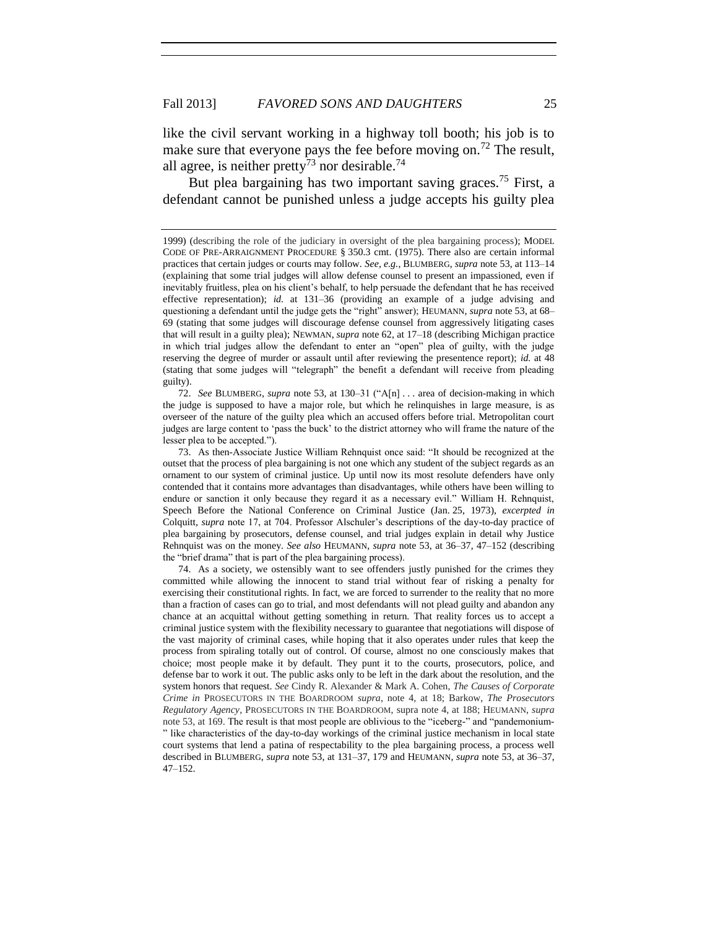like the civil servant working in a highway toll booth; his job is to make sure that everyone pays the fee before moving on.<sup>72</sup> The result, all agree, is neither pretty<sup>73</sup> nor desirable.<sup>74</sup>

But plea bargaining has two important saving graces.<sup>75</sup> First, a defendant cannot be punished unless a judge accepts his guilty plea

72. *See* BLUMBERG, *supra* note 53, at 130–31 ("A[n] . . . area of decision-making in which the judge is supposed to have a major role, but which he relinquishes in large measure, is as overseer of the nature of the guilty plea which an accused offers before trial. Metropolitan court judges are large content to 'pass the buck' to the district attorney who will frame the nature of the lesser plea to be accepted.").

73. As then-Associate Justice William Rehnquist once said: "It should be recognized at the outset that the process of plea bargaining is not one which any student of the subject regards as an ornament to our system of criminal justice. Up until now its most resolute defenders have only contended that it contains more advantages than disadvantages, while others have been willing to endure or sanction it only because they regard it as a necessary evil." William H. Rehnquist, Speech Before the National Conference on Criminal Justice (Jan. 25, 1973), *excerpted in* Colquitt, *supra* note 17, at 704. Professor Alschuler's descriptions of the day-to-day practice of plea bargaining by prosecutors, defense counsel, and trial judges explain in detail why Justice Rehnquist was on the money. *See also* HEUMANN, *supra* note 53, at 36–37, 47–152 (describing the "brief drama" that is part of the plea bargaining process).

74. As a society, we ostensibly want to see offenders justly punished for the crimes they committed while allowing the innocent to stand trial without fear of risking a penalty for exercising their constitutional rights. In fact, we are forced to surrender to the reality that no more than a fraction of cases can go to trial, and most defendants will not plead guilty and abandon any chance at an acquittal without getting something in return. That reality forces us to accept a criminal justice system with the flexibility necessary to guarantee that negotiations will dispose of the vast majority of criminal cases, while hoping that it also operates under rules that keep the process from spiraling totally out of control. Of course, almost no one consciously makes that choice; most people make it by default. They punt it to the courts, prosecutors, police, and defense bar to work it out. The public asks only to be left in the dark about the resolution, and the system honors that request. *See* Cindy R. Alexander & Mark A. Cohen, *The Causes of Corporate Crime in* PROSECUTORS IN THE BOARDROOM *supra*, note 4, at 18; Barkow, *The Prosecutors Regulatory Agency*, PROSECUTORS IN THE BOARDROOM, supra note 4, at 188; HEUMANN, *supra* note 53, at 169. The result is that most people are oblivious to the "iceberg-" and "pandemonium- " like characteristics of the day-to-day workings of the criminal justice mechanism in local state court systems that lend a patina of respectability to the plea bargaining process, a process well described in BLUMBERG, *supra* note 53, at 131–37, 179 and HEUMANN, *supra* note 53, at 36–37, 47–152.

<sup>1999) (</sup>describing the role of the judiciary in oversight of the plea bargaining process); MODEL CODE OF PRE-ARRAIGNMENT PROCEDURE § 350.3 cmt. (1975). There also are certain informal practices that certain judges or courts may follow. *See, e.g.*, BLUMBERG, *supra* note 53, at 113–14 (explaining that some trial judges will allow defense counsel to present an impassioned, even if inevitably fruitless, plea on his client's behalf, to help persuade the defendant that he has received effective representation); *id.* at 131–36 (providing an example of a judge advising and questioning a defendant until the judge gets the "right" answer); HEUMANN, *supra* note 53, at 68– 69 (stating that some judges will discourage defense counsel from aggressively litigating cases that will result in a guilty plea); NEWMAN, *supra* note 62, at 17–18 (describing Michigan practice in which trial judges allow the defendant to enter an "open" plea of guilty, with the judge reserving the degree of murder or assault until after reviewing the presentence report); *id.* at 48 (stating that some judges will "telegraph" the benefit a defendant will receive from pleading guilty).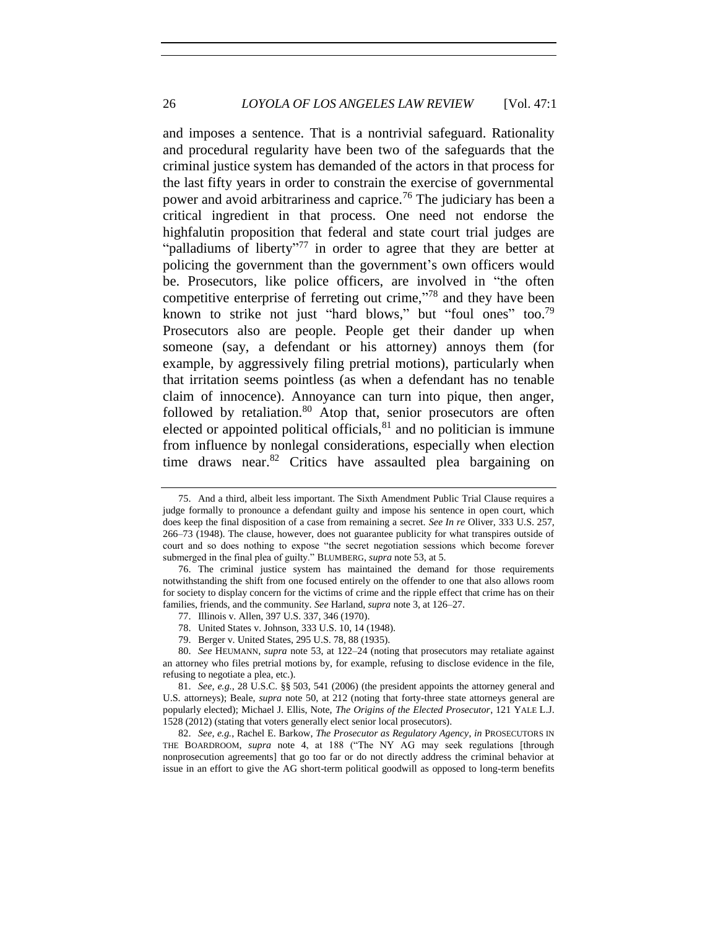and imposes a sentence. That is a nontrivial safeguard. Rationality and procedural regularity have been two of the safeguards that the criminal justice system has demanded of the actors in that process for the last fifty years in order to constrain the exercise of governmental power and avoid arbitrariness and caprice.<sup>76</sup> The judiciary has been a critical ingredient in that process. One need not endorse the highfalutin proposition that federal and state court trial judges are "palladiums of liberty"<sup>77</sup> in order to agree that they are better at policing the government than the government's own officers would be. Prosecutors, like police officers, are involved in "the often competitive enterprise of ferreting out crime,"<sup>78</sup> and they have been known to strike not just "hard blows," but "foul ones" too.<sup>79</sup> Prosecutors also are people. People get their dander up when someone (say, a defendant or his attorney) annoys them (for example, by aggressively filing pretrial motions), particularly when that irritation seems pointless (as when a defendant has no tenable claim of innocence). Annoyance can turn into pique, then anger, followed by retaliation.<sup>80</sup> Atop that, senior prosecutors are often elected or appointed political officials, ${}^{81}$  and no politician is immune from influence by nonlegal considerations, especially when election time draws near.<sup>82</sup> Critics have assaulted plea bargaining on

82. *See, e.g.*, Rachel E. Barkow, *The Prosecutor as Regulatory Agency*, *in* PROSECUTORS IN THE BOARDROOM, *supra* note 4, at 188 ("The NY AG may seek regulations [through nonprosecution agreements] that go too far or do not directly address the criminal behavior at issue in an effort to give the AG short-term political goodwill as opposed to long-term benefits

<sup>75.</sup> And a third, albeit less important. The Sixth Amendment Public Trial Clause requires a judge formally to pronounce a defendant guilty and impose his sentence in open court, which does keep the final disposition of a case from remaining a secret. *See In re* Oliver, 333 U.S. 257, 266–73 (1948). The clause, however, does not guarantee publicity for what transpires outside of court and so does nothing to expose "the secret negotiation sessions which become forever submerged in the final plea of guilty." BLUMBERG, *supra* note 53, at 5.

<sup>76.</sup> The criminal justice system has maintained the demand for those requirements notwithstanding the shift from one focused entirely on the offender to one that also allows room for society to display concern for the victims of crime and the ripple effect that crime has on their families, friends, and the community. *See* Harland, *supra* note 3, at 126–27.

<sup>77.</sup> Illinois v. Allen, 397 U.S. 337, 346 (1970).

<sup>78.</sup> United States v. Johnson, 333 U.S. 10, 14 (1948).

<sup>79.</sup> Berger v. United States, 295 U.S. 78, 88 (1935).

<sup>80.</sup> *See* HEUMANN, *supra* note 53, at 122–24 (noting that prosecutors may retaliate against an attorney who files pretrial motions by, for example, refusing to disclose evidence in the file, refusing to negotiate a plea, etc.).

<sup>81.</sup> *See, e.g.*, 28 U.S.C. §§ 503, 541 (2006) (the president appoints the attorney general and U.S. attorneys); Beale, *supra* note 50, at 212 (noting that forty-three state attorneys general are popularly elected); Michael J. Ellis, Note, *The Origins of the Elected Prosecutor*, 121 YALE L.J. 1528 (2012) (stating that voters generally elect senior local prosecutors).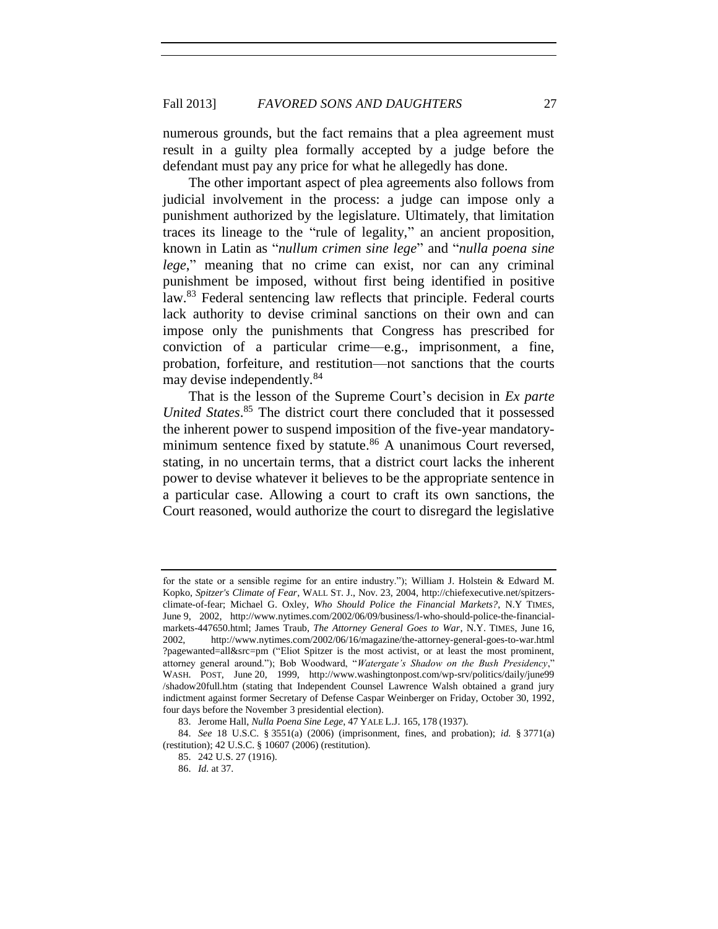numerous grounds, but the fact remains that a plea agreement must result in a guilty plea formally accepted by a judge before the defendant must pay any price for what he allegedly has done.

The other important aspect of plea agreements also follows from judicial involvement in the process: a judge can impose only a punishment authorized by the legislature. Ultimately, that limitation traces its lineage to the "rule of legality," an ancient proposition, known in Latin as "*nullum crimen sine lege*" and "*nulla poena sine lege*," meaning that no crime can exist, nor can any criminal punishment be imposed, without first being identified in positive law.<sup>83</sup> Federal sentencing law reflects that principle. Federal courts lack authority to devise criminal sanctions on their own and can impose only the punishments that Congress has prescribed for conviction of a particular crime—e.g., imprisonment, a fine, probation, forfeiture, and restitution—not sanctions that the courts may devise independently.<sup>84</sup>

That is the lesson of the Supreme Court's decision in *Ex parte United States*. <sup>85</sup> The district court there concluded that it possessed the inherent power to suspend imposition of the five-year mandatoryminimum sentence fixed by statute.<sup>86</sup> A unanimous Court reversed, stating, in no uncertain terms, that a district court lacks the inherent power to devise whatever it believes to be the appropriate sentence in a particular case. Allowing a court to craft its own sanctions, the Court reasoned, would authorize the court to disregard the legislative

for the state or a sensible regime for an entire industry."); William J. Holstein & Edward M. Kopko, *Spitzer's Climate of Fear*, WALL ST. J., Nov. 23, 2004, http://chiefexecutive.net/spitzersclimate-of-fear; Michael G. Oxley, *Who Should Police the Financial Markets?*, N.Y TIMES, June 9, 2002, http://www.nytimes.com/2002/06/09/business/l-who-should-police-the-financialmarkets-447650.html; James Traub, *The Attorney General Goes to War*, N.Y. TIMES, June 16, 2002, http://www.nytimes.com/2002/06/16/magazine/the-attorney-general-goes-to-war.html ?pagewanted=all&src=pm ("Eliot Spitzer is the most activist, or at least the most prominent, attorney general around."); Bob Woodward, "*Watergate's Shadow on the Bush Presidency*," WASH. POST, June 20, 1999, http://www.washingtonpost.com/wp-srv/politics/daily/june99 /shadow20full.htm (stating that Independent Counsel Lawrence Walsh obtained a grand jury indictment against former Secretary of Defense Caspar Weinberger on Friday, October 30, 1992, four days before the November 3 presidential election).

<sup>83.</sup> Jerome Hall, *Nulla Poena Sine Lege*, 47 YALE L.J. 165, 178 (1937).

<sup>84.</sup> *See* 18 U.S.C. § 3551(a) (2006) (imprisonment, fines, and probation); *id.* § 3771(a) (restitution); 42 U.S.C. § 10607 (2006) (restitution).

<sup>85.</sup> 242 U.S. 27 (1916).

<sup>86.</sup> *Id.* at 37.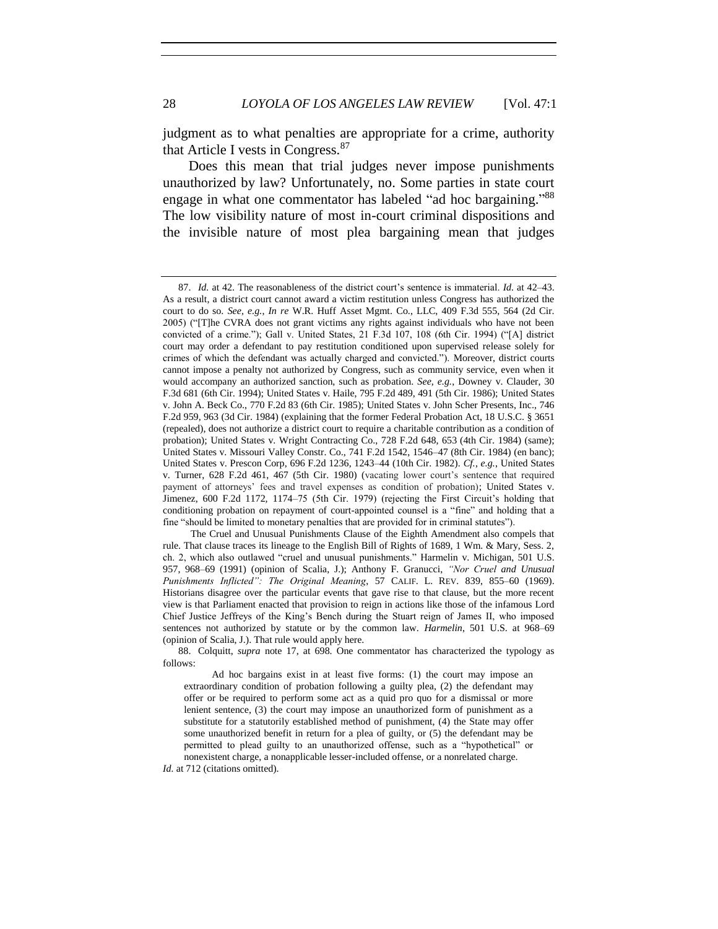judgment as to what penalties are appropriate for a crime, authority that Article I vests in Congress.<sup>87</sup>

Does this mean that trial judges never impose punishments unauthorized by law? Unfortunately, no. Some parties in state court engage in what one commentator has labeled "ad hoc bargaining."88 The low visibility nature of most in-court criminal dispositions and the invisible nature of most plea bargaining mean that judges

The Cruel and Unusual Punishments Clause of the Eighth Amendment also compels that rule. That clause traces its lineage to the English Bill of Rights of 1689, 1 Wm. & Mary, Sess. 2, ch. 2, which also outlawed "cruel and unusual punishments." Harmelin v. Michigan, 501 U.S. 957, 968–69 (1991) (opinion of Scalia, J.); Anthony F. Granucci, *"Nor Cruel and Unusual Punishments Inflicted": The Original Meaning*, 57 CALIF. L. REV. 839, 855–60 (1969). Historians disagree over the particular events that gave rise to that clause, but the more recent view is that Parliament enacted that provision to reign in actions like those of the infamous Lord Chief Justice Jeffreys of the King's Bench during the Stuart reign of James II, who imposed sentences not authorized by statute or by the common law. *Harmelin*, 501 U.S. at 968–69 (opinion of Scalia, J.). That rule would apply here.

88. Colquitt, *supra* note 17, at 698. One commentator has characterized the typology as follows:

Ad hoc bargains exist in at least five forms: (1) the court may impose an extraordinary condition of probation following a guilty plea, (2) the defendant may offer or be required to perform some act as a quid pro quo for a dismissal or more lenient sentence, (3) the court may impose an unauthorized form of punishment as a substitute for a statutorily established method of punishment, (4) the State may offer some unauthorized benefit in return for a plea of guilty, or (5) the defendant may be permitted to plead guilty to an unauthorized offense, such as a "hypothetical" or nonexistent charge, a nonapplicable lesser-included offense, or a nonrelated charge.

*Id.* at 712 (citations omitted).

<sup>87.</sup> *Id.* at 42. The reasonableness of the district court's sentence is immaterial. *Id.* at 42–43. As a result, a district court cannot award a victim restitution unless Congress has authorized the court to do so. *See, e.g.*, *In re* W.R. Huff Asset Mgmt. Co., LLC, 409 F.3d 555, 564 (2d Cir. 2005) ("[T]he CVRA does not grant victims any rights against individuals who have not been convicted of a crime."); Gall v. United States, 21 F.3d 107, 108 (6th Cir. 1994) ("[A] district court may order a defendant to pay restitution conditioned upon supervised release solely for crimes of which the defendant was actually charged and convicted."). Moreover, district courts cannot impose a penalty not authorized by Congress, such as community service, even when it would accompany an authorized sanction, such as probation. *See, e.g.*, Downey v. Clauder, 30 F.3d 681 (6th Cir. 1994); United States v. Haile, 795 F.2d 489, 491 (5th Cir. 1986); United States v. John A. Beck Co., 770 F.2d 83 (6th Cir. 1985); United States v. John Scher Presents, Inc., 746 F.2d 959, 963 (3d Cir. 1984) (explaining that the former Federal Probation Act, 18 U.S.C. § 3651 (repealed), does not authorize a district court to require a charitable contribution as a condition of probation); United States v. Wright Contracting Co., 728 F.2d 648, 653 (4th Cir. 1984) (same); United States v. Missouri Valley Constr. Co., 741 F.2d 1542, 1546–47 (8th Cir. 1984) (en banc); United States v. Prescon Corp, 696 F.2d 1236, 1243–44 (10th Cir. 1982). *Cf., e.g.*, United States v. Turner, 628 F.2d 461, 467 (5th Cir. 1980) (vacating lower court's sentence that required payment of attorneys' fees and travel expenses as condition of probation); United States v. Jimenez, 600 F.2d 1172, 1174–75 (5th Cir. 1979) (rejecting the First Circuit's holding that conditioning probation on repayment of court-appointed counsel is a "fine" and holding that a fine "should be limited to monetary penalties that are provided for in criminal statutes").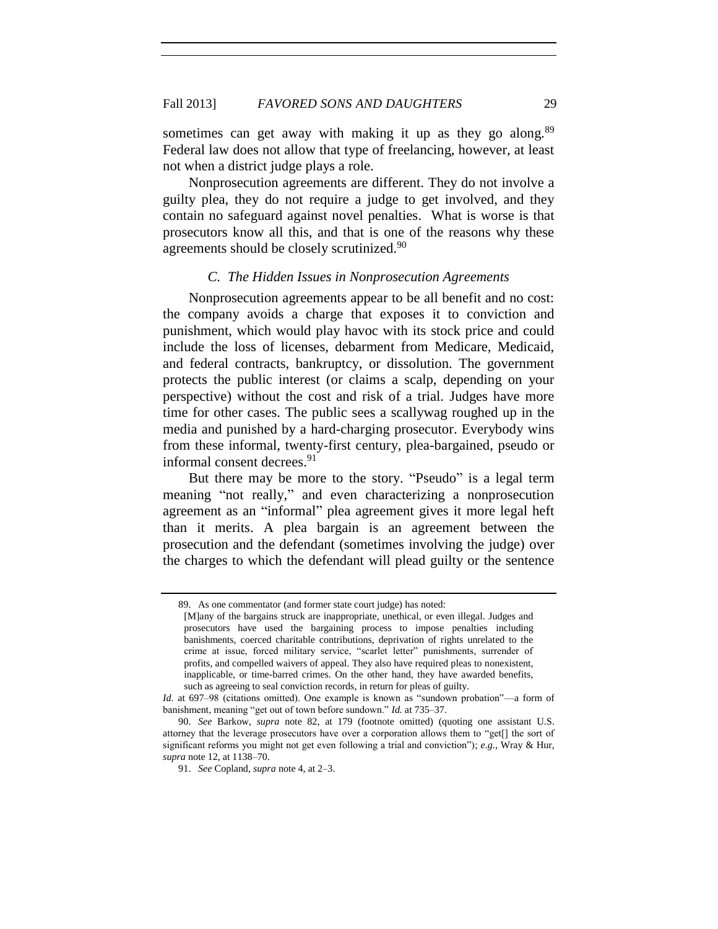sometimes can get away with making it up as they go along. $89$ Federal law does not allow that type of freelancing, however, at least not when a district judge plays a role.

Nonprosecution agreements are different. They do not involve a guilty plea, they do not require a judge to get involved, and they contain no safeguard against novel penalties. What is worse is that prosecutors know all this, and that is one of the reasons why these agreements should be closely scrutinized.<sup>90</sup>

#### *C. The Hidden Issues in Nonprosecution Agreements*

Nonprosecution agreements appear to be all benefit and no cost: the company avoids a charge that exposes it to conviction and punishment, which would play havoc with its stock price and could include the loss of licenses, debarment from Medicare, Medicaid, and federal contracts, bankruptcy, or dissolution. The government protects the public interest (or claims a scalp, depending on your perspective) without the cost and risk of a trial. Judges have more time for other cases. The public sees a scallywag roughed up in the media and punished by a hard-charging prosecutor. Everybody wins from these informal, twenty-first century, plea-bargained, pseudo or informal consent decrees.<sup>91</sup>

But there may be more to the story. "Pseudo" is a legal term meaning "not really," and even characterizing a nonprosecution agreement as an "informal" plea agreement gives it more legal heft than it merits. A plea bargain is an agreement between the prosecution and the defendant (sometimes involving the judge) over the charges to which the defendant will plead guilty or the sentence

<sup>89.</sup> As one commentator (and former state court judge) has noted:

<sup>[</sup>M]any of the bargains struck are inappropriate, unethical, or even illegal. Judges and prosecutors have used the bargaining process to impose penalties including banishments, coerced charitable contributions, deprivation of rights unrelated to the crime at issue, forced military service, "scarlet letter" punishments, surrender of profits, and compelled waivers of appeal. They also have required pleas to nonexistent, inapplicable, or time-barred crimes. On the other hand, they have awarded benefits, such as agreeing to seal conviction records, in return for pleas of guilty.

*Id.* at 697–98 (citations omitted). One example is known as "sundown probation"—a form of banishment, meaning "get out of town before sundown." *Id.* at 735–37.

<sup>90.</sup> *See* Barkow, *supra* note 82, at 179 (footnote omitted) (quoting one assistant U.S. attorney that the leverage prosecutors have over a corporation allows them to "get[] the sort of significant reforms you might not get even following a trial and conviction"); *e.g.*, Wray & Hur, *supra* note 12, at 1138–70.

<sup>91.</sup> *See* Copland, *supra* note 4, at 2–3.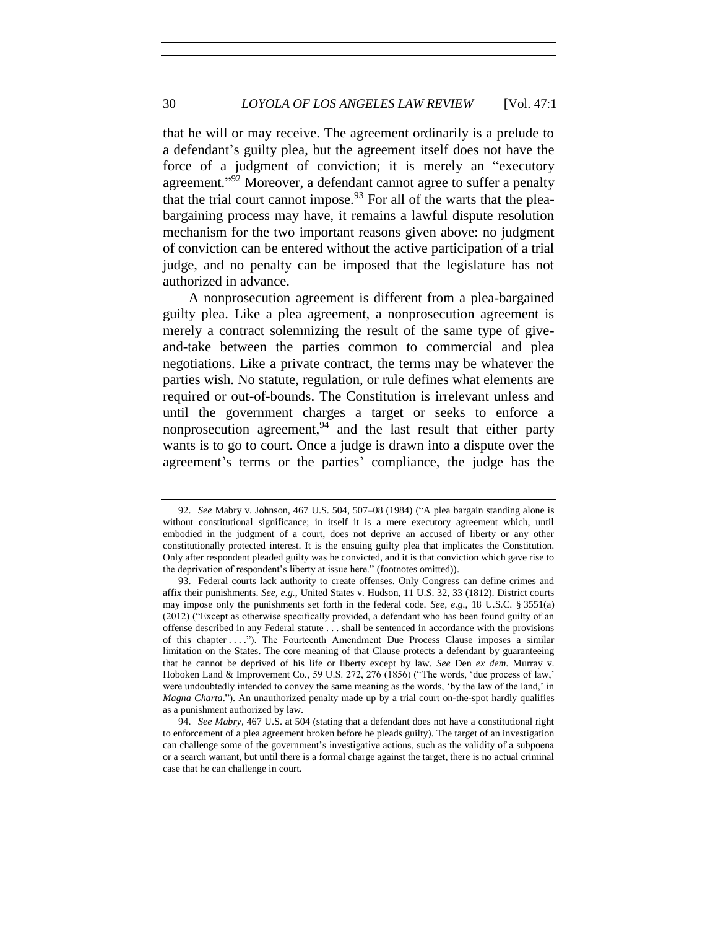that he will or may receive. The agreement ordinarily is a prelude to a defendant's guilty plea, but the agreement itself does not have the force of a judgment of conviction; it is merely an "executory agreement."<sup>92</sup> Moreover, a defendant cannot agree to suffer a penalty that the trial court cannot impose.<sup>93</sup> For all of the warts that the pleabargaining process may have, it remains a lawful dispute resolution mechanism for the two important reasons given above: no judgment of conviction can be entered without the active participation of a trial judge, and no penalty can be imposed that the legislature has not authorized in advance.

A nonprosecution agreement is different from a plea-bargained guilty plea. Like a plea agreement, a nonprosecution agreement is merely a contract solemnizing the result of the same type of giveand-take between the parties common to commercial and plea negotiations. Like a private contract, the terms may be whatever the parties wish. No statute, regulation, or rule defines what elements are required or out-of-bounds. The Constitution is irrelevant unless and until the government charges a target or seeks to enforce a nonprosecution agreement,  $94$  and the last result that either party wants is to go to court. Once a judge is drawn into a dispute over the agreement's terms or the parties' compliance, the judge has the

<sup>92.</sup> *See* Mabry v. Johnson, 467 U.S. 504, 507–08 (1984) ("A plea bargain standing alone is without constitutional significance; in itself it is a mere executory agreement which, until embodied in the judgment of a court, does not deprive an accused of liberty or any other constitutionally protected interest. It is the ensuing guilty plea that implicates the Constitution. Only after respondent pleaded guilty was he convicted, and it is that conviction which gave rise to the deprivation of respondent's liberty at issue here." (footnotes omitted)).

<sup>93.</sup> Federal courts lack authority to create offenses. Only Congress can define crimes and affix their punishments. *See, e.g.*, United States v. Hudson, 11 U.S. 32, 33 (1812). District courts may impose only the punishments set forth in the federal code. *See, e.g.*, 18 U.S.C. § 3551(a) (2012) ("Except as otherwise specifically provided, a defendant who has been found guilty of an offense described in any Federal statute . . . shall be sentenced in accordance with the provisions of this chapter . . . ."). The Fourteenth Amendment Due Process Clause imposes a similar limitation on the States. The core meaning of that Clause protects a defendant by guaranteeing that he cannot be deprived of his life or liberty except by law. *See* Den *ex dem*. Murray v. Hoboken Land & Improvement Co., 59 U.S. 272, 276 (1856) ("The words, 'due process of law,' were undoubtedly intended to convey the same meaning as the words, 'by the law of the land,' in *Magna Charta*."). An unauthorized penalty made up by a trial court on-the-spot hardly qualifies as a punishment authorized by law.

<sup>94.</sup> *See Mabry*, 467 U.S. at 504 (stating that a defendant does not have a constitutional right to enforcement of a plea agreement broken before he pleads guilty). The target of an investigation can challenge some of the government's investigative actions, such as the validity of a subpoena or a search warrant, but until there is a formal charge against the target, there is no actual criminal case that he can challenge in court.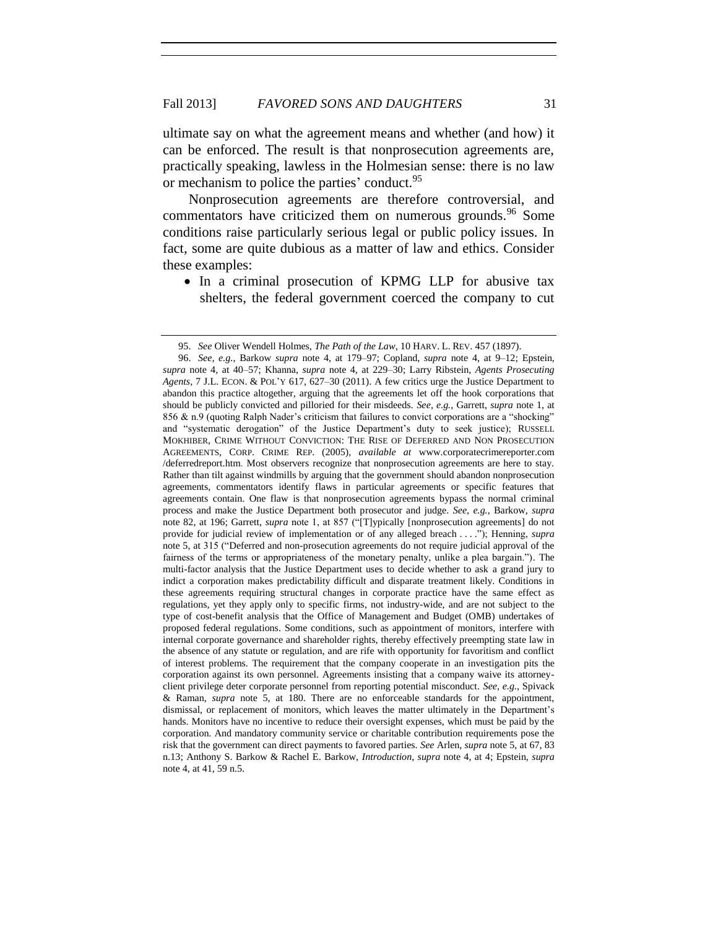ultimate say on what the agreement means and whether (and how) it can be enforced. The result is that nonprosecution agreements are, practically speaking, lawless in the Holmesian sense: there is no law or mechanism to police the parties' conduct.<sup>95</sup>

Nonprosecution agreements are therefore controversial, and commentators have criticized them on numerous grounds.<sup>96</sup> Some conditions raise particularly serious legal or public policy issues. In fact, some are quite dubious as a matter of law and ethics. Consider these examples:

• In a criminal prosecution of KPMG LLP for abusive tax shelters, the federal government coerced the company to cut

<sup>95.</sup> *See* Oliver Wendell Holmes, *The Path of the Law*, 10 HARV. L. REV. 457 (1897).

<sup>96.</sup> *See, e.g.*, Barkow *supra* note 4, at 179–97; Copland, *supra* note 4, at 9–12; Epstein, *supra* note 4, at 40–57; Khanna, *supra* note 4, at 229–30; Larry Ribstein, *Agents Prosecuting Agents*, 7 J.L. ECON. & POL'Y 617, 627–30 (2011). A few critics urge the Justice Department to abandon this practice altogether, arguing that the agreements let off the hook corporations that should be publicly convicted and pilloried for their misdeeds. *See, e.g.*, Garrett, *supra* note 1, at 856 & n.9 (quoting Ralph Nader's criticism that failures to convict corporations are a "shocking" and "systematic derogation" of the Justice Department's duty to seek justice); RUSSELL MOKHIBER, CRIME WITHOUT CONVICTION: THE RISE OF DEFERRED AND NON PROSECUTION AGREEMENTS, CORP. CRIME REP. (2005), *available at* www.corporatecrimereporter.com /deferredreport.htm. Most observers recognize that nonprosecution agreements are here to stay. Rather than tilt against windmills by arguing that the government should abandon nonprosecution agreements, commentators identify flaws in particular agreements or specific features that agreements contain. One flaw is that nonprosecution agreements bypass the normal criminal process and make the Justice Department both prosecutor and judge. *See, e.g.*, Barkow, *supra* note 82, at 196; Garrett, *supra* note 1, at 857 ("[T]ypically [nonprosecution agreements] do not provide for judicial review of implementation or of any alleged breach . . . ."); Henning, *supra* note 5, at 315 ("Deferred and non-prosecution agreements do not require judicial approval of the fairness of the terms or appropriateness of the monetary penalty, unlike a plea bargain."). The multi-factor analysis that the Justice Department uses to decide whether to ask a grand jury to indict a corporation makes predictability difficult and disparate treatment likely. Conditions in these agreements requiring structural changes in corporate practice have the same effect as regulations, yet they apply only to specific firms, not industry-wide, and are not subject to the type of cost-benefit analysis that the Office of Management and Budget (OMB) undertakes of proposed federal regulations. Some conditions, such as appointment of monitors, interfere with internal corporate governance and shareholder rights, thereby effectively preempting state law in the absence of any statute or regulation, and are rife with opportunity for favoritism and conflict of interest problems. The requirement that the company cooperate in an investigation pits the corporation against its own personnel. Agreements insisting that a company waive its attorneyclient privilege deter corporate personnel from reporting potential misconduct. *See, e.g.*, Spivack & Raman, *supra* note 5, at 180. There are no enforceable standards for the appointment, dismissal, or replacement of monitors, which leaves the matter ultimately in the Department's hands. Monitors have no incentive to reduce their oversight expenses, which must be paid by the corporation. And mandatory community service or charitable contribution requirements pose the risk that the government can direct payments to favored parties. *See* Arlen, *supra* note 5, at 67, 83 n.13; Anthony S. Barkow & Rachel E. Barkow, *Introduction*, *supra* note 4, at 4; Epstein, *supra* note 4, at 41, 59 n.5.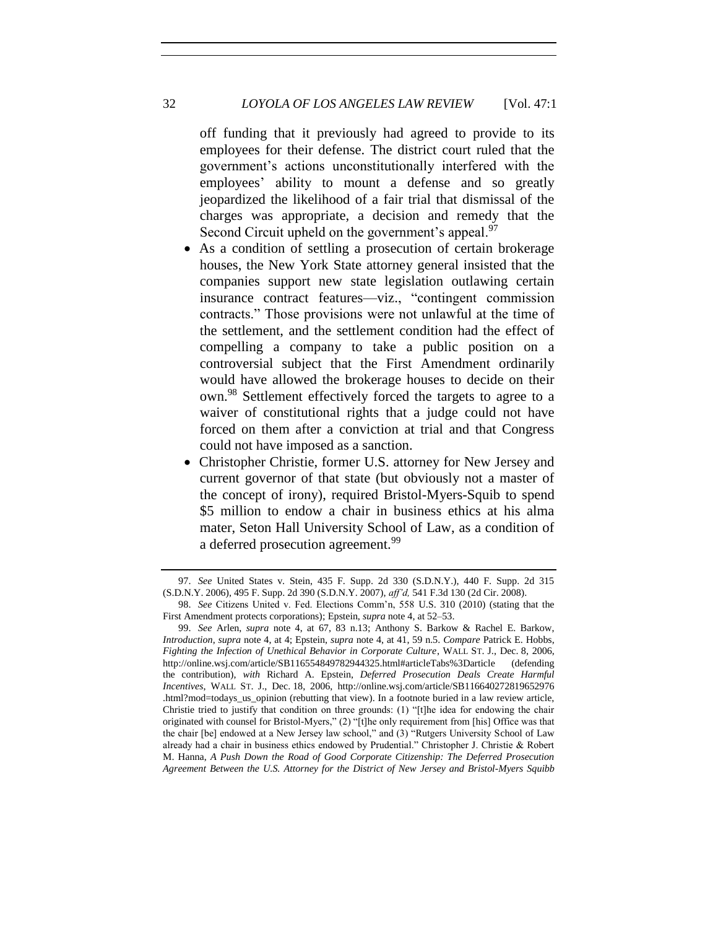#### 32 *LOYOLA OF LOS ANGELES LAW REVIEW* [Vol. 47:1

off funding that it previously had agreed to provide to its employees for their defense. The district court ruled that the government's actions unconstitutionally interfered with the employees' ability to mount a defense and so greatly jeopardized the likelihood of a fair trial that dismissal of the charges was appropriate, a decision and remedy that the Second Circuit upheld on the government's appeal.<sup>97</sup>

- As a condition of settling a prosecution of certain brokerage houses, the New York State attorney general insisted that the companies support new state legislation outlawing certain insurance contract features—viz., "contingent commission contracts." Those provisions were not unlawful at the time of the settlement, and the settlement condition had the effect of compelling a company to take a public position on a controversial subject that the First Amendment ordinarily would have allowed the brokerage houses to decide on their own.<sup>98</sup> Settlement effectively forced the targets to agree to a waiver of constitutional rights that a judge could not have forced on them after a conviction at trial and that Congress could not have imposed as a sanction.
- Christopher Christie, former U.S. attorney for New Jersey and current governor of that state (but obviously not a master of the concept of irony), required Bristol-Myers-Squib to spend \$5 million to endow a chair in business ethics at his alma mater, Seton Hall University School of Law, as a condition of a deferred prosecution agreement.<sup>99</sup>

<sup>97.</sup> *See* United States v. Stein, 435 F. Supp. 2d 330 (S.D.N.Y.), 440 F. Supp. 2d 315 (S.D.N.Y. 2006), 495 F. Supp. 2d 390 (S.D.N.Y. 2007), *aff'd,* 541 F.3d 130 (2d Cir. 2008).

<sup>98.</sup> *See* Citizens United v. Fed. Elections Comm'n, 558 U.S. 310 (2010) (stating that the First Amendment protects corporations); Epstein, *supra* note 4, at 52–53.

<sup>99.</sup> *See* Arlen, *supra* note 4, at 67, 83 n.13; Anthony S. Barkow & Rachel E. Barkow, *Introduction*, *supra* note 4, at 4; Epstein, *supra* note 4, at 41, 59 n.5. *Compare* Patrick E. Hobbs, *Fighting the Infection of Unethical Behavior in Corporate Culture*, WALL ST. J., Dec. 8, 2006, http://online.wsj.com/article/SB116554849782944325.html#articleTabs%3Darticle (defending the contribution), *with* Richard A. Epstein, *Deferred Prosecution Deals Create Harmful Incentives*, WALL ST. J., Dec. 18, 2006, http://online.wsj.com/article/SB116640272819652976 .html?mod=todays\_us\_opinion (rebutting that view). In a footnote buried in a law review article, Christie tried to justify that condition on three grounds: (1) "[t]he idea for endowing the chair originated with counsel for Bristol-Myers," (2) "[t]he only requirement from [his] Office was that the chair [be] endowed at a New Jersey law school," and (3) "Rutgers University School of Law already had a chair in business ethics endowed by Prudential." Christopher J. Christie & Robert M. Hanna, *A Push Down the Road of Good Corporate Citizenship: The Deferred Prosecution Agreement Between the U.S. Attorney for the District of New Jersey and Bristol-Myers Squibb*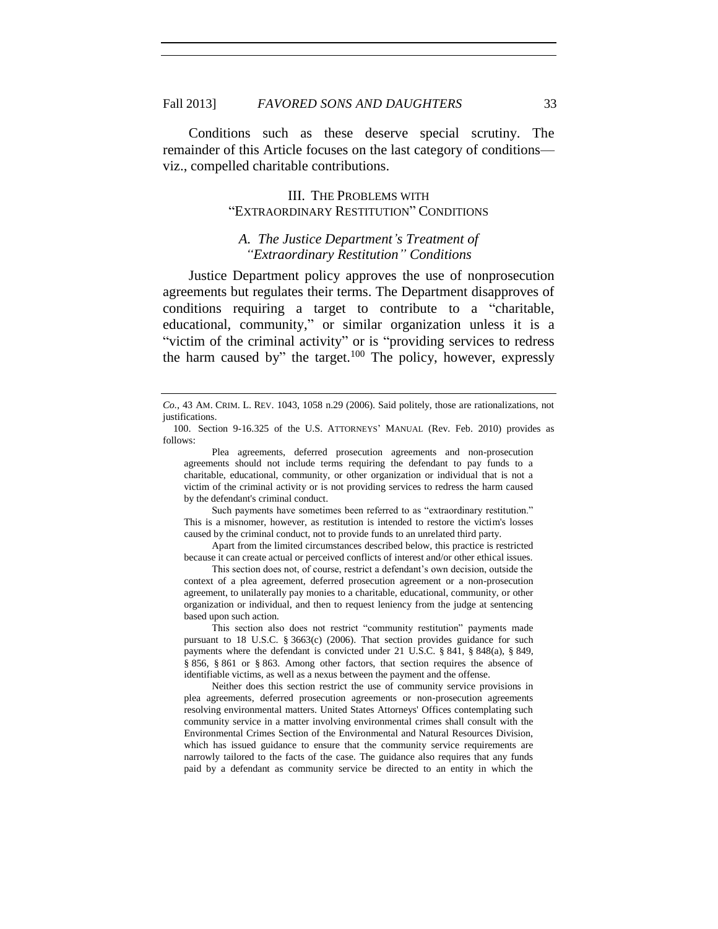Conditions such as these deserve special scrutiny. The remainder of this Article focuses on the last category of conditions viz., compelled charitable contributions.

#### III. THE PROBLEMS WITH "EXTRAORDINARY RESTITUTION" CONDITIONS

#### *A. The Justice Department's Treatment of "Extraordinary Restitution" Conditions*

Justice Department policy approves the use of nonprosecution agreements but regulates their terms. The Department disapproves of conditions requiring a target to contribute to a "charitable, educational, community," or similar organization unless it is a "victim of the criminal activity" or is "providing services to redress the harm caused by" the target.<sup>100</sup> The policy, however, expressly

Plea agreements, deferred prosecution agreements and non-prosecution agreements should not include terms requiring the defendant to pay funds to a charitable, educational, community, or other organization or individual that is not a victim of the criminal activity or is not providing services to redress the harm caused by the defendant's criminal conduct.

Such payments have sometimes been referred to as "extraordinary restitution." This is a misnomer, however, as restitution is intended to restore the victim's losses caused by the criminal conduct, not to provide funds to an unrelated third party.

Apart from the limited circumstances described below, this practice is restricted because it can create actual or perceived conflicts of interest and/or other ethical issues.

This section does not, of course, restrict a defendant's own decision, outside the context of a plea agreement, deferred prosecution agreement or a non-prosecution agreement, to unilaterally pay monies to a charitable, educational, community, or other organization or individual, and then to request leniency from the judge at sentencing based upon such action.

This section also does not restrict "community restitution" payments made pursuant to 18 U.S.C. § 3663(c) (2006). That section provides guidance for such payments where the defendant is convicted under 21 U.S.C. § 841, § 848(a), § 849, § 856, § 861 or § 863. Among other factors, that section requires the absence of identifiable victims, as well as a nexus between the payment and the offense.

Neither does this section restrict the use of community service provisions in plea agreements, deferred prosecution agreements or non-prosecution agreements resolving environmental matters. United States Attorneys' Offices contemplating such community service in a matter involving environmental crimes shall consult with the Environmental Crimes Section of the Environmental and Natural Resources Division, which has issued guidance to ensure that the community service requirements are narrowly tailored to the facts of the case. The guidance also requires that any funds paid by a defendant as community service be directed to an entity in which the

*Co.*, 43 AM. CRIM. L. REV. 1043, 1058 n.29 (2006). Said politely, those are rationalizations, not justifications.

<sup>100.</sup> Section 9-16.325 of the U.S. ATTORNEYS' MANUAL (Rev. Feb. 2010) provides as follows: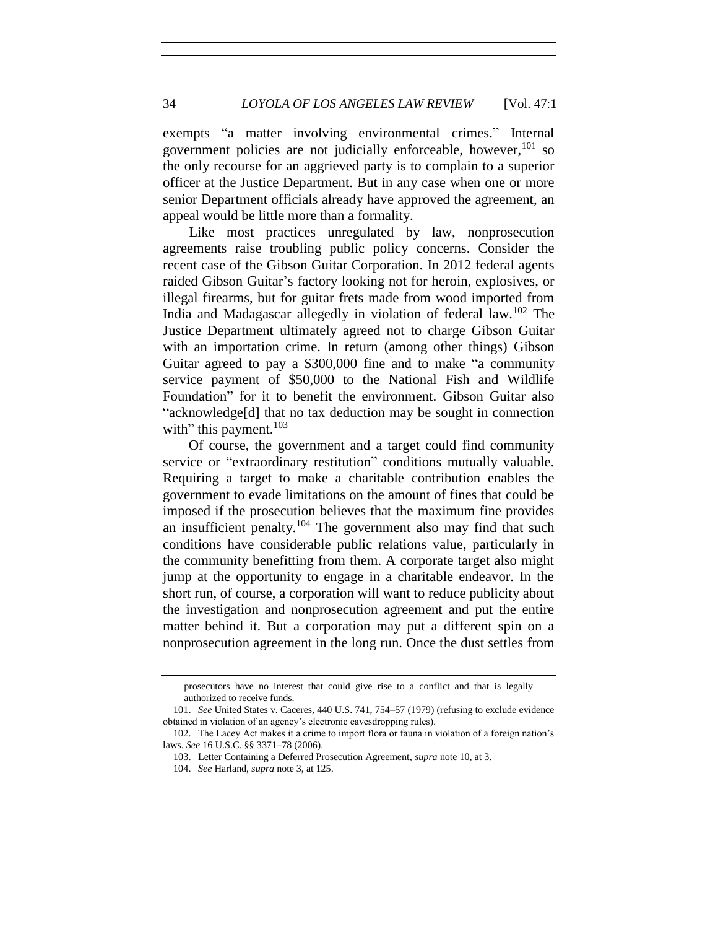exempts "a matter involving environmental crimes." Internal government policies are not judicially enforceable, however,  $101$  so the only recourse for an aggrieved party is to complain to a superior officer at the Justice Department. But in any case when one or more senior Department officials already have approved the agreement, an appeal would be little more than a formality.

Like most practices unregulated by law, nonprosecution agreements raise troubling public policy concerns. Consider the recent case of the Gibson Guitar Corporation. In 2012 federal agents raided Gibson Guitar's factory looking not for heroin, explosives, or illegal firearms, but for guitar frets made from wood imported from India and Madagascar allegedly in violation of federal law.<sup>102</sup> The Justice Department ultimately agreed not to charge Gibson Guitar with an importation crime. In return (among other things) Gibson Guitar agreed to pay a \$300,000 fine and to make "a community service payment of \$50,000 to the National Fish and Wildlife Foundation" for it to benefit the environment. Gibson Guitar also "acknowledge[d] that no tax deduction may be sought in connection with" this payment. $103$ 

Of course, the government and a target could find community service or "extraordinary restitution" conditions mutually valuable. Requiring a target to make a charitable contribution enables the government to evade limitations on the amount of fines that could be imposed if the prosecution believes that the maximum fine provides an insufficient penalty.<sup>104</sup> The government also may find that such conditions have considerable public relations value, particularly in the community benefitting from them. A corporate target also might jump at the opportunity to engage in a charitable endeavor. In the short run, of course, a corporation will want to reduce publicity about the investigation and nonprosecution agreement and put the entire matter behind it. But a corporation may put a different spin on a nonprosecution agreement in the long run. Once the dust settles from

prosecutors have no interest that could give rise to a conflict and that is legally authorized to receive funds.

<sup>101.</sup> *See* United States v. Caceres, 440 U.S. 741, 754–57 (1979) (refusing to exclude evidence obtained in violation of an agency's electronic eavesdropping rules).

<sup>102.</sup> The Lacey Act makes it a crime to import flora or fauna in violation of a foreign nation's laws. *See* 16 U.S.C. §§ 3371–78 (2006).

<sup>103.</sup> Letter Containing a Deferred Prosecution Agreement, *supra* note 10, at 3.

<sup>104.</sup> *See* Harland, *supra* note 3, at 125.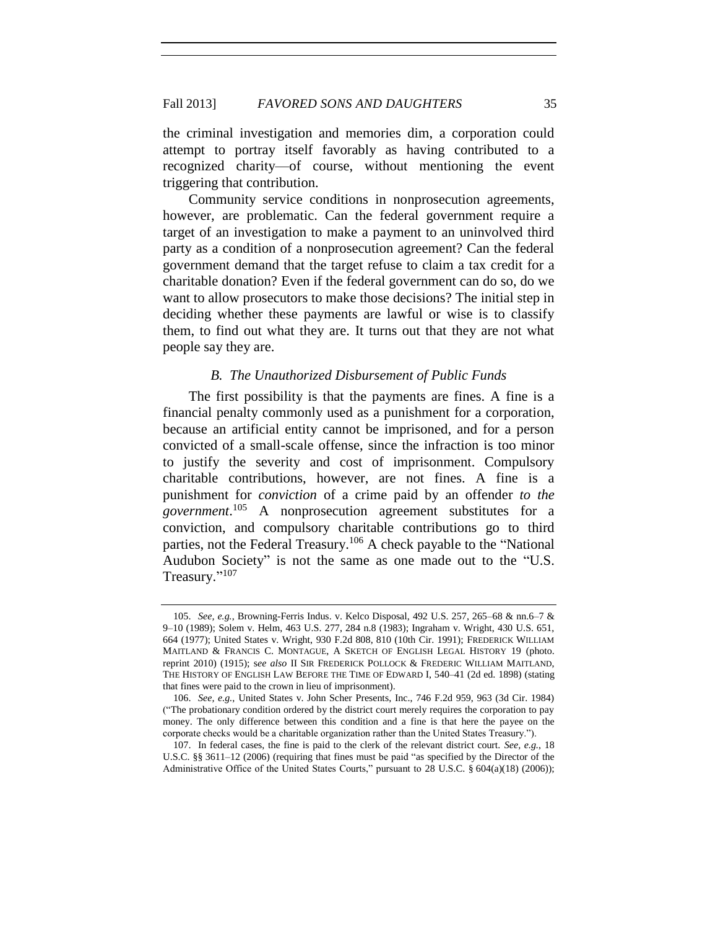the criminal investigation and memories dim, a corporation could attempt to portray itself favorably as having contributed to a recognized charity—of course, without mentioning the event triggering that contribution.

Community service conditions in nonprosecution agreements, however, are problematic. Can the federal government require a target of an investigation to make a payment to an uninvolved third party as a condition of a nonprosecution agreement? Can the federal government demand that the target refuse to claim a tax credit for a charitable donation? Even if the federal government can do so, do we want to allow prosecutors to make those decisions? The initial step in deciding whether these payments are lawful or wise is to classify them, to find out what they are. It turns out that they are not what people say they are.

#### *B. The Unauthorized Disbursement of Public Funds*

The first possibility is that the payments are fines. A fine is a financial penalty commonly used as a punishment for a corporation, because an artificial entity cannot be imprisoned, and for a person convicted of a small-scale offense, since the infraction is too minor to justify the severity and cost of imprisonment. Compulsory charitable contributions, however, are not fines. A fine is a punishment for *conviction* of a crime paid by an offender *to the government*. <sup>105</sup> A nonprosecution agreement substitutes for a conviction, and compulsory charitable contributions go to third parties, not the Federal Treasury.<sup>106</sup> A check payable to the "National Audubon Society" is not the same as one made out to the "U.S. Treasury."<sup>107</sup>

<sup>105.</sup> *See, e.g.*, Browning-Ferris Indus. v. Kelco Disposal, 492 U.S. 257, 265–68 & nn.6–7 & 9–10 (1989); Solem v. Helm, 463 U.S. 277, 284 n.8 (1983); Ingraham v. Wright, 430 U.S. 651, 664 (1977); United States v. Wright, 930 F.2d 808, 810 (10th Cir. 1991); FREDERICK WILLIAM MAITLAND & FRANCIS C. MONTAGUE, A SKETCH OF ENGLISH LEGAL HISTORY 19 (photo. reprint 2010) (1915); s*ee also* II SIR FREDERICK POLLOCK & FREDERIC WILLIAM MAITLAND, THE HISTORY OF ENGLISH LAW BEFORE THE TIME OF EDWARD I, 540–41 (2d ed. 1898) (stating that fines were paid to the crown in lieu of imprisonment).

<sup>106.</sup> *See, e.g.*, United States v. John Scher Presents, Inc., 746 F.2d 959, 963 (3d Cir. 1984) ("The probationary condition ordered by the district court merely requires the corporation to pay money. The only difference between this condition and a fine is that here the payee on the corporate checks would be a charitable organization rather than the United States Treasury.").

<sup>107.</sup> In federal cases, the fine is paid to the clerk of the relevant district court. *See, e.g.*, 18 U.S.C. §§ 3611–12 (2006) (requiring that fines must be paid "as specified by the Director of the Administrative Office of the United States Courts," pursuant to 28 U.S.C. § 604(a)(18) (2006));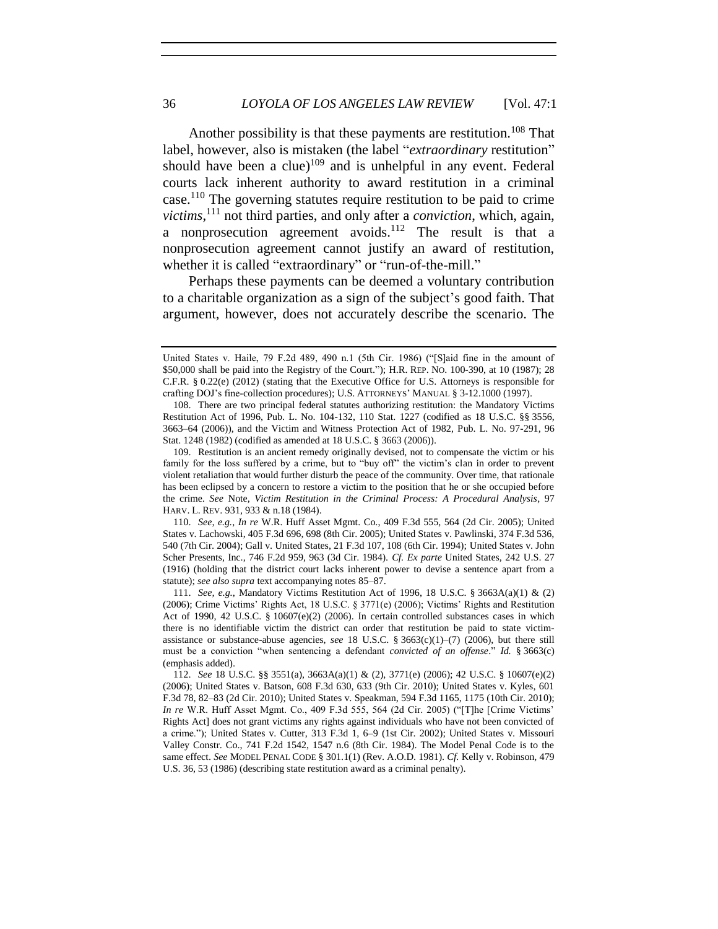Another possibility is that these payments are restitution.<sup>108</sup> That label, however, also is mistaken (the label "*extraordinary* restitution" should have been a clue)<sup>109</sup> and is unhelpful in any event. Federal courts lack inherent authority to award restitution in a criminal case.<sup>110</sup> The governing statutes require restitution to be paid to crime *victims*, <sup>111</sup> not third parties, and only after a *conviction*, which, again, a nonprosecution agreement avoids.<sup>112</sup> The result is that a nonprosecution agreement cannot justify an award of restitution, whether it is called "extraordinary" or "run-of-the-mill."

Perhaps these payments can be deemed a voluntary contribution to a charitable organization as a sign of the subject's good faith. That argument, however, does not accurately describe the scenario. The

110. *See, e.g.*, *In re* W.R. Huff Asset Mgmt. Co., 409 F.3d 555, 564 (2d Cir. 2005); United States v. Lachowski, 405 F.3d 696, 698 (8th Cir. 2005); United States v. Pawlinski, 374 F.3d 536, 540 (7th Cir. 2004); Gall v. United States, 21 F.3d 107, 108 (6th Cir. 1994); United States v. John Scher Presents, Inc., 746 F.2d 959, 963 (3d Cir. 1984). *Cf. Ex parte* United States, 242 U.S. 27 (1916) (holding that the district court lacks inherent power to devise a sentence apart from a statute); *see also supra* text accompanying notes 85–87.

111. *See, e.g.*, Mandatory Victims Restitution Act of 1996, 18 U.S.C. § 3663A(a)(1) & (2) (2006); Crime Victims' Rights Act, 18 U.S.C. § 3771(e) (2006); Victims' Rights and Restitution Act of 1990, 42 U.S.C.  $\S$  10607(e)(2) (2006). In certain controlled substances cases in which there is no identifiable victim the district can order that restitution be paid to state victimassistance or substance-abuse agencies, *see* 18 U.S.C. § 3663(c)(1)–(7) (2006), but there still must be a conviction "when sentencing a defendant *convicted of an offense*." *Id.* § 3663(c) (emphasis added).

United States v. Haile, 79 F.2d 489, 490 n.1 (5th Cir. 1986) ("[S]aid fine in the amount of \$50,000 shall be paid into the Registry of the Court."); H.R. REP. NO. 100-390, at 10 (1987); 28 C.F.R. § 0.22(e) (2012) (stating that the Executive Office for U.S. Attorneys is responsible for crafting DOJ's fine-collection procedures); U.S. ATTORNEYS' MANUAL § 3-12.1000 (1997).

<sup>108.</sup> There are two principal federal statutes authorizing restitution: the Mandatory Victims Restitution Act of 1996, Pub. L. No. 104-132, 110 Stat. 1227 (codified as 18 U.S.C. §§ 3556, 3663–64 (2006)), and the Victim and Witness Protection Act of 1982, Pub. L. No. 97-291, 96 Stat. 1248 (1982) (codified as amended at 18 U.S.C. § 3663 (2006)).

<sup>109.</sup> Restitution is an ancient remedy originally devised, not to compensate the victim or his family for the loss suffered by a crime, but to "buy off" the victim's clan in order to prevent violent retaliation that would further disturb the peace of the community. Over time, that rationale has been eclipsed by a concern to restore a victim to the position that he or she occupied before the crime. *See* Note, *Victim Restitution in the Criminal Process: A Procedural Analysis*, 97 HARV. L. REV. 931, 933 & n.18 (1984).

<sup>112.</sup> *See* 18 U.S.C. §§ 3551(a), 3663A(a)(1) & (2), 3771(e) (2006); 42 U.S.C. § 10607(e)(2) (2006); United States v. Batson, 608 F.3d 630, 633 (9th Cir. 2010); United States v. Kyles, 601 F.3d 78, 82–83 (2d Cir. 2010); United States v. Speakman, 594 F.3d 1165, 1175 (10th Cir. 2010); *In re* W.R. Huff Asset Mgmt. Co., 409 F.3d 555, 564 (2d Cir. 2005) ("[T]he [Crime Victims' Rights Act] does not grant victims any rights against individuals who have not been convicted of a crime."); United States v. Cutter, 313 F.3d 1, 6–9 (1st Cir. 2002); United States v. Missouri Valley Constr. Co., 741 F.2d 1542, 1547 n.6 (8th Cir. 1984). The Model Penal Code is to the same effect. *See* MODEL PENAL CODE § 301.1(1) (Rev. A.O.D. 1981). *Cf.* Kelly v. Robinson, 479 U.S. 36, 53 (1986) (describing state restitution award as a criminal penalty).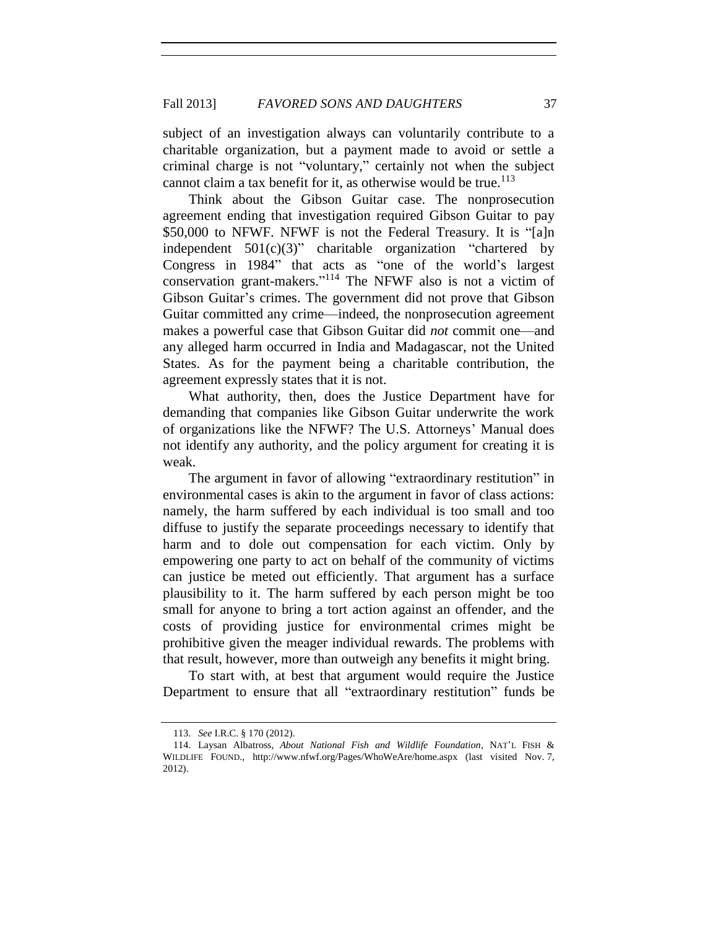subject of an investigation always can voluntarily contribute to a charitable organization, but a payment made to avoid or settle a criminal charge is not "voluntary," certainly not when the subject cannot claim a tax benefit for it, as otherwise would be true.<sup>113</sup>

Think about the Gibson Guitar case. The nonprosecution agreement ending that investigation required Gibson Guitar to pay \$50,000 to NFWF. NFWF is not the Federal Treasury. It is "[a]n independent  $501(c)(3)$ " charitable organization "chartered by Congress in 1984" that acts as "one of the world's largest conservation grant-makers." <sup>114</sup> The NFWF also is not a victim of Gibson Guitar's crimes. The government did not prove that Gibson Guitar committed any crime—indeed, the nonprosecution agreement makes a powerful case that Gibson Guitar did *not* commit one—and any alleged harm occurred in India and Madagascar, not the United States. As for the payment being a charitable contribution, the agreement expressly states that it is not.

What authority, then, does the Justice Department have for demanding that companies like Gibson Guitar underwrite the work of organizations like the NFWF? The U.S. Attorneys' Manual does not identify any authority, and the policy argument for creating it is weak.

The argument in favor of allowing "extraordinary restitution" in environmental cases is akin to the argument in favor of class actions: namely, the harm suffered by each individual is too small and too diffuse to justify the separate proceedings necessary to identify that harm and to dole out compensation for each victim. Only by empowering one party to act on behalf of the community of victims can justice be meted out efficiently. That argument has a surface plausibility to it. The harm suffered by each person might be too small for anyone to bring a tort action against an offender, and the costs of providing justice for environmental crimes might be prohibitive given the meager individual rewards. The problems with that result, however, more than outweigh any benefits it might bring.

To start with, at best that argument would require the Justice Department to ensure that all "extraordinary restitution" funds be

<sup>113.</sup> *See* I.R.C. § 170 (2012).

<sup>114.</sup> Laysan Albatross, *About National Fish and Wildlife Foundation*, NAT'L FISH & WILDLIFE FOUND., http://www.nfwf.org/Pages/WhoWeAre/home.aspx (last visited Nov. 7, 2012).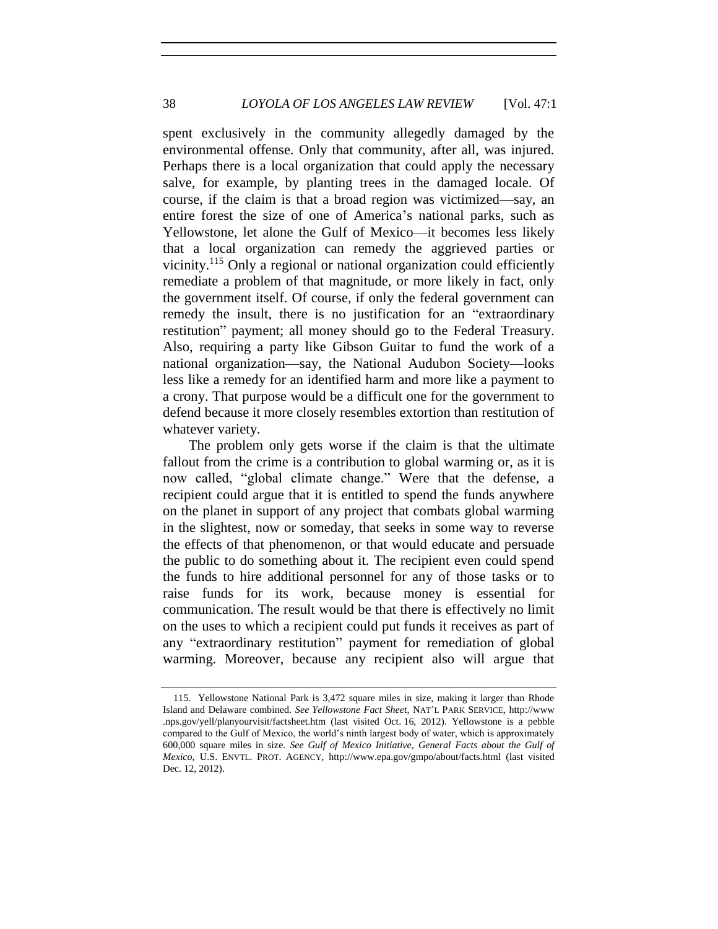spent exclusively in the community allegedly damaged by the environmental offense. Only that community, after all, was injured. Perhaps there is a local organization that could apply the necessary salve, for example, by planting trees in the damaged locale. Of course, if the claim is that a broad region was victimized—say, an entire forest the size of one of America's national parks, such as Yellowstone, let alone the Gulf of Mexico—it becomes less likely that a local organization can remedy the aggrieved parties or vicinity.<sup>115</sup> Only a regional or national organization could efficiently remediate a problem of that magnitude, or more likely in fact, only the government itself. Of course, if only the federal government can remedy the insult, there is no justification for an "extraordinary restitution" payment; all money should go to the Federal Treasury. Also, requiring a party like Gibson Guitar to fund the work of a national organization—say, the National Audubon Society—looks less like a remedy for an identified harm and more like a payment to a crony. That purpose would be a difficult one for the government to defend because it more closely resembles extortion than restitution of whatever variety.

The problem only gets worse if the claim is that the ultimate fallout from the crime is a contribution to global warming or, as it is now called, "global climate change." Were that the defense, a recipient could argue that it is entitled to spend the funds anywhere on the planet in support of any project that combats global warming in the slightest, now or someday, that seeks in some way to reverse the effects of that phenomenon, or that would educate and persuade the public to do something about it. The recipient even could spend the funds to hire additional personnel for any of those tasks or to raise funds for its work, because money is essential for communication. The result would be that there is effectively no limit on the uses to which a recipient could put funds it receives as part of any "extraordinary restitution" payment for remediation of global warming. Moreover, because any recipient also will argue that

<sup>115.</sup> Yellowstone National Park is 3,472 square miles in size, making it larger than Rhode Island and Delaware combined. *See Yellowstone Fact Sheet*, NAT'L PARK SERVICE, http://www .nps.gov/yell/planyourvisit/factsheet.htm (last visited Oct. 16, 2012). Yellowstone is a pebble compared to the Gulf of Mexico, the world's ninth largest body of water, which is approximately 600,000 square miles in size. *See Gulf of Mexico Initiative, General Facts about the Gulf of Mexico*, U.S. ENVTL. PROT. AGENCY,<http://www.epa.gov/gmpo/about/facts.html> (last visited Dec. 12, 2012).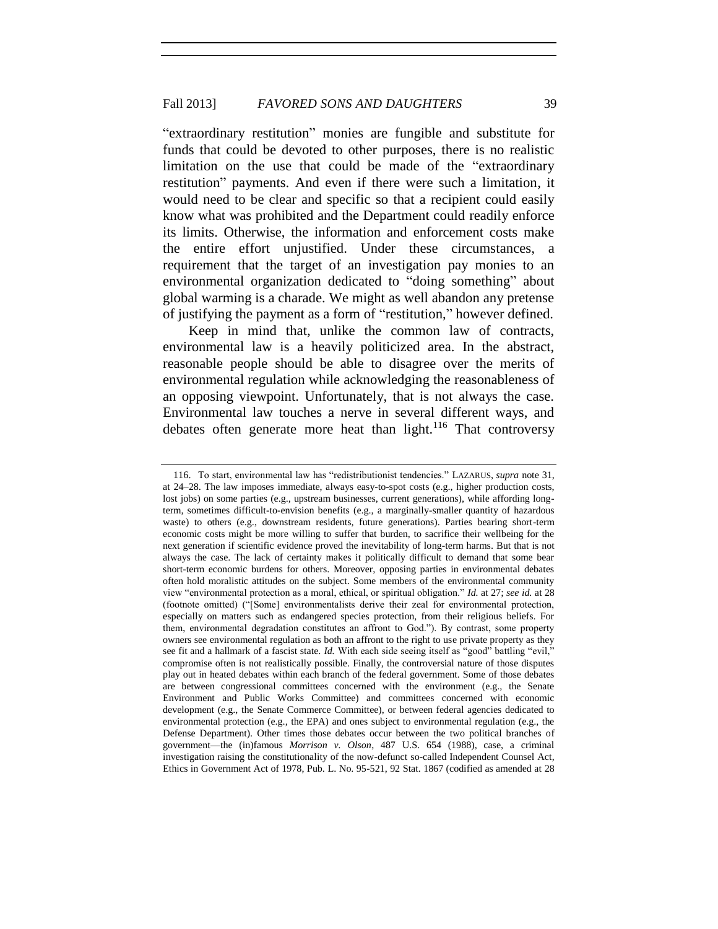"extraordinary restitution" monies are fungible and substitute for funds that could be devoted to other purposes, there is no realistic limitation on the use that could be made of the "extraordinary restitution" payments. And even if there were such a limitation, it would need to be clear and specific so that a recipient could easily know what was prohibited and the Department could readily enforce its limits. Otherwise, the information and enforcement costs make the entire effort unjustified. Under these circumstances, a requirement that the target of an investigation pay monies to an environmental organization dedicated to "doing something" about global warming is a charade. We might as well abandon any pretense of justifying the payment as a form of "restitution," however defined.

Keep in mind that, unlike the common law of contracts, environmental law is a heavily politicized area. In the abstract, reasonable people should be able to disagree over the merits of environmental regulation while acknowledging the reasonableness of an opposing viewpoint. Unfortunately, that is not always the case. Environmental law touches a nerve in several different ways, and debates often generate more heat than light.<sup>116</sup> That controversy

<sup>116.</sup> To start, environmental law has "redistributionist tendencies." LAZARUS, *supra* note 31, at 24–28. The law imposes immediate, always easy-to-spot costs (e.g., higher production costs, lost jobs) on some parties (e.g., upstream businesses, current generations), while affording longterm, sometimes difficult-to-envision benefits (e.g., a marginally-smaller quantity of hazardous waste) to others (e.g., downstream residents, future generations). Parties bearing short-term economic costs might be more willing to suffer that burden, to sacrifice their wellbeing for the next generation if scientific evidence proved the inevitability of long-term harms. But that is not always the case. The lack of certainty makes it politically difficult to demand that some bear short-term economic burdens for others. Moreover, opposing parties in environmental debates often hold moralistic attitudes on the subject. Some members of the environmental community view "environmental protection as a moral, ethical, or spiritual obligation." *Id.* at 27; *see id.* at 28 (footnote omitted) ("[Some] environmentalists derive their zeal for environmental protection, especially on matters such as endangered species protection, from their religious beliefs. For them, environmental degradation constitutes an affront to God."). By contrast, some property owners see environmental regulation as both an affront to the right to use private property as they see fit and a hallmark of a fascist state. *Id.* With each side seeing itself as "good" battling "evil," compromise often is not realistically possible. Finally, the controversial nature of those disputes play out in heated debates within each branch of the federal government. Some of those debates are between congressional committees concerned with the environment (e.g., the Senate Environment and Public Works Committee) and committees concerned with economic development (e.g., the Senate Commerce Committee), or between federal agencies dedicated to environmental protection (e.g., the EPA) and ones subject to environmental regulation (e.g., the Defense Department). Other times those debates occur between the two political branches of government—the (in)famous *Morrison v. Olson*, 487 U.S. 654 (1988), case, a criminal investigation raising the constitutionality of the now-defunct so-called Independent Counsel Act, Ethics in Government Act of 1978, Pub. L. No. 95-521, 92 Stat. 1867 (codified as amended at 28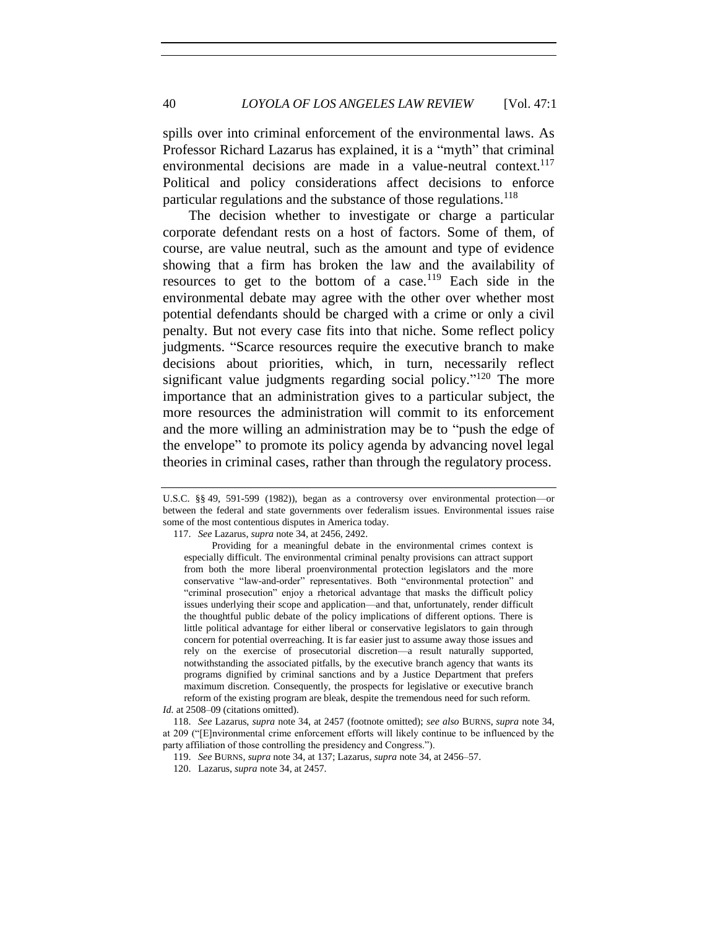40 *LOYOLA OF LOS ANGELES LAW REVIEW* [Vol. 47:1

spills over into criminal enforcement of the environmental laws. As Professor Richard Lazarus has explained, it is a "myth" that criminal environmental decisions are made in a value-neutral context.<sup>117</sup> Political and policy considerations affect decisions to enforce particular regulations and the substance of those regulations.<sup>118</sup>

The decision whether to investigate or charge a particular corporate defendant rests on a host of factors. Some of them, of course, are value neutral, such as the amount and type of evidence showing that a firm has broken the law and the availability of resources to get to the bottom of a case.<sup>119</sup> Each side in the environmental debate may agree with the other over whether most potential defendants should be charged with a crime or only a civil penalty. But not every case fits into that niche. Some reflect policy judgments. "Scarce resources require the executive branch to make decisions about priorities, which, in turn, necessarily reflect significant value judgments regarding social policy."<sup>120</sup> The more importance that an administration gives to a particular subject, the more resources the administration will commit to its enforcement and the more willing an administration may be to "push the edge of the envelope" to promote its policy agenda by advancing novel legal theories in criminal cases, rather than through the regulatory process.

U.S.C. §§ 49, 591-599 (1982)), began as a controversy over environmental protection—or between the federal and state governments over federalism issues. Environmental issues raise some of the most contentious disputes in America today.

<sup>117.</sup> *See* Lazarus, *supra* note 34, at 2456, 2492.

Providing for a meaningful debate in the environmental crimes context is especially difficult. The environmental criminal penalty provisions can attract support from both the more liberal proenvironmental protection legislators and the more conservative "law-and-order" representatives. Both "environmental protection" and "criminal prosecution" enjoy a rhetorical advantage that masks the difficult policy issues underlying their scope and application—and that, unfortunately, render difficult the thoughtful public debate of the policy implications of different options. There is little political advantage for either liberal or conservative legislators to gain through concern for potential overreaching. It is far easier just to assume away those issues and rely on the exercise of prosecutorial discretion—a result naturally supported, notwithstanding the associated pitfalls, by the executive branch agency that wants its programs dignified by criminal sanctions and by a Justice Department that prefers maximum discretion. Consequently, the prospects for legislative or executive branch reform of the existing program are bleak, despite the tremendous need for such reform.

*Id.* at 2508–09 (citations omitted).

<sup>118.</sup> *See* Lazarus, *supra* note 34, at 2457 (footnote omitted); *see also* BURNS, *supra* note 34, at 209 ("[E]nvironmental crime enforcement efforts will likely continue to be influenced by the party affiliation of those controlling the presidency and Congress.").

<sup>119.</sup> *See* BURNS, *supra* note 34, at 137; Lazarus, *supra* note 34, at 2456–57.

<sup>120.</sup> Lazarus, *supra* note 34, at 2457.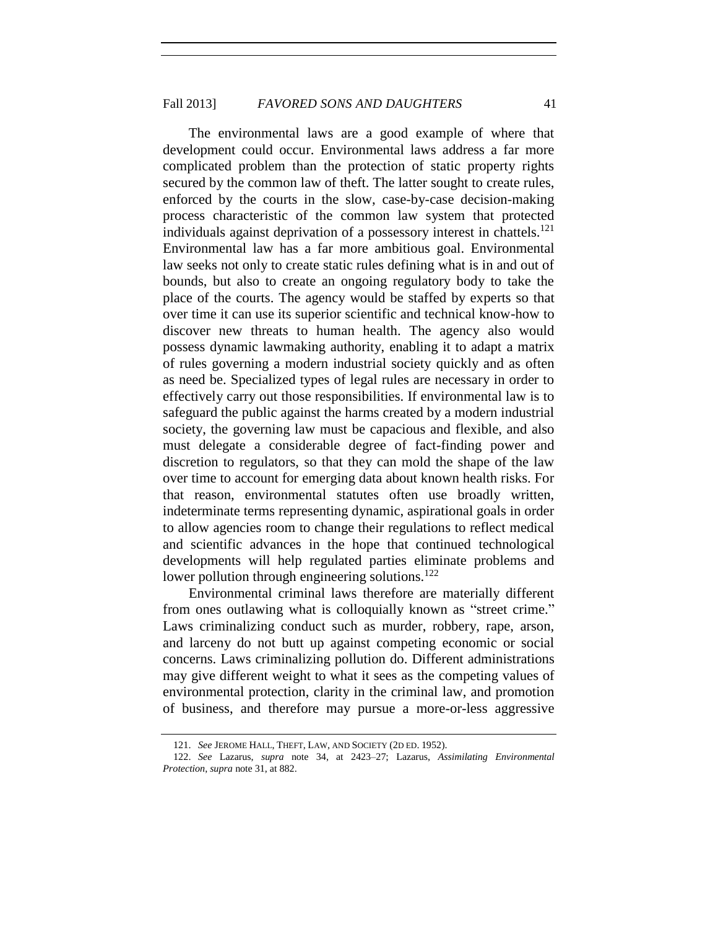The environmental laws are a good example of where that development could occur. Environmental laws address a far more complicated problem than the protection of static property rights secured by the common law of theft. The latter sought to create rules, enforced by the courts in the slow, case-by-case decision-making process characteristic of the common law system that protected individuals against deprivation of a possessory interest in chattels.<sup>121</sup> Environmental law has a far more ambitious goal. Environmental law seeks not only to create static rules defining what is in and out of bounds, but also to create an ongoing regulatory body to take the place of the courts. The agency would be staffed by experts so that over time it can use its superior scientific and technical know-how to discover new threats to human health. The agency also would possess dynamic lawmaking authority, enabling it to adapt a matrix of rules governing a modern industrial society quickly and as often as need be. Specialized types of legal rules are necessary in order to effectively carry out those responsibilities. If environmental law is to safeguard the public against the harms created by a modern industrial society, the governing law must be capacious and flexible, and also must delegate a considerable degree of fact-finding power and discretion to regulators, so that they can mold the shape of the law over time to account for emerging data about known health risks. For that reason, environmental statutes often use broadly written, indeterminate terms representing dynamic, aspirational goals in order to allow agencies room to change their regulations to reflect medical and scientific advances in the hope that continued technological developments will help regulated parties eliminate problems and lower pollution through engineering solutions.<sup>122</sup>

Environmental criminal laws therefore are materially different from ones outlawing what is colloquially known as "street crime." Laws criminalizing conduct such as murder, robbery, rape, arson, and larceny do not butt up against competing economic or social concerns. Laws criminalizing pollution do. Different administrations may give different weight to what it sees as the competing values of environmental protection, clarity in the criminal law, and promotion of business, and therefore may pursue a more-or-less aggressive

<sup>121.</sup> *See* JEROME HALL, THEFT, LAW, AND SOCIETY (2D ED. 1952).

<sup>122.</sup> *See* Lazarus, *supra* note 34, at 2423–27; Lazarus, *Assimilating Environmental Protection*, *supra* note 31, at 882.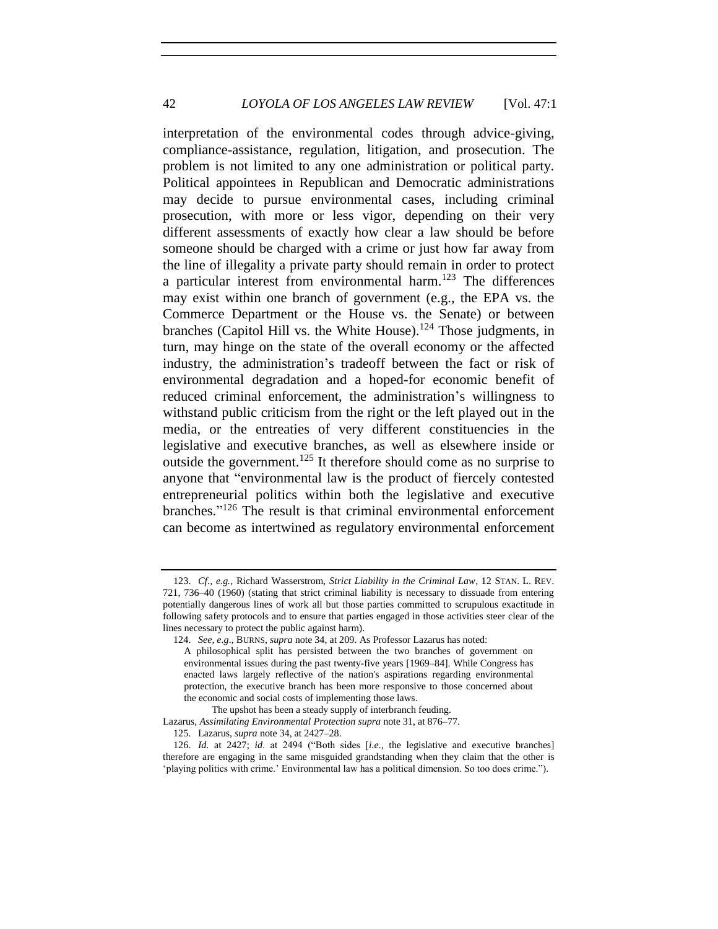interpretation of the environmental codes through advice-giving, compliance-assistance, regulation, litigation, and prosecution. The problem is not limited to any one administration or political party. Political appointees in Republican and Democratic administrations may decide to pursue environmental cases, including criminal prosecution, with more or less vigor, depending on their very different assessments of exactly how clear a law should be before someone should be charged with a crime or just how far away from the line of illegality a private party should remain in order to protect a particular interest from environmental harm.<sup>123</sup> The differences may exist within one branch of government (e.g., the EPA vs. the Commerce Department or the House vs. the Senate) or between branches (Capitol Hill vs. the White House).<sup>124</sup> Those judgments, in turn, may hinge on the state of the overall economy or the affected industry, the administration's tradeoff between the fact or risk of environmental degradation and a hoped-for economic benefit of reduced criminal enforcement, the administration's willingness to withstand public criticism from the right or the left played out in the media, or the entreaties of very different constituencies in the legislative and executive branches, as well as elsewhere inside or outside the government.<sup>125</sup> It therefore should come as no surprise to anyone that "environmental law is the product of fiercely contested entrepreneurial politics within both the legislative and executive branches." <sup>126</sup> The result is that criminal environmental enforcement can become as intertwined as regulatory environmental enforcement

<sup>123.</sup> *Cf., e.g.*, Richard Wasserstrom, *Strict Liability in the Criminal Law*, 12 STAN. L. REV. 721, 736–40 (1960) (stating that strict criminal liability is necessary to dissuade from entering potentially dangerous lines of work all but those parties committed to scrupulous exactitude in following safety protocols and to ensure that parties engaged in those activities steer clear of the lines necessary to protect the public against harm).

<sup>124.</sup> *See, e.g*., BURNS, *supra* note 34, at 209. As Professor Lazarus has noted:

A philosophical split has persisted between the two branches of government on environmental issues during the past twenty-five years [1969–84]. While Congress has enacted laws largely reflective of the nation's aspirations regarding environmental protection, the executive branch has been more responsive to those concerned about the economic and social costs of implementing those laws.

The upshot has been a steady supply of interbranch feuding.

Lazarus, *Assimilating Environmental Protection supra* note 31, at 876–77.

<sup>125.</sup> Lazarus, *supra* note 34, at 2427–28.

<sup>126.</sup> *Id.* at 2427; *id*. at 2494 ("Both sides [*i.e*., the legislative and executive branches] therefore are engaging in the same misguided grandstanding when they claim that the other is 'playing politics with crime.' Environmental law has a political dimension. So too does crime.").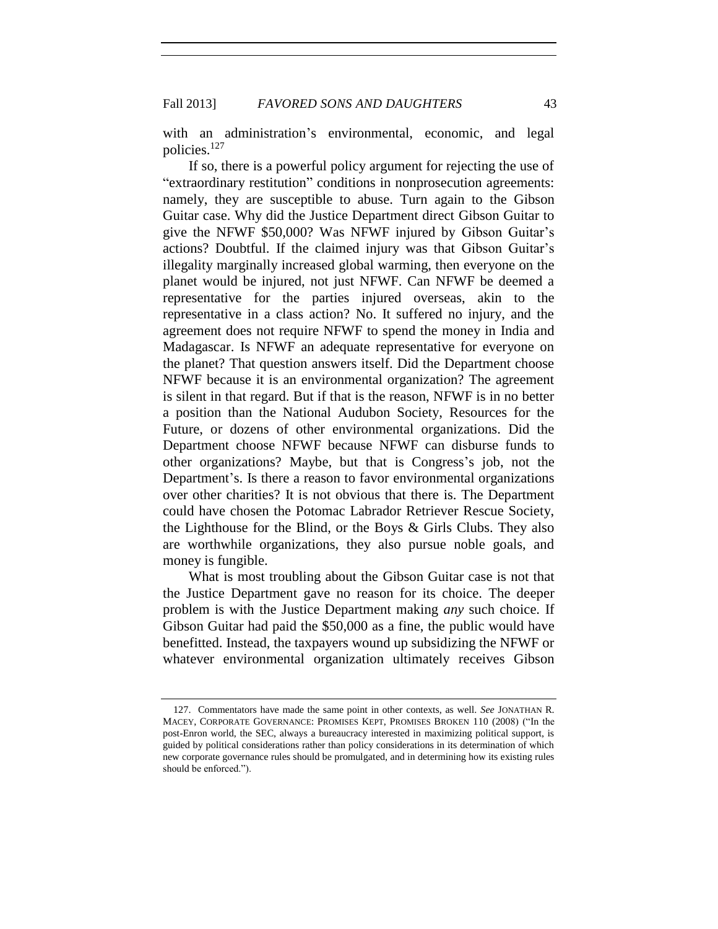with an administration's environmental, economic, and legal policies.<sup>127</sup>

If so, there is a powerful policy argument for rejecting the use of "extraordinary restitution" conditions in nonprosecution agreements: namely, they are susceptible to abuse. Turn again to the Gibson Guitar case. Why did the Justice Department direct Gibson Guitar to give the NFWF \$50,000? Was NFWF injured by Gibson Guitar's actions? Doubtful. If the claimed injury was that Gibson Guitar's illegality marginally increased global warming, then everyone on the planet would be injured, not just NFWF. Can NFWF be deemed a representative for the parties injured overseas, akin to the representative in a class action? No. It suffered no injury, and the agreement does not require NFWF to spend the money in India and Madagascar. Is NFWF an adequate representative for everyone on the planet? That question answers itself. Did the Department choose NFWF because it is an environmental organization? The agreement is silent in that regard. But if that is the reason, NFWF is in no better a position than the National Audubon Society, Resources for the Future, or dozens of other environmental organizations. Did the Department choose NFWF because NFWF can disburse funds to other organizations? Maybe, but that is Congress's job, not the Department's. Is there a reason to favor environmental organizations over other charities? It is not obvious that there is. The Department could have chosen the Potomac Labrador Retriever Rescue Society, the Lighthouse for the Blind, or the Boys & Girls Clubs. They also are worthwhile organizations, they also pursue noble goals, and money is fungible.

What is most troubling about the Gibson Guitar case is not that the Justice Department gave no reason for its choice. The deeper problem is with the Justice Department making *any* such choice. If Gibson Guitar had paid the \$50,000 as a fine, the public would have benefitted. Instead, the taxpayers wound up subsidizing the NFWF or whatever environmental organization ultimately receives Gibson

<sup>127.</sup> Commentators have made the same point in other contexts, as well. *See* JONATHAN R. MACEY, CORPORATE GOVERNANCE: PROMISES KEPT, PROMISES BROKEN 110 (2008) ("In the post-Enron world, the SEC, always a bureaucracy interested in maximizing political support, is guided by political considerations rather than policy considerations in its determination of which new corporate governance rules should be promulgated, and in determining how its existing rules should be enforced.").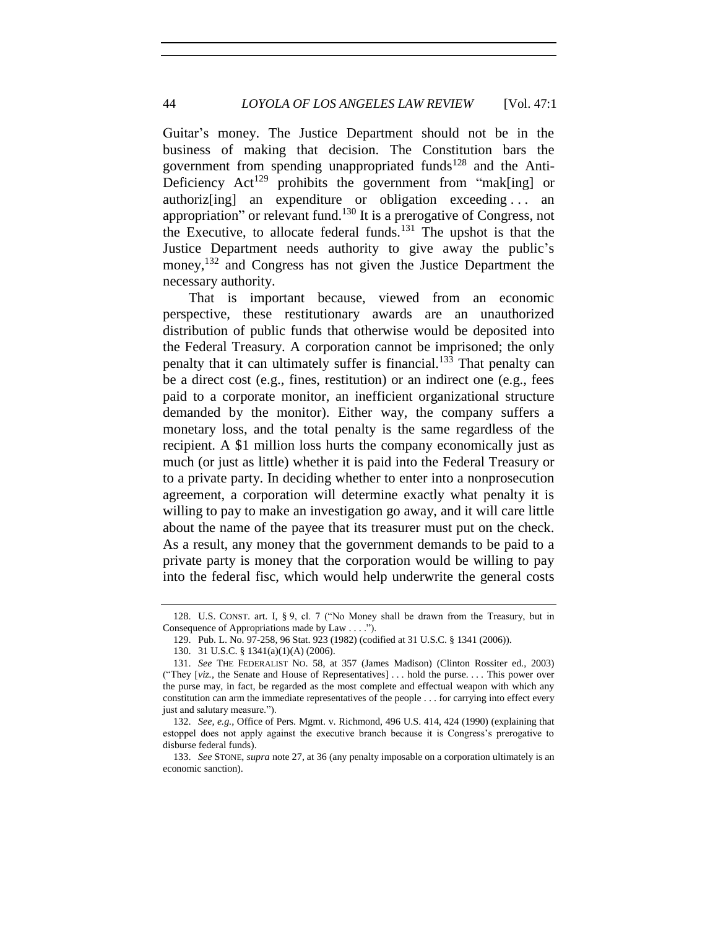Guitar's money. The Justice Department should not be in the business of making that decision. The Constitution bars the government from spending unappropriated funds<sup>128</sup> and the Anti-Deficiency  $Act^{129}$  prohibits the government from "mak[ing] or authoriz[ing] an expenditure or obligation exceeding . . . an appropriation" or relevant fund.<sup>130</sup> It is a prerogative of Congress, not the Executive, to allocate federal funds.<sup>131</sup> The upshot is that the Justice Department needs authority to give away the public's money,<sup>132</sup> and Congress has not given the Justice Department the necessary authority.

That is important because, viewed from an economic perspective, these restitutionary awards are an unauthorized distribution of public funds that otherwise would be deposited into the Federal Treasury. A corporation cannot be imprisoned; the only penalty that it can ultimately suffer is financial.<sup>133</sup> That penalty can be a direct cost (e.g., fines, restitution) or an indirect one (e.g., fees paid to a corporate monitor, an inefficient organizational structure demanded by the monitor). Either way, the company suffers a monetary loss, and the total penalty is the same regardless of the recipient. A \$1 million loss hurts the company economically just as much (or just as little) whether it is paid into the Federal Treasury or to a private party. In deciding whether to enter into a nonprosecution agreement, a corporation will determine exactly what penalty it is willing to pay to make an investigation go away, and it will care little about the name of the payee that its treasurer must put on the check. As a result, any money that the government demands to be paid to a private party is money that the corporation would be willing to pay into the federal fisc, which would help underwrite the general costs

<sup>128.</sup> U.S. CONST. art. I, § 9, cl. 7 ("No Money shall be drawn from the Treasury, but in Consequence of Appropriations made by Law . . . .").

<sup>129.</sup> Pub. L. No. 97-258, 96 Stat. 923 (1982) (codified at 31 U.S.C. § 1341 (2006)).

<sup>130.</sup> 31 U.S.C. § 1341(a)(1)(A) (2006).

<sup>131.</sup> *See* THE FEDERALIST NO. 58, at 357 (James Madison) (Clinton Rossiter ed., 2003) ("They [*viz.*, the Senate and House of Representatives] . . . hold the purse. . . . This power over the purse may, in fact, be regarded as the most complete and effectual weapon with which any constitution can arm the immediate representatives of the people . . . for carrying into effect every just and salutary measure.").

<sup>132.</sup> *See, e.g.*, Office of Pers. Mgmt. v. Richmond, 496 U.S. 414, 424 (1990) (explaining that estoppel does not apply against the executive branch because it is Congress's prerogative to disburse federal funds).

<sup>133.</sup> *See* STONE, *supra* note 27, at 36 (any penalty imposable on a corporation ultimately is an economic sanction).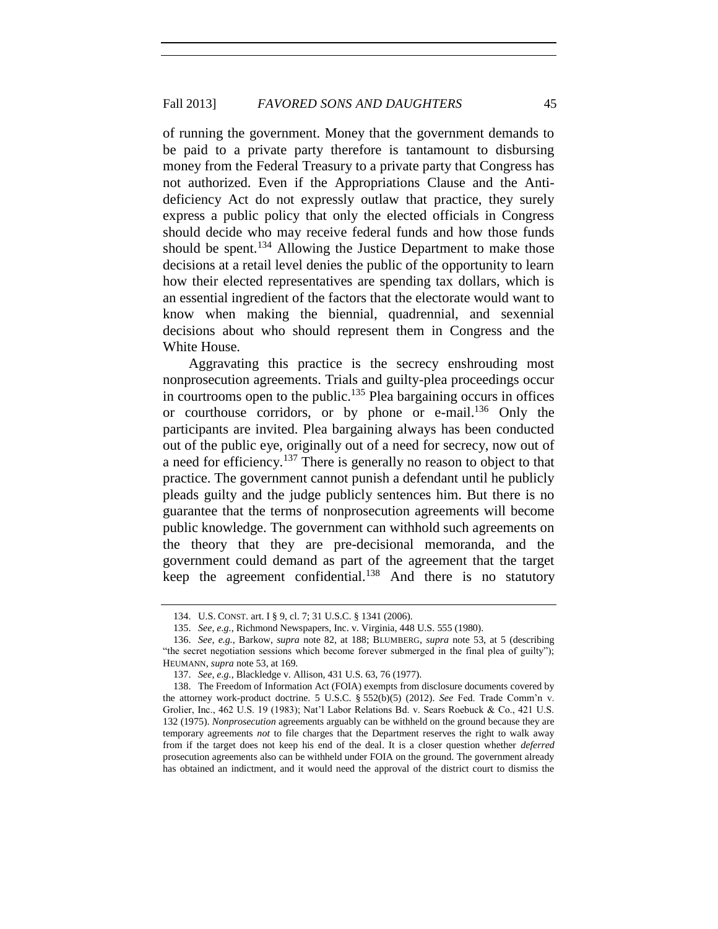of running the government. Money that the government demands to be paid to a private party therefore is tantamount to disbursing money from the Federal Treasury to a private party that Congress has not authorized. Even if the Appropriations Clause and the Antideficiency Act do not expressly outlaw that practice, they surely express a public policy that only the elected officials in Congress should decide who may receive federal funds and how those funds should be spent.<sup>134</sup> Allowing the Justice Department to make those decisions at a retail level denies the public of the opportunity to learn how their elected representatives are spending tax dollars, which is an essential ingredient of the factors that the electorate would want to know when making the biennial, quadrennial, and sexennial decisions about who should represent them in Congress and the White House.

Aggravating this practice is the secrecy enshrouding most nonprosecution agreements. Trials and guilty-plea proceedings occur in courtrooms open to the public.<sup>135</sup> Plea bargaining occurs in offices or courthouse corridors, or by phone or e-mail.<sup>136</sup> Only the participants are invited. Plea bargaining always has been conducted out of the public eye, originally out of a need for secrecy, now out of a need for efficiency.<sup>137</sup> There is generally no reason to object to that practice. The government cannot punish a defendant until he publicly pleads guilty and the judge publicly sentences him. But there is no guarantee that the terms of nonprosecution agreements will become public knowledge. The government can withhold such agreements on the theory that they are pre-decisional memoranda, and the government could demand as part of the agreement that the target keep the agreement confidential.<sup>138</sup> And there is no statutory

<sup>134.</sup> U.S. CONST. art. I § 9, cl. 7; 31 U.S.C. § 1341 (2006).

<sup>135.</sup> *See, e.g.*, Richmond Newspapers, Inc. v. Virginia, 448 U.S. 555 (1980).

<sup>136.</sup> *See, e.g.*, Barkow, *supra* note 82, at 188; BLUMBERG, *supra* note 53, at 5 (describing "the secret negotiation sessions which become forever submerged in the final plea of guilty"); HEUMANN, *supra* note 53, at 169.

<sup>137.</sup> *See, e.g.*, Blackledge v. Allison, 431 U.S. 63, 76 (1977).

<sup>138.</sup> The Freedom of Information Act (FOIA) exempts from disclosure documents covered by the attorney work-product doctrine. 5 U.S.C. § 552(b)(5) (2012). *See* Fed. Trade Comm'n v. Grolier, Inc., 462 U.S. 19 (1983); Nat'l Labor Relations Bd. v. Sears Roebuck & Co., 421 U.S. 132 (1975). *Nonprosecution* agreements arguably can be withheld on the ground because they are temporary agreements *not* to file charges that the Department reserves the right to walk away from if the target does not keep his end of the deal. It is a closer question whether *deferred* prosecution agreements also can be withheld under FOIA on the ground. The government already has obtained an indictment, and it would need the approval of the district court to dismiss the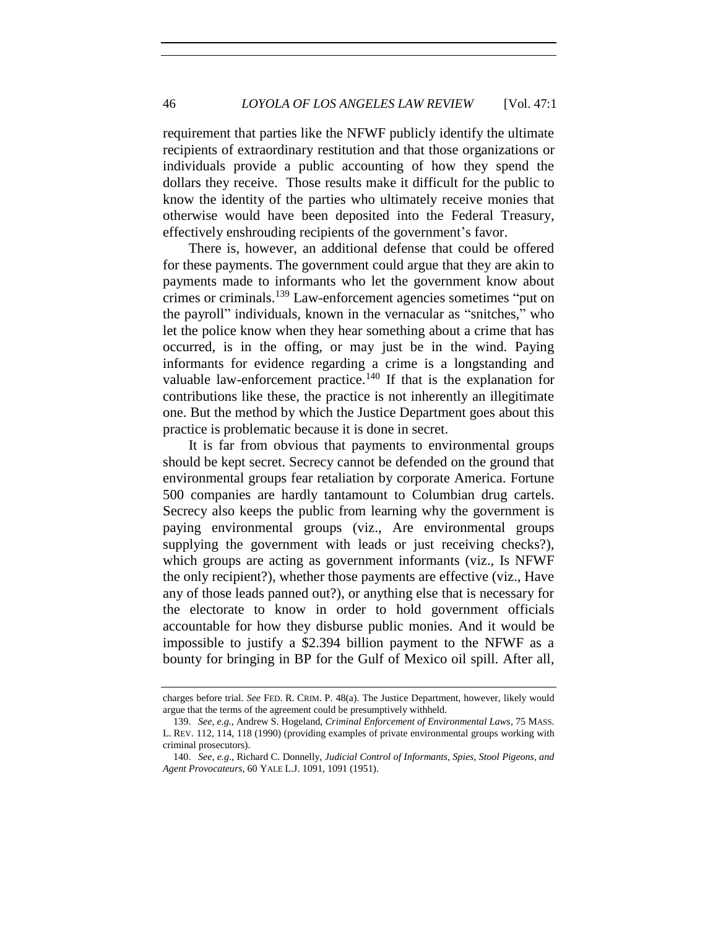requirement that parties like the NFWF publicly identify the ultimate recipients of extraordinary restitution and that those organizations or individuals provide a public accounting of how they spend the dollars they receive. Those results make it difficult for the public to know the identity of the parties who ultimately receive monies that otherwise would have been deposited into the Federal Treasury, effectively enshrouding recipients of the government's favor.

There is, however, an additional defense that could be offered for these payments. The government could argue that they are akin to payments made to informants who let the government know about crimes or criminals.<sup>139</sup> Law-enforcement agencies sometimes "put on the payroll" individuals, known in the vernacular as "snitches," who let the police know when they hear something about a crime that has occurred, is in the offing, or may just be in the wind. Paying informants for evidence regarding a crime is a longstanding and valuable law-enforcement practice.<sup>140</sup> If that is the explanation for contributions like these, the practice is not inherently an illegitimate one. But the method by which the Justice Department goes about this practice is problematic because it is done in secret.

It is far from obvious that payments to environmental groups should be kept secret. Secrecy cannot be defended on the ground that environmental groups fear retaliation by corporate America. Fortune 500 companies are hardly tantamount to Columbian drug cartels. Secrecy also keeps the public from learning why the government is paying environmental groups (viz., Are environmental groups supplying the government with leads or just receiving checks?), which groups are acting as government informants (viz., Is NFWF the only recipient?), whether those payments are effective (viz., Have any of those leads panned out?), or anything else that is necessary for the electorate to know in order to hold government officials accountable for how they disburse public monies. And it would be impossible to justify a \$2.394 billion payment to the NFWF as a bounty for bringing in BP for the Gulf of Mexico oil spill. After all,

charges before trial. *See* FED. R. CRIM. P. 48(a). The Justice Department, however, likely would argue that the terms of the agreement could be presumptively withheld.

<sup>139.</sup> *See, e.g.*, Andrew S. Hogeland, *Criminal Enforcement of Environmental Laws*, 75 MASS. L. REV. 112, 114, 118 (1990) (providing examples of private environmental groups working with criminal prosecutors).

<sup>140.</sup> *See, e.g*., Richard C. Donnelly, *Judicial Control of Informants, Spies, Stool Pigeons, and Agent Provocateurs*, 60 YALE L.J. 1091, 1091 (1951).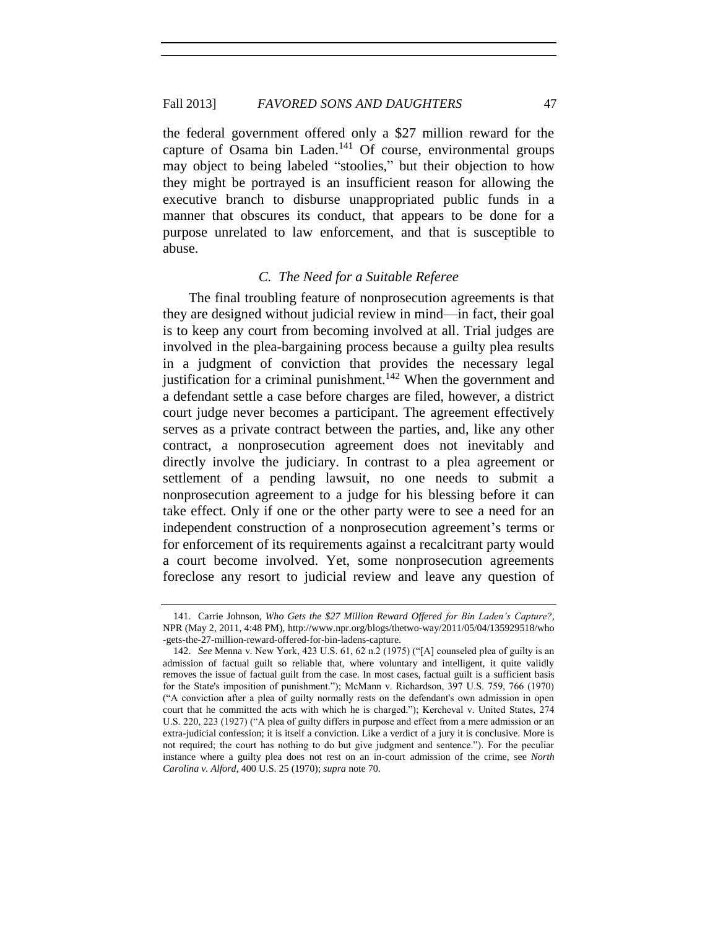the federal government offered only a \$27 million reward for the capture of Osama bin Laden.<sup>141</sup> Of course, environmental groups may object to being labeled "stoolies," but their objection to how they might be portrayed is an insufficient reason for allowing the executive branch to disburse unappropriated public funds in a manner that obscures its conduct, that appears to be done for a purpose unrelated to law enforcement, and that is susceptible to abuse.

#### *C. The Need for a Suitable Referee*

The final troubling feature of nonprosecution agreements is that they are designed without judicial review in mind—in fact, their goal is to keep any court from becoming involved at all. Trial judges are involved in the plea-bargaining process because a guilty plea results in a judgment of conviction that provides the necessary legal justification for a criminal punishment.<sup>142</sup> When the government and a defendant settle a case before charges are filed, however, a district court judge never becomes a participant. The agreement effectively serves as a private contract between the parties, and, like any other contract, a nonprosecution agreement does not inevitably and directly involve the judiciary. In contrast to a plea agreement or settlement of a pending lawsuit, no one needs to submit a nonprosecution agreement to a judge for his blessing before it can take effect. Only if one or the other party were to see a need for an independent construction of a nonprosecution agreement's terms or for enforcement of its requirements against a recalcitrant party would a court become involved. Yet, some nonprosecution agreements foreclose any resort to judicial review and leave any question of

<sup>141.</sup> Carrie Johnson, *Who Gets the \$27 Million Reward Offered for Bin Laden's Capture?*, NPR (May 2, 2011, 4:48 PM), http://www.npr.org/blogs/thetwo-way/2011/05/04/135929518/who -gets-the-27-million-reward-offered-for-bin-ladens-capture.

<sup>142.</sup> *See* Menna v. New York, 423 U.S. 61, 62 n.2 (1975) ("[A] counseled plea of guilty is an admission of factual guilt so reliable that, where voluntary and intelligent, it quite validly removes the issue of factual guilt from the case. In most cases, factual guilt is a sufficient basis for the State's imposition of punishment."); McMann v. Richardson, 397 U.S. 759, 766 (1970) ("A conviction after a plea of guilty normally rests on the defendant's own admission in open court that he committed the acts with which he is charged."); Kercheval v. United States, 274 U.S. 220, 223 (1927) ("A plea of guilty differs in purpose and effect from a mere admission or an extra-judicial confession; it is itself a conviction. Like a verdict of a jury it is conclusive. More is not required; the court has nothing to do but give judgment and sentence."). For the peculiar instance where a guilty plea does not rest on an in-court admission of the crime, see *North Carolina v. Alford*, 400 U.S. 25 (1970); *supra* note 70.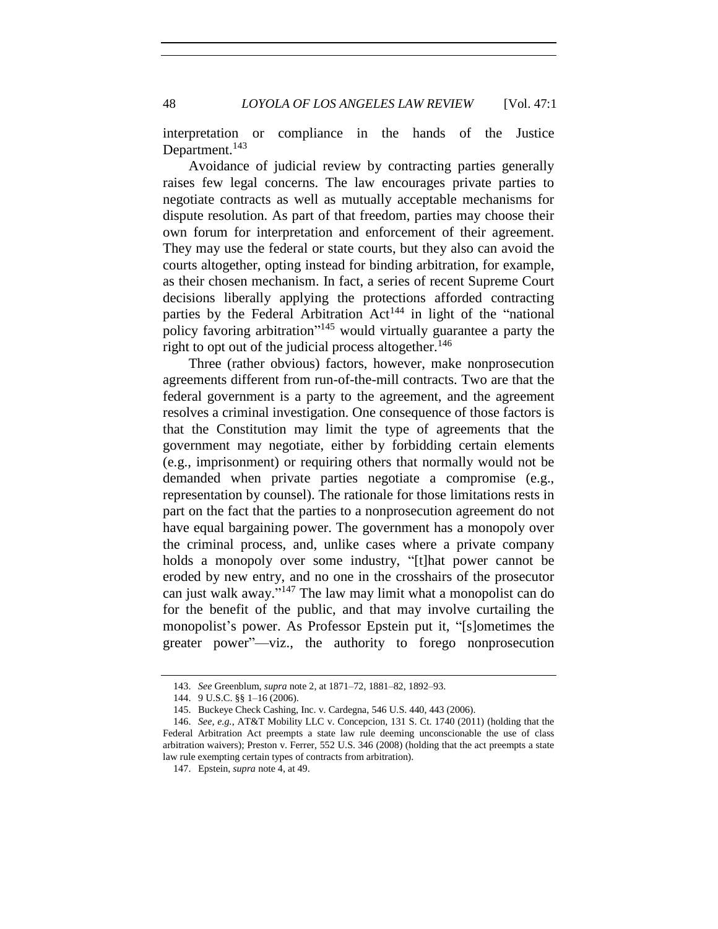48 *LOYOLA OF LOS ANGELES LAW REVIEW* [Vol. 47:1

interpretation or compliance in the hands of the Justice Department.<sup>143</sup>

Avoidance of judicial review by contracting parties generally raises few legal concerns. The law encourages private parties to negotiate contracts as well as mutually acceptable mechanisms for dispute resolution. As part of that freedom, parties may choose their own forum for interpretation and enforcement of their agreement. They may use the federal or state courts, but they also can avoid the courts altogether, opting instead for binding arbitration, for example, as their chosen mechanism. In fact, a series of recent Supreme Court decisions liberally applying the protections afforded contracting parties by the Federal Arbitration Act<sup>144</sup> in light of the "national policy favoring arbitration<sup>"145</sup> would virtually guarantee a party the right to opt out of the judicial process altogether.<sup>146</sup>

Three (rather obvious) factors, however, make nonprosecution agreements different from run-of-the-mill contracts. Two are that the federal government is a party to the agreement, and the agreement resolves a criminal investigation. One consequence of those factors is that the Constitution may limit the type of agreements that the government may negotiate, either by forbidding certain elements (e.g., imprisonment) or requiring others that normally would not be demanded when private parties negotiate a compromise (e.g., representation by counsel). The rationale for those limitations rests in part on the fact that the parties to a nonprosecution agreement do not have equal bargaining power. The government has a monopoly over the criminal process, and, unlike cases where a private company holds a monopoly over some industry, "[t]hat power cannot be eroded by new entry, and no one in the crosshairs of the prosecutor can just walk away." <sup>147</sup> The law may limit what a monopolist can do for the benefit of the public, and that may involve curtailing the monopolist's power. As Professor Epstein put it, "[s]ometimes the greater power"—viz., the authority to forego nonprosecution

<sup>143.</sup> *See* Greenblum, *supra* note 2, at 1871–72, 1881–82, 1892–93.

<sup>144.</sup> 9 U.S.C. §§ 1–16 (2006).

<sup>145.</sup> Buckeye Check Cashing, Inc. v. Cardegna, 546 U.S. 440, 443 (2006).

<sup>146.</sup> *See, e.g.*, AT&T Mobility LLC v. Concepcion, 131 S. Ct. 1740 (2011) (holding that the Federal Arbitration Act preempts a state law rule deeming unconscionable the use of class arbitration waivers); Preston v. Ferrer, 552 U.S. 346 (2008) (holding that the act preempts a state law rule exempting certain types of contracts from arbitration).

<sup>147.</sup> Epstein, *supra* note 4, at 49.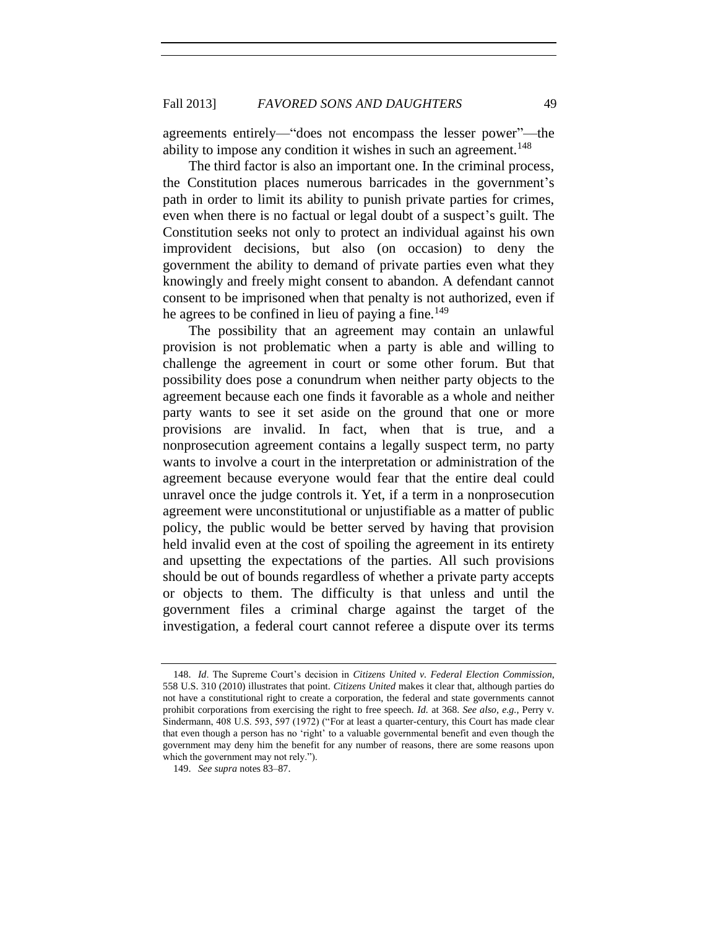agreements entirely—"does not encompass the lesser power"—the ability to impose any condition it wishes in such an agreement.<sup>148</sup>

The third factor is also an important one. In the criminal process, the Constitution places numerous barricades in the government's path in order to limit its ability to punish private parties for crimes, even when there is no factual or legal doubt of a suspect's guilt. The Constitution seeks not only to protect an individual against his own improvident decisions, but also (on occasion) to deny the government the ability to demand of private parties even what they knowingly and freely might consent to abandon. A defendant cannot consent to be imprisoned when that penalty is not authorized, even if he agrees to be confined in lieu of paying a fine.<sup>149</sup>

The possibility that an agreement may contain an unlawful provision is not problematic when a party is able and willing to challenge the agreement in court or some other forum. But that possibility does pose a conundrum when neither party objects to the agreement because each one finds it favorable as a whole and neither party wants to see it set aside on the ground that one or more provisions are invalid. In fact, when that is true, and a nonprosecution agreement contains a legally suspect term, no party wants to involve a court in the interpretation or administration of the agreement because everyone would fear that the entire deal could unravel once the judge controls it. Yet, if a term in a nonprosecution agreement were unconstitutional or unjustifiable as a matter of public policy, the public would be better served by having that provision held invalid even at the cost of spoiling the agreement in its entirety and upsetting the expectations of the parties. All such provisions should be out of bounds regardless of whether a private party accepts or objects to them. The difficulty is that unless and until the government files a criminal charge against the target of the investigation, a federal court cannot referee a dispute over its terms

<sup>148.</sup> *Id*. The Supreme Court's decision in *Citizens United v. Federal Election Commission*, 558 U.S. 310 (2010) illustrates that point. *Citizens United* makes it clear that, although parties do not have a constitutional right to create a corporation, the federal and state governments cannot prohibit corporations from exercising the right to free speech. *Id.* at 368. *See also, e.g.*, Perry v. Sindermann, 408 U.S. 593, 597 (1972) ("For at least a quarter-century, this Court has made clear that even though a person has no 'right' to a valuable governmental benefit and even though the government may deny him the benefit for any number of reasons, there are some reasons upon which the government may not rely.").

<sup>149.</sup> *See supra* notes 83–87.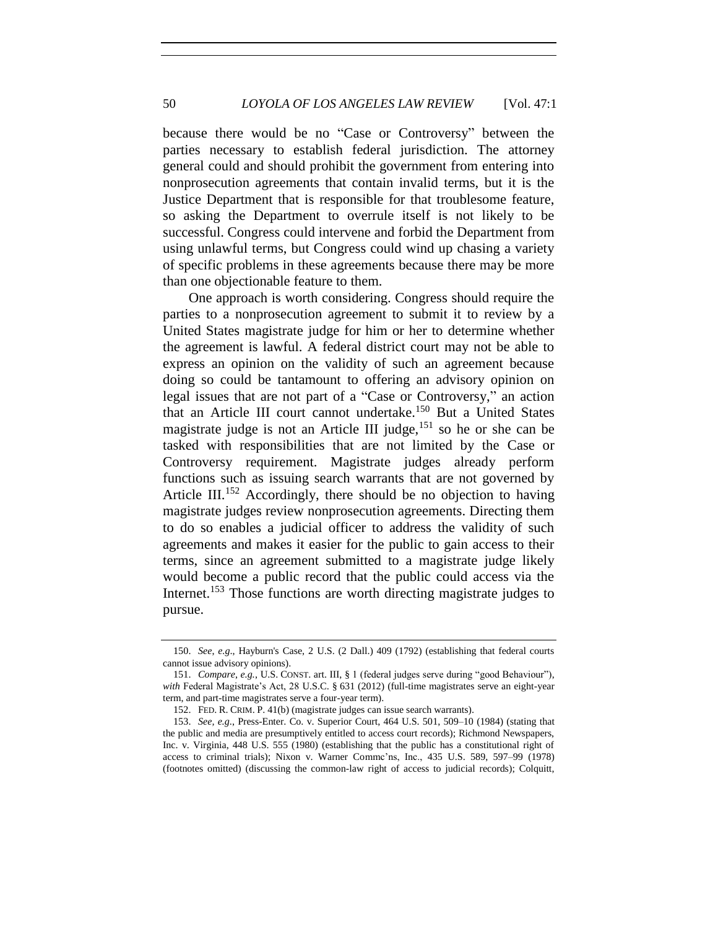50 *LOYOLA OF LOS ANGELES LAW REVIEW* [Vol. 47:1

because there would be no "Case or Controversy" between the parties necessary to establish federal jurisdiction. The attorney general could and should prohibit the government from entering into nonprosecution agreements that contain invalid terms, but it is the Justice Department that is responsible for that troublesome feature, so asking the Department to overrule itself is not likely to be successful. Congress could intervene and forbid the Department from using unlawful terms, but Congress could wind up chasing a variety of specific problems in these agreements because there may be more than one objectionable feature to them.

One approach is worth considering. Congress should require the parties to a nonprosecution agreement to submit it to review by a United States magistrate judge for him or her to determine whether the agreement is lawful. A federal district court may not be able to express an opinion on the validity of such an agreement because doing so could be tantamount to offering an advisory opinion on legal issues that are not part of a "Case or Controversy," an action that an Article III court cannot undertake.<sup>150</sup> But a United States magistrate judge is not an Article III judge,  $^{151}$  so he or she can be tasked with responsibilities that are not limited by the Case or Controversy requirement. Magistrate judges already perform functions such as issuing search warrants that are not governed by Article III.<sup>152</sup> Accordingly, there should be no objection to having magistrate judges review nonprosecution agreements. Directing them to do so enables a judicial officer to address the validity of such agreements and makes it easier for the public to gain access to their terms, since an agreement submitted to a magistrate judge likely would become a public record that the public could access via the Internet.<sup>153</sup> Those functions are worth directing magistrate judges to pursue.

<sup>150.</sup> *See*, *e.g*., Hayburn's Case, 2 U.S. (2 Dall.) 409 (1792) (establishing that federal courts cannot issue advisory opinions).

<sup>151.</sup> *Compare*, *e.g.*, U.S. CONST. art. III, § 1 (federal judges serve during "good Behaviour"), *with* Federal Magistrate's Act, 28 U.S.C. § 631 (2012) (full-time magistrates serve an eight-year term, and part-time magistrates serve a four-year term).

<sup>152.</sup> FED. R. CRIM. P. 41(b) (magistrate judges can issue search warrants).

<sup>153.</sup> *See, e.g*., Press-Enter. Co. v. Superior Court, 464 U.S. 501, 509–10 (1984) (stating that the public and media are presumptively entitled to access court records); Richmond Newspapers, Inc. v. Virginia, 448 U.S. 555 (1980) (establishing that the public has a constitutional right of access to criminal trials); Nixon v. Warner Commc'ns, Inc., 435 U.S. 589, 597–99 (1978) (footnotes omitted) (discussing the common-law right of access to judicial records); Colquitt,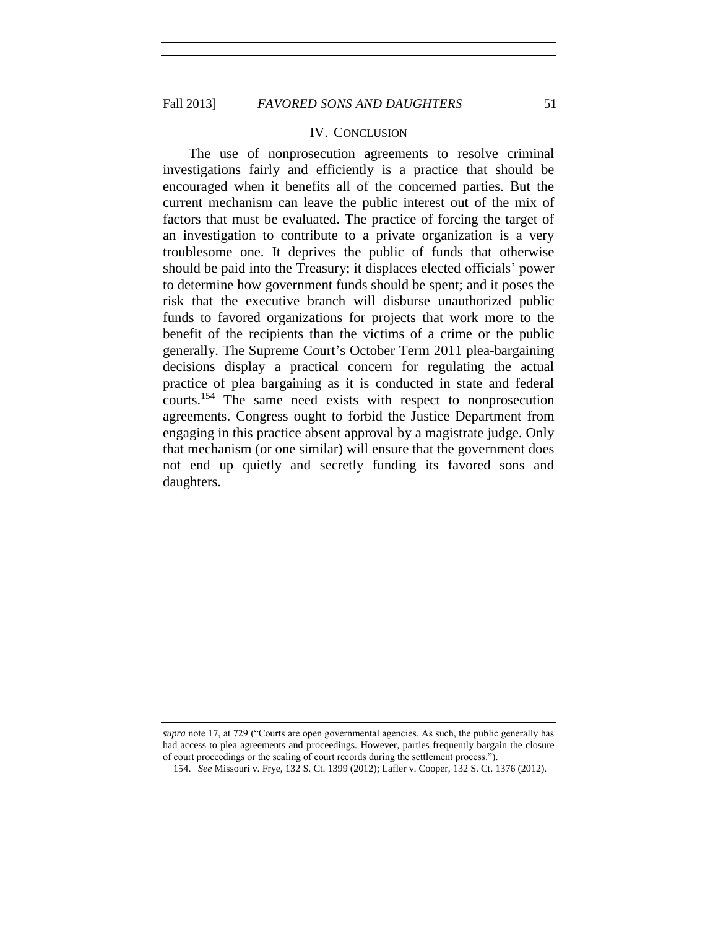#### IV. CONCLUSION

The use of nonprosecution agreements to resolve criminal investigations fairly and efficiently is a practice that should be encouraged when it benefits all of the concerned parties. But the current mechanism can leave the public interest out of the mix of factors that must be evaluated. The practice of forcing the target of an investigation to contribute to a private organization is a very troublesome one. It deprives the public of funds that otherwise should be paid into the Treasury; it displaces elected officials' power to determine how government funds should be spent; and it poses the risk that the executive branch will disburse unauthorized public funds to favored organizations for projects that work more to the benefit of the recipients than the victims of a crime or the public generally. The Supreme Court's October Term 2011 plea-bargaining decisions display a practical concern for regulating the actual practice of plea bargaining as it is conducted in state and federal courts.<sup>154</sup> The same need exists with respect to nonprosecution agreements. Congress ought to forbid the Justice Department from engaging in this practice absent approval by a magistrate judge. Only that mechanism (or one similar) will ensure that the government does not end up quietly and secretly funding its favored sons and daughters.

*supra* note 17, at 729 ("Courts are open governmental agencies. As such, the public generally has had access to plea agreements and proceedings. However, parties frequently bargain the closure of court proceedings or the sealing of court records during the settlement process.").

<sup>154.</sup> *See* Missouri v. Frye, 132 S. Ct. 1399 (2012); Lafler v. Cooper, 132 S. Ct. 1376 (2012).